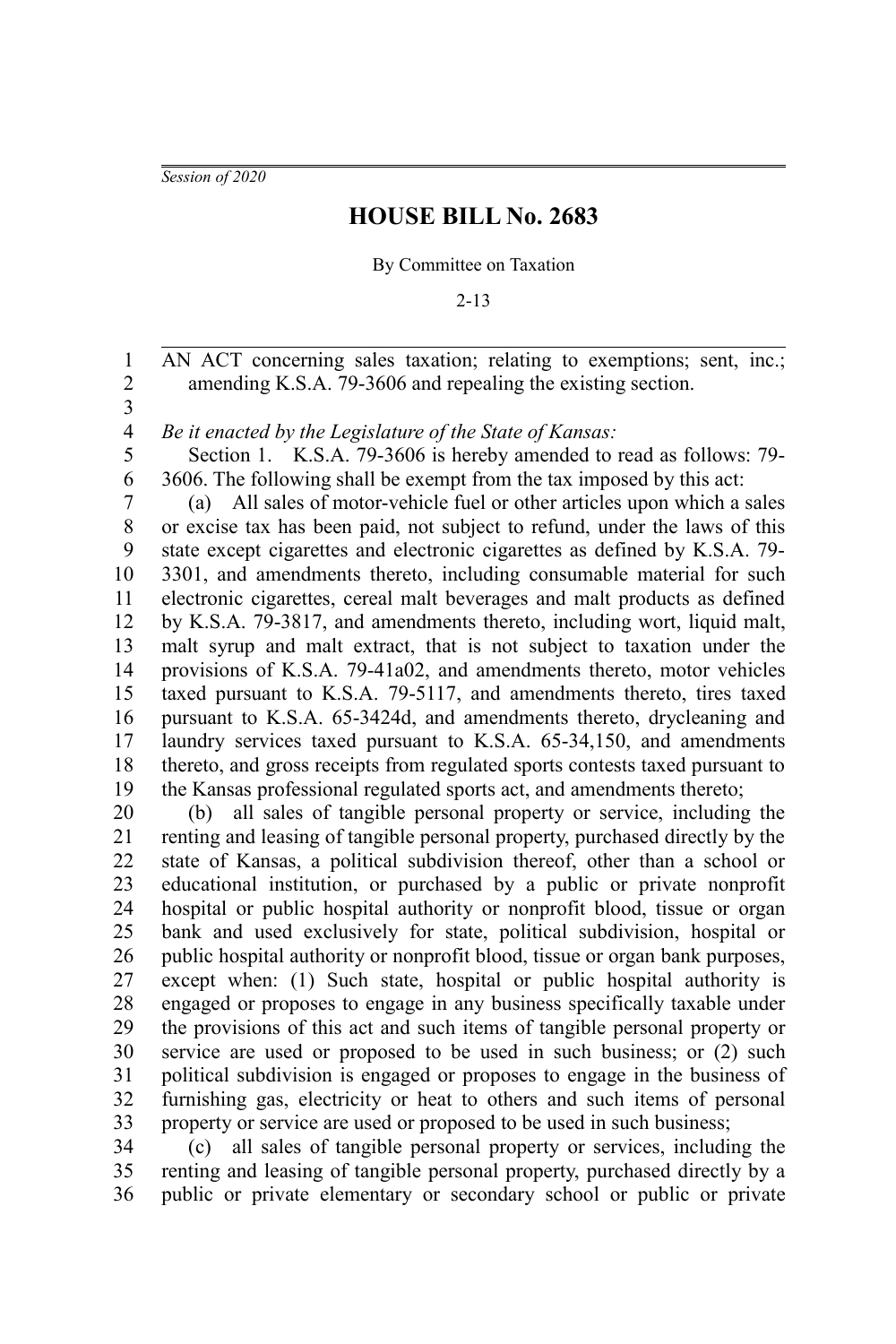*Session of 2020*

## **HOUSE BILL No. 2683**

By Committee on Taxation

2-13

AN ACT concerning sales taxation; relating to exemptions; sent, inc.; amending K.S.A. 79-3606 and repealing the existing section. 1 2

3

*Be it enacted by the Legislature of the State of Kansas:* 4

Section 1. K.S.A. 79-3606 is hereby amended to read as follows: 79- 3606. The following shall be exempt from the tax imposed by this act: 5 6

(a) All sales of motor-vehicle fuel or other articles upon which a sales or excise tax has been paid, not subject to refund, under the laws of this state except cigarettes and electronic cigarettes as defined by K.S.A. 79- 3301, and amendments thereto, including consumable material for such electronic cigarettes, cereal malt beverages and malt products as defined by K.S.A. 79-3817, and amendments thereto, including wort, liquid malt, malt syrup and malt extract, that is not subject to taxation under the provisions of K.S.A. 79-41a02, and amendments thereto, motor vehicles taxed pursuant to K.S.A. 79-5117, and amendments thereto, tires taxed pursuant to K.S.A. 65-3424d, and amendments thereto, drycleaning and laundry services taxed pursuant to K.S.A. 65-34,150, and amendments thereto, and gross receipts from regulated sports contests taxed pursuant to the Kansas professional regulated sports act, and amendments thereto; 7 8 9 10 11 12 13 14 15 16 17 18 19

(b) all sales of tangible personal property or service, including the renting and leasing of tangible personal property, purchased directly by the state of Kansas, a political subdivision thereof, other than a school or educational institution, or purchased by a public or private nonprofit hospital or public hospital authority or nonprofit blood, tissue or organ bank and used exclusively for state, political subdivision, hospital or public hospital authority or nonprofit blood, tissue or organ bank purposes, except when: (1) Such state, hospital or public hospital authority is engaged or proposes to engage in any business specifically taxable under the provisions of this act and such items of tangible personal property or service are used or proposed to be used in such business; or (2) such political subdivision is engaged or proposes to engage in the business of furnishing gas, electricity or heat to others and such items of personal property or service are used or proposed to be used in such business; 20 21 22 23 24 25 26 27 28 29 30 31 32 33

(c) all sales of tangible personal property or services, including the renting and leasing of tangible personal property, purchased directly by a public or private elementary or secondary school or public or private 34 35 36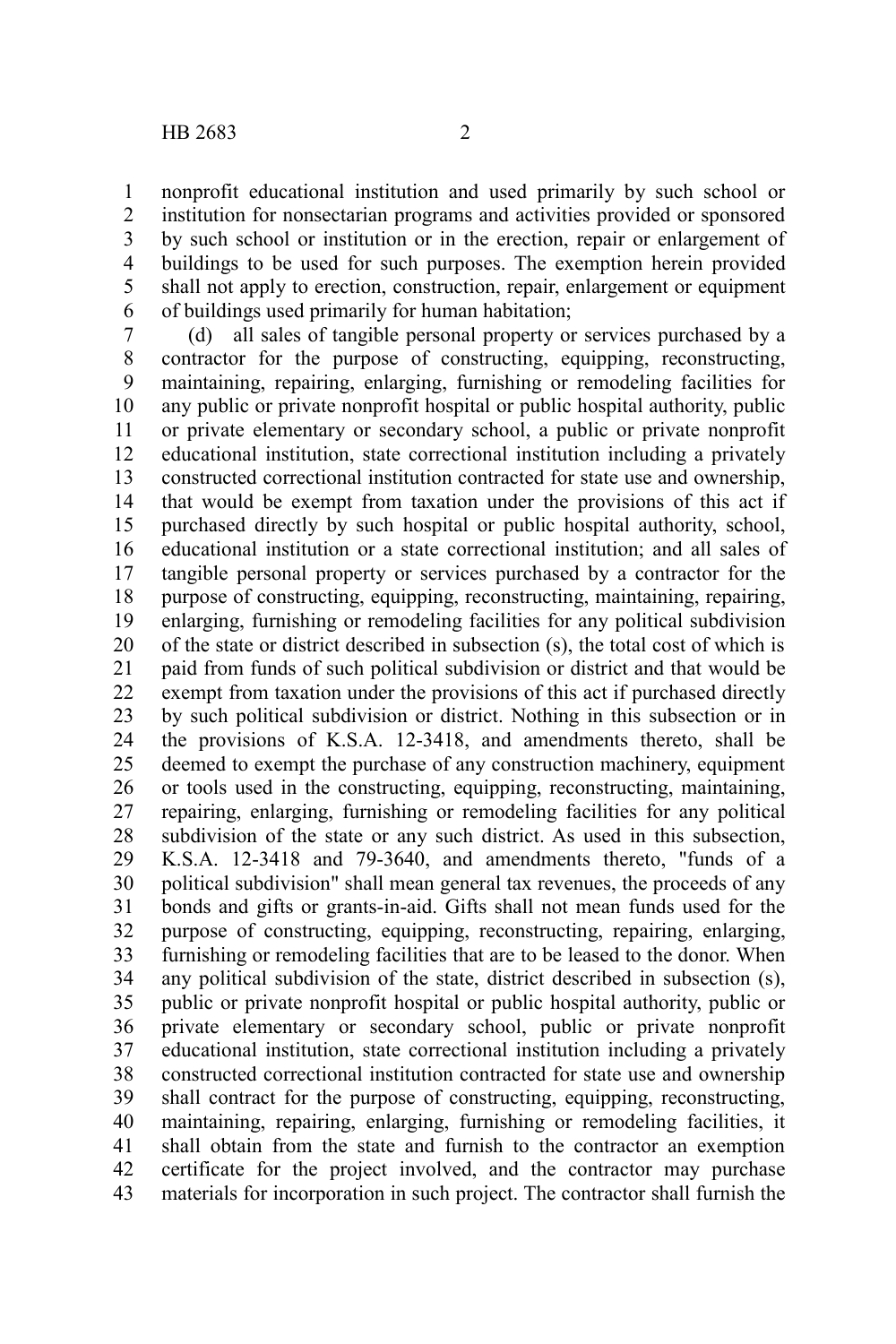nonprofit educational institution and used primarily by such school or institution for nonsectarian programs and activities provided or sponsored by such school or institution or in the erection, repair or enlargement of buildings to be used for such purposes. The exemption herein provided shall not apply to erection, construction, repair, enlargement or equipment of buildings used primarily for human habitation; 1 2 3 4 5 6

(d) all sales of tangible personal property or services purchased by a contractor for the purpose of constructing, equipping, reconstructing, maintaining, repairing, enlarging, furnishing or remodeling facilities for any public or private nonprofit hospital or public hospital authority, public or private elementary or secondary school, a public or private nonprofit educational institution, state correctional institution including a privately constructed correctional institution contracted for state use and ownership, that would be exempt from taxation under the provisions of this act if purchased directly by such hospital or public hospital authority, school, educational institution or a state correctional institution; and all sales of tangible personal property or services purchased by a contractor for the purpose of constructing, equipping, reconstructing, maintaining, repairing, enlarging, furnishing or remodeling facilities for any political subdivision of the state or district described in subsection (s), the total cost of which is paid from funds of such political subdivision or district and that would be exempt from taxation under the provisions of this act if purchased directly by such political subdivision or district. Nothing in this subsection or in the provisions of K.S.A. 12-3418, and amendments thereto, shall be deemed to exempt the purchase of any construction machinery, equipment or tools used in the constructing, equipping, reconstructing, maintaining, repairing, enlarging, furnishing or remodeling facilities for any political subdivision of the state or any such district. As used in this subsection, K.S.A. 12-3418 and 79-3640, and amendments thereto, "funds of a political subdivision" shall mean general tax revenues, the proceeds of any bonds and gifts or grants-in-aid. Gifts shall not mean funds used for the purpose of constructing, equipping, reconstructing, repairing, enlarging, furnishing or remodeling facilities that are to be leased to the donor. When any political subdivision of the state, district described in subsection (s), public or private nonprofit hospital or public hospital authority, public or private elementary or secondary school, public or private nonprofit educational institution, state correctional institution including a privately constructed correctional institution contracted for state use and ownership shall contract for the purpose of constructing, equipping, reconstructing, maintaining, repairing, enlarging, furnishing or remodeling facilities, it shall obtain from the state and furnish to the contractor an exemption certificate for the project involved, and the contractor may purchase materials for incorporation in such project. The contractor shall furnish the 7 8 9 10 11 12 13 14 15 16 17 18 19 20 21 22 23 24 25 26 27 28 29 30 31 32 33 34 35 36 37 38 39 40 41 42 43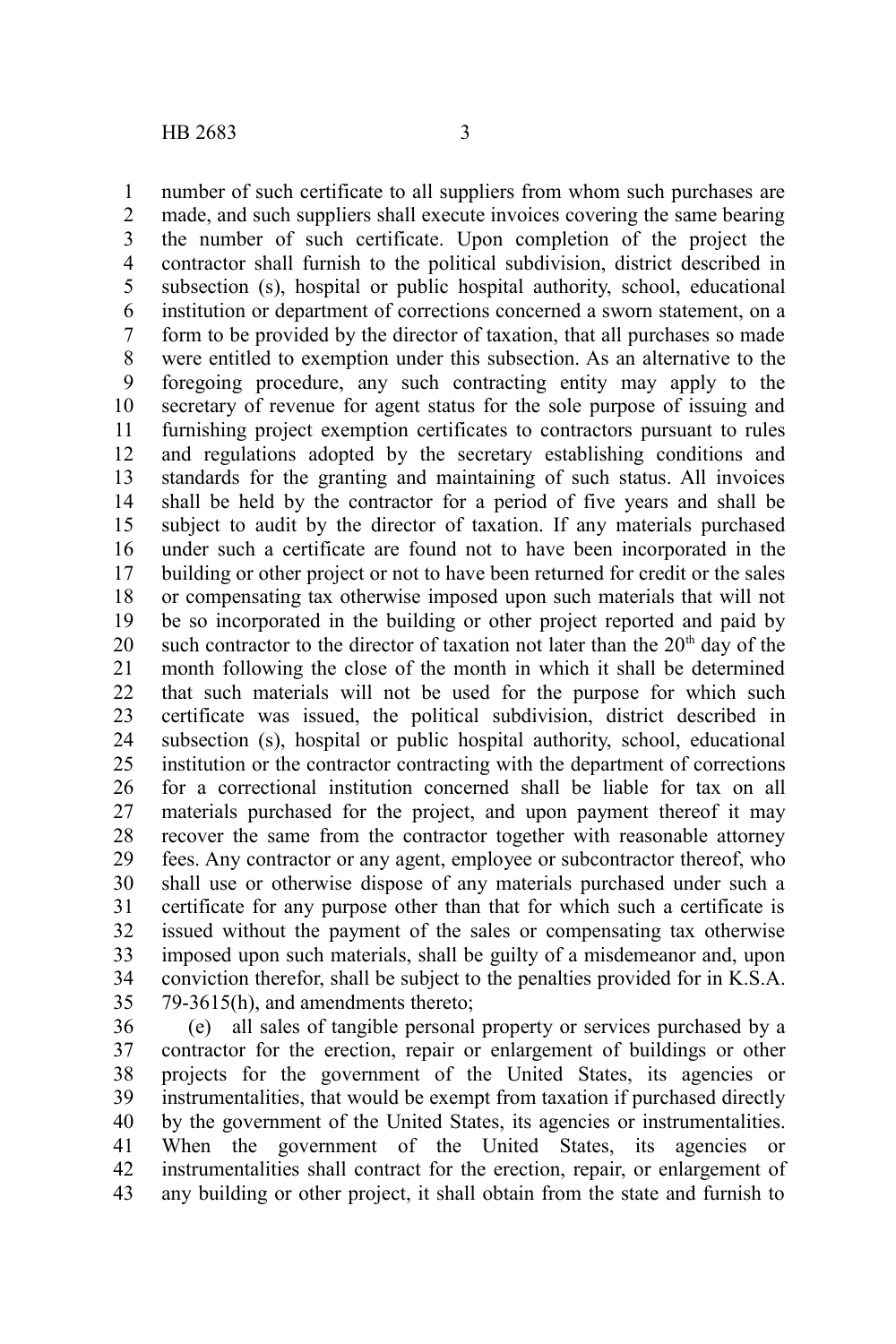number of such certificate to all suppliers from whom such purchases are made, and such suppliers shall execute invoices covering the same bearing the number of such certificate. Upon completion of the project the contractor shall furnish to the political subdivision, district described in subsection (s), hospital or public hospital authority, school, educational institution or department of corrections concerned a sworn statement, on a form to be provided by the director of taxation, that all purchases so made were entitled to exemption under this subsection. As an alternative to the foregoing procedure, any such contracting entity may apply to the secretary of revenue for agent status for the sole purpose of issuing and furnishing project exemption certificates to contractors pursuant to rules and regulations adopted by the secretary establishing conditions and standards for the granting and maintaining of such status. All invoices shall be held by the contractor for a period of five years and shall be subject to audit by the director of taxation. If any materials purchased under such a certificate are found not to have been incorporated in the building or other project or not to have been returned for credit or the sales or compensating tax otherwise imposed upon such materials that will not be so incorporated in the building or other project reported and paid by such contractor to the director of taxation not later than the  $20<sup>th</sup>$  day of the month following the close of the month in which it shall be determined that such materials will not be used for the purpose for which such certificate was issued, the political subdivision, district described in subsection (s), hospital or public hospital authority, school, educational institution or the contractor contracting with the department of corrections for a correctional institution concerned shall be liable for tax on all materials purchased for the project, and upon payment thereof it may recover the same from the contractor together with reasonable attorney fees. Any contractor or any agent, employee or subcontractor thereof, who shall use or otherwise dispose of any materials purchased under such a certificate for any purpose other than that for which such a certificate is issued without the payment of the sales or compensating tax otherwise imposed upon such materials, shall be guilty of a misdemeanor and, upon conviction therefor, shall be subject to the penalties provided for in K.S.A. 79-3615(h), and amendments thereto; 1 2 3 4 5 6 7 8 9 10 11 12 13 14 15 16 17 18 19 20 21 22 23 24 25 26 27 28 29 30 31 32 33 34 35

(e) all sales of tangible personal property or services purchased by a contractor for the erection, repair or enlargement of buildings or other projects for the government of the United States, its agencies or instrumentalities, that would be exempt from taxation if purchased directly by the government of the United States, its agencies or instrumentalities. When the government of the United States, its agencies or instrumentalities shall contract for the erection, repair, or enlargement of any building or other project, it shall obtain from the state and furnish to 36 37 38 39 40 41 42 43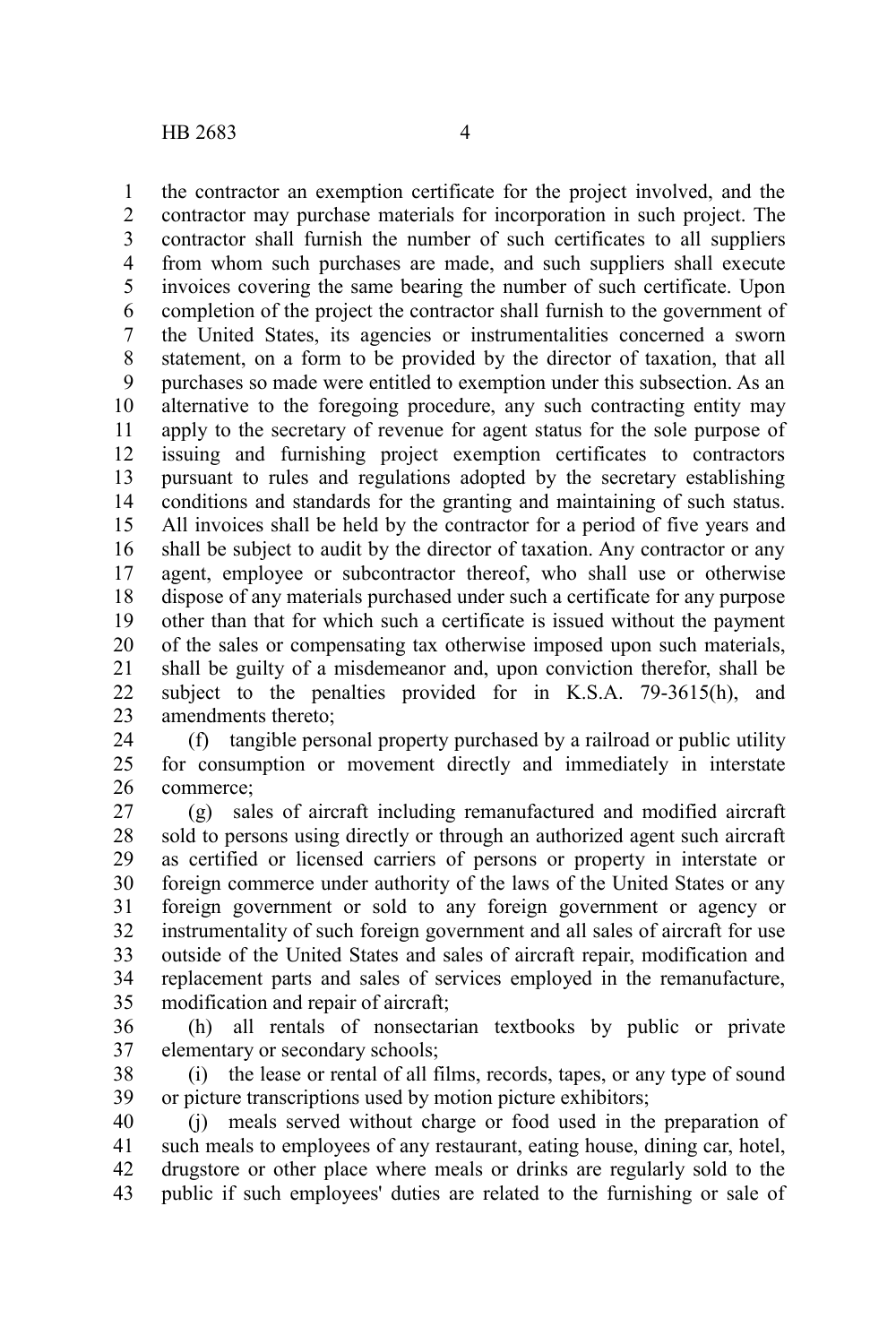the contractor an exemption certificate for the project involved, and the contractor may purchase materials for incorporation in such project. The contractor shall furnish the number of such certificates to all suppliers from whom such purchases are made, and such suppliers shall execute invoices covering the same bearing the number of such certificate. Upon completion of the project the contractor shall furnish to the government of the United States, its agencies or instrumentalities concerned a sworn statement, on a form to be provided by the director of taxation, that all purchases so made were entitled to exemption under this subsection. As an alternative to the foregoing procedure, any such contracting entity may apply to the secretary of revenue for agent status for the sole purpose of issuing and furnishing project exemption certificates to contractors pursuant to rules and regulations adopted by the secretary establishing conditions and standards for the granting and maintaining of such status. All invoices shall be held by the contractor for a period of five years and shall be subject to audit by the director of taxation. Any contractor or any agent, employee or subcontractor thereof, who shall use or otherwise dispose of any materials purchased under such a certificate for any purpose other than that for which such a certificate is issued without the payment of the sales or compensating tax otherwise imposed upon such materials, shall be guilty of a misdemeanor and, upon conviction therefor, shall be subject to the penalties provided for in K.S.A. 79-3615(h), and amendments thereto; 1 2 3 4 5 6 7 8 9 10 11 12 13 14 15 16 17 18 19 20 21 22 23

(f) tangible personal property purchased by a railroad or public utility for consumption or movement directly and immediately in interstate commerce; 24 25 26

(g) sales of aircraft including remanufactured and modified aircraft sold to persons using directly or through an authorized agent such aircraft as certified or licensed carriers of persons or property in interstate or foreign commerce under authority of the laws of the United States or any foreign government or sold to any foreign government or agency or instrumentality of such foreign government and all sales of aircraft for use outside of the United States and sales of aircraft repair, modification and replacement parts and sales of services employed in the remanufacture, modification and repair of aircraft; 27 28 29 30 31 32 33 34 35

- (h) all rentals of nonsectarian textbooks by public or private elementary or secondary schools; 36 37
- (i) the lease or rental of all films, records, tapes, or any type of sound or picture transcriptions used by motion picture exhibitors; 38 39

(j) meals served without charge or food used in the preparation of such meals to employees of any restaurant, eating house, dining car, hotel, drugstore or other place where meals or drinks are regularly sold to the public if such employees' duties are related to the furnishing or sale of 40 41 42 43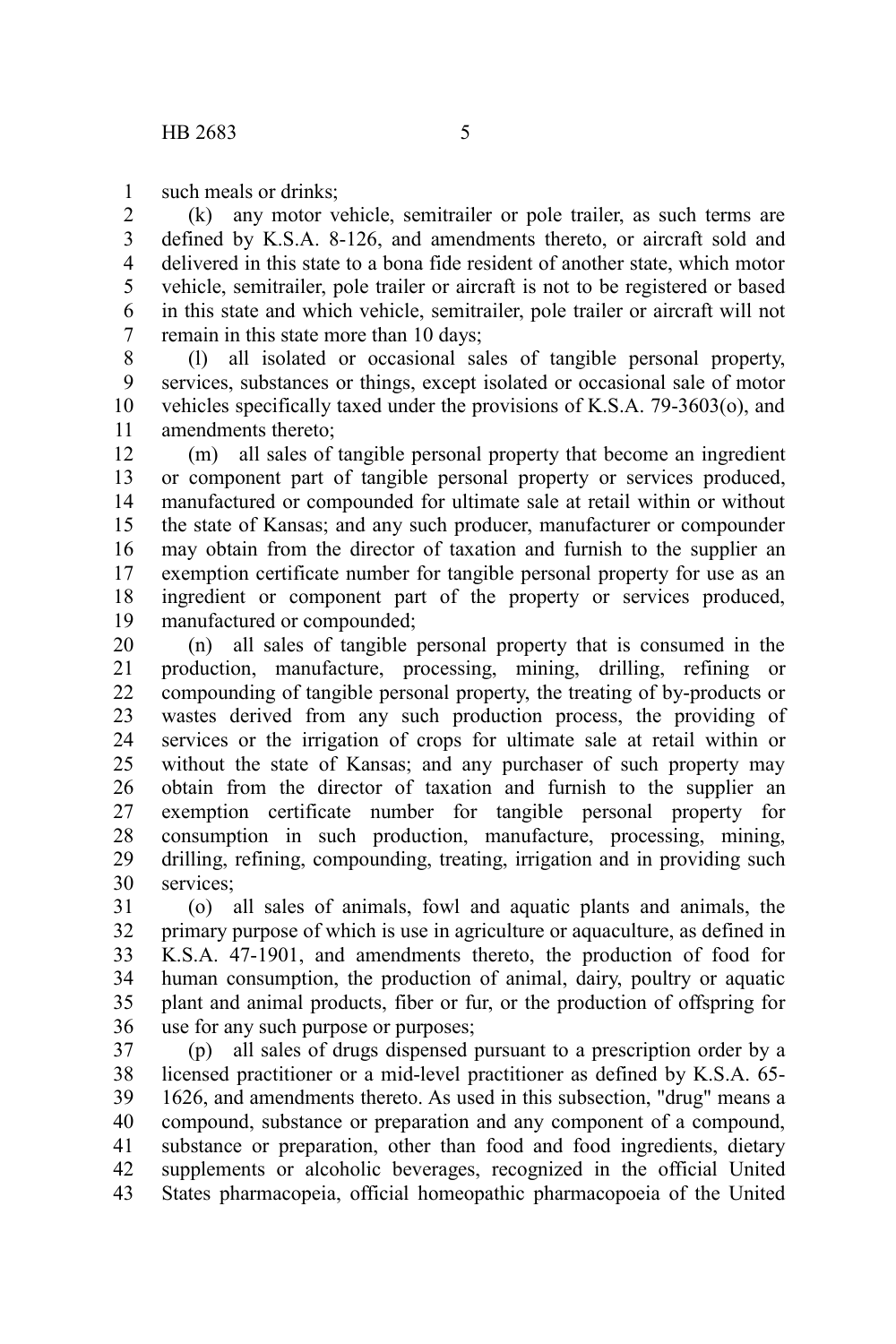such meals or drinks; 1

(k) any motor vehicle, semitrailer or pole trailer, as such terms are defined by K.S.A. 8-126, and amendments thereto, or aircraft sold and delivered in this state to a bona fide resident of another state, which motor vehicle, semitrailer, pole trailer or aircraft is not to be registered or based in this state and which vehicle, semitrailer, pole trailer or aircraft will not remain in this state more than 10 days; 2 3 4 5 6 7

(l) all isolated or occasional sales of tangible personal property, services, substances or things, except isolated or occasional sale of motor vehicles specifically taxed under the provisions of K.S.A. 79-3603(o), and amendments thereto; 8 9 10 11

(m) all sales of tangible personal property that become an ingredient or component part of tangible personal property or services produced, manufactured or compounded for ultimate sale at retail within or without the state of Kansas; and any such producer, manufacturer or compounder may obtain from the director of taxation and furnish to the supplier an exemption certificate number for tangible personal property for use as an ingredient or component part of the property or services produced, manufactured or compounded; 12 13 14 15 16 17 18 19

(n) all sales of tangible personal property that is consumed in the production, manufacture, processing, mining, drilling, refining or compounding of tangible personal property, the treating of by-products or wastes derived from any such production process, the providing of services or the irrigation of crops for ultimate sale at retail within or without the state of Kansas; and any purchaser of such property may obtain from the director of taxation and furnish to the supplier an exemption certificate number for tangible personal property for consumption in such production, manufacture, processing, mining, drilling, refining, compounding, treating, irrigation and in providing such services<sup>.</sup> 20 21 22 23 24 25 26 27 28 29 30

(o) all sales of animals, fowl and aquatic plants and animals, the primary purpose of which is use in agriculture or aquaculture, as defined in K.S.A. 47-1901, and amendments thereto, the production of food for human consumption, the production of animal, dairy, poultry or aquatic plant and animal products, fiber or fur, or the production of offspring for use for any such purpose or purposes; 31 32 33 34 35 36

(p) all sales of drugs dispensed pursuant to a prescription order by a licensed practitioner or a mid-level practitioner as defined by K.S.A. 65- 1626, and amendments thereto. As used in this subsection, "drug" means a compound, substance or preparation and any component of a compound, substance or preparation, other than food and food ingredients, dietary supplements or alcoholic beverages, recognized in the official United States pharmacopeia, official homeopathic pharmacopoeia of the United 37 38 39 40 41 42 43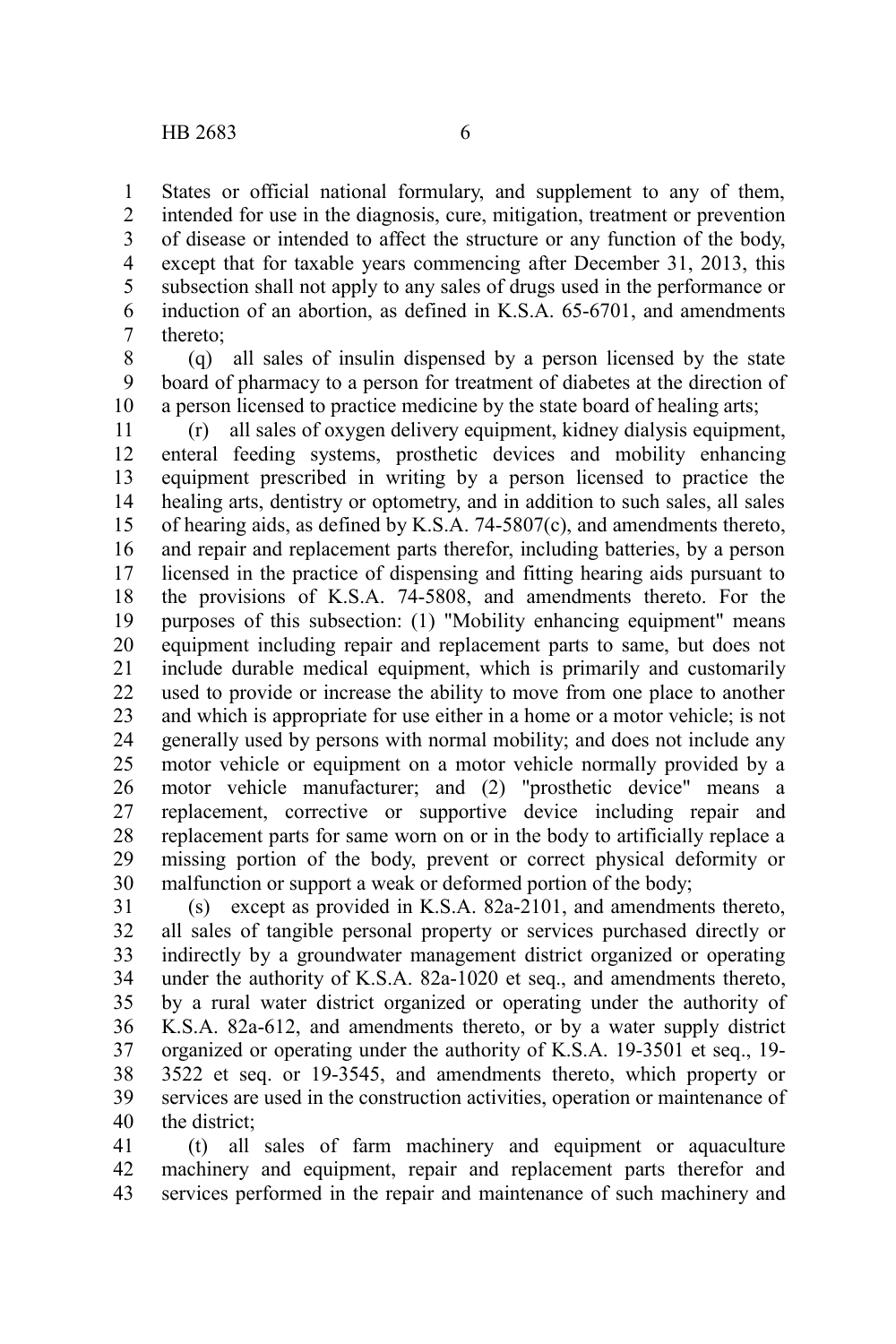States or official national formulary, and supplement to any of them, intended for use in the diagnosis, cure, mitigation, treatment or prevention of disease or intended to affect the structure or any function of the body, except that for taxable years commencing after December 31, 2013, this subsection shall not apply to any sales of drugs used in the performance or induction of an abortion, as defined in K.S.A. 65-6701, and amendments thereto; 1 2 3 4 5 6 7

(q) all sales of insulin dispensed by a person licensed by the state board of pharmacy to a person for treatment of diabetes at the direction of a person licensed to practice medicine by the state board of healing arts; 8 9 10

(r) all sales of oxygen delivery equipment, kidney dialysis equipment, enteral feeding systems, prosthetic devices and mobility enhancing equipment prescribed in writing by a person licensed to practice the healing arts, dentistry or optometry, and in addition to such sales, all sales of hearing aids, as defined by K.S.A. 74-5807(c), and amendments thereto, and repair and replacement parts therefor, including batteries, by a person licensed in the practice of dispensing and fitting hearing aids pursuant to the provisions of K.S.A. 74-5808, and amendments thereto. For the purposes of this subsection: (1) "Mobility enhancing equipment" means equipment including repair and replacement parts to same, but does not include durable medical equipment, which is primarily and customarily used to provide or increase the ability to move from one place to another and which is appropriate for use either in a home or a motor vehicle; is not generally used by persons with normal mobility; and does not include any motor vehicle or equipment on a motor vehicle normally provided by a motor vehicle manufacturer; and (2) "prosthetic device" means a replacement, corrective or supportive device including repair and replacement parts for same worn on or in the body to artificially replace a missing portion of the body, prevent or correct physical deformity or malfunction or support a weak or deformed portion of the body; 11 12 13 14 15 16 17 18 19 20 21 22 23 24 25 26 27 28 29 30

(s) except as provided in K.S.A. 82a-2101, and amendments thereto, all sales of tangible personal property or services purchased directly or indirectly by a groundwater management district organized or operating under the authority of K.S.A. 82a-1020 et seq., and amendments thereto, by a rural water district organized or operating under the authority of K.S.A. 82a-612, and amendments thereto, or by a water supply district organized or operating under the authority of K.S.A. 19-3501 et seq., 19- 3522 et seq. or 19-3545, and amendments thereto, which property or services are used in the construction activities, operation or maintenance of the district; 31 32 33 34 35 36 37 38 39 40

(t) all sales of farm machinery and equipment or aquaculture machinery and equipment, repair and replacement parts therefor and services performed in the repair and maintenance of such machinery and 41 42 43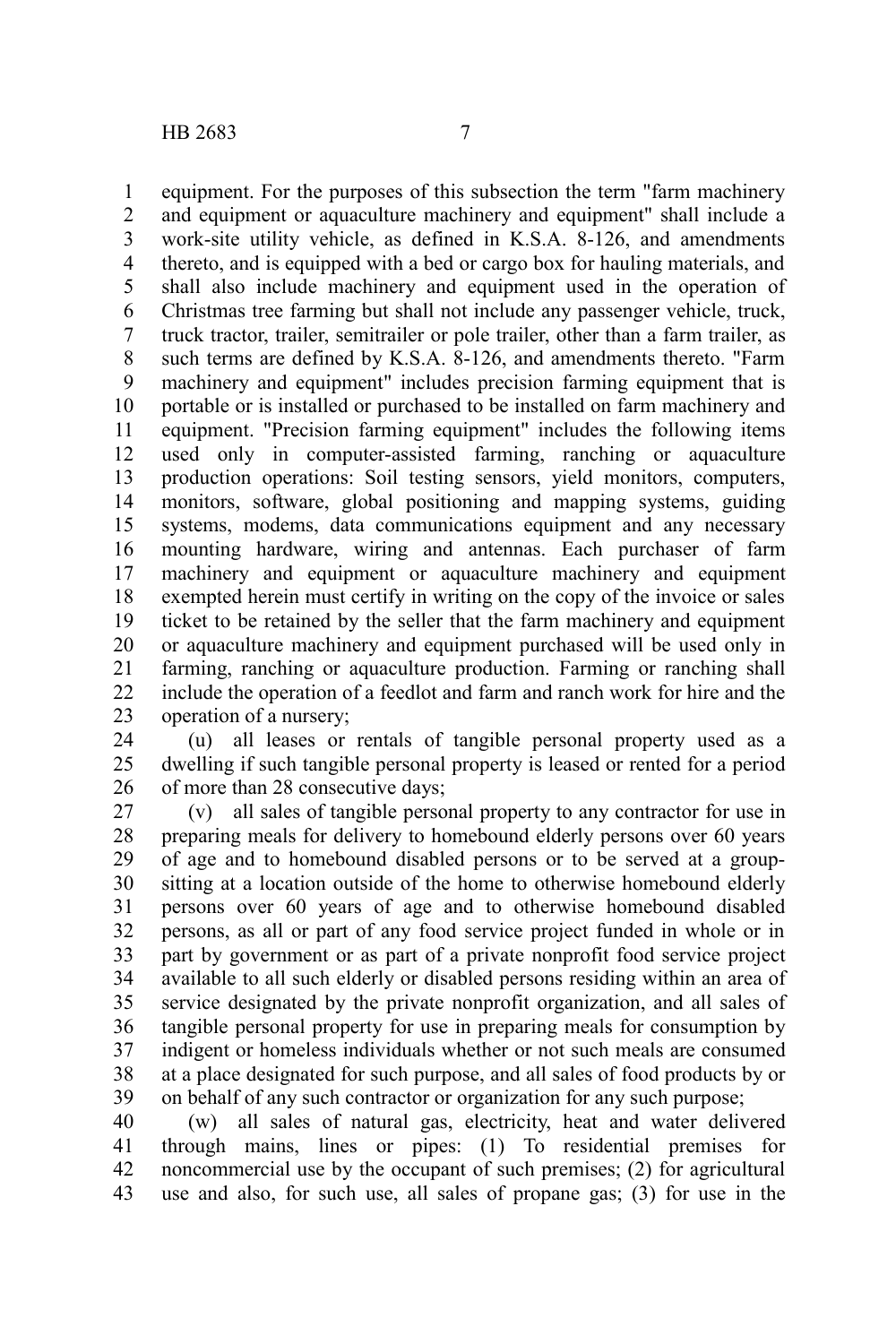equipment. For the purposes of this subsection the term "farm machinery and equipment or aquaculture machinery and equipment" shall include a work-site utility vehicle, as defined in K.S.A. 8-126, and amendments thereto, and is equipped with a bed or cargo box for hauling materials, and shall also include machinery and equipment used in the operation of Christmas tree farming but shall not include any passenger vehicle, truck, truck tractor, trailer, semitrailer or pole trailer, other than a farm trailer, as such terms are defined by K.S.A. 8-126, and amendments thereto. "Farm machinery and equipment" includes precision farming equipment that is portable or is installed or purchased to be installed on farm machinery and equipment. "Precision farming equipment" includes the following items used only in computer-assisted farming, ranching or aquaculture production operations: Soil testing sensors, yield monitors, computers, monitors, software, global positioning and mapping systems, guiding systems, modems, data communications equipment and any necessary mounting hardware, wiring and antennas. Each purchaser of farm machinery and equipment or aquaculture machinery and equipment exempted herein must certify in writing on the copy of the invoice or sales ticket to be retained by the seller that the farm machinery and equipment or aquaculture machinery and equipment purchased will be used only in farming, ranching or aquaculture production. Farming or ranching shall include the operation of a feedlot and farm and ranch work for hire and the operation of a nursery; 1 2 3 4 5 6 7 8 9 10 11 12 13 14 15 16 17 18 19 20 21 22 23

(u) all leases or rentals of tangible personal property used as a dwelling if such tangible personal property is leased or rented for a period of more than 28 consecutive days; 24 25 26

(v) all sales of tangible personal property to any contractor for use in preparing meals for delivery to homebound elderly persons over 60 years of age and to homebound disabled persons or to be served at a groupsitting at a location outside of the home to otherwise homebound elderly persons over 60 years of age and to otherwise homebound disabled persons, as all or part of any food service project funded in whole or in part by government or as part of a private nonprofit food service project available to all such elderly or disabled persons residing within an area of service designated by the private nonprofit organization, and all sales of tangible personal property for use in preparing meals for consumption by indigent or homeless individuals whether or not such meals are consumed at a place designated for such purpose, and all sales of food products by or on behalf of any such contractor or organization for any such purpose; 27 28 29 30 31 32 33 34 35 36 37 38 39

(w) all sales of natural gas, electricity, heat and water delivered through mains, lines or pipes: (1) To residential premises for noncommercial use by the occupant of such premises; (2) for agricultural use and also, for such use, all sales of propane gas; (3) for use in the 40 41 42 43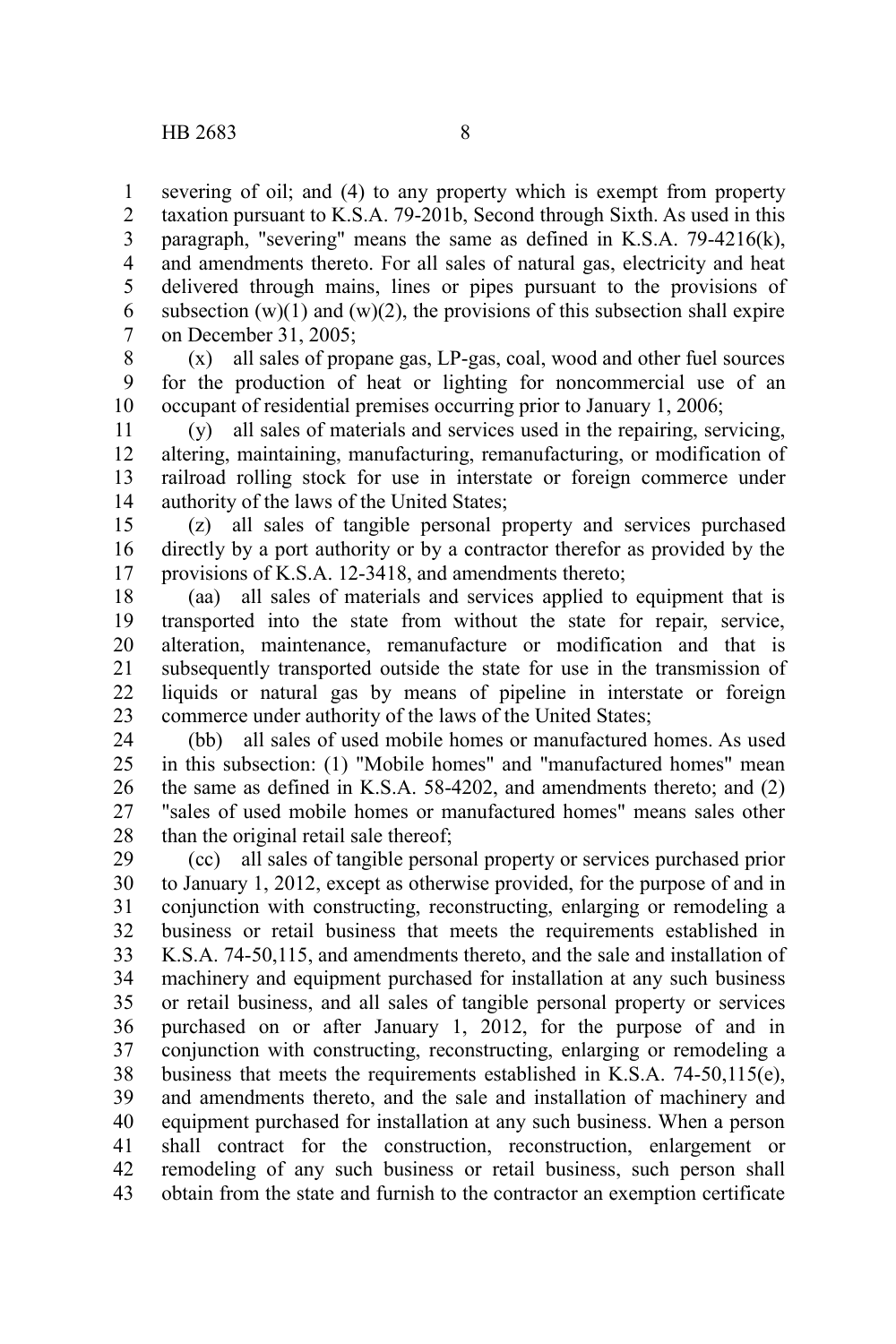severing of oil; and (4) to any property which is exempt from property taxation pursuant to K.S.A. 79-201b, Second through Sixth. As used in this paragraph, "severing" means the same as defined in K.S.A. 79-4216(k), and amendments thereto. For all sales of natural gas, electricity and heat delivered through mains, lines or pipes pursuant to the provisions of subsection  $(w)(1)$  and  $(w)(2)$ , the provisions of this subsection shall expire on December 31, 2005; 1 2 3 4 5 6 7

(x) all sales of propane gas, LP-gas, coal, wood and other fuel sources for the production of heat or lighting for noncommercial use of an occupant of residential premises occurring prior to January 1, 2006; 8 9 10

(y) all sales of materials and services used in the repairing, servicing, altering, maintaining, manufacturing, remanufacturing, or modification of railroad rolling stock for use in interstate or foreign commerce under authority of the laws of the United States; 11 12 13 14

(z) all sales of tangible personal property and services purchased directly by a port authority or by a contractor therefor as provided by the provisions of K.S.A. 12-3418, and amendments thereto; 15 16 17

(aa) all sales of materials and services applied to equipment that is transported into the state from without the state for repair, service, alteration, maintenance, remanufacture or modification and that is subsequently transported outside the state for use in the transmission of liquids or natural gas by means of pipeline in interstate or foreign commerce under authority of the laws of the United States; 18 19 20 21 22 23

(bb) all sales of used mobile homes or manufactured homes. As used in this subsection: (1) "Mobile homes" and "manufactured homes" mean the same as defined in K.S.A. 58-4202, and amendments thereto; and (2) "sales of used mobile homes or manufactured homes" means sales other than the original retail sale thereof; 24 25 26 27 28

(cc) all sales of tangible personal property or services purchased prior to January 1, 2012, except as otherwise provided, for the purpose of and in conjunction with constructing, reconstructing, enlarging or remodeling a business or retail business that meets the requirements established in K.S.A. 74-50,115, and amendments thereto, and the sale and installation of machinery and equipment purchased for installation at any such business or retail business, and all sales of tangible personal property or services purchased on or after January 1, 2012, for the purpose of and in conjunction with constructing, reconstructing, enlarging or remodeling a business that meets the requirements established in K.S.A. 74-50,115(e), and amendments thereto, and the sale and installation of machinery and equipment purchased for installation at any such business. When a person shall contract for the construction, reconstruction, enlargement or remodeling of any such business or retail business, such person shall obtain from the state and furnish to the contractor an exemption certificate 29 30 31 32 33 34 35 36 37 38 39 40 41 42 43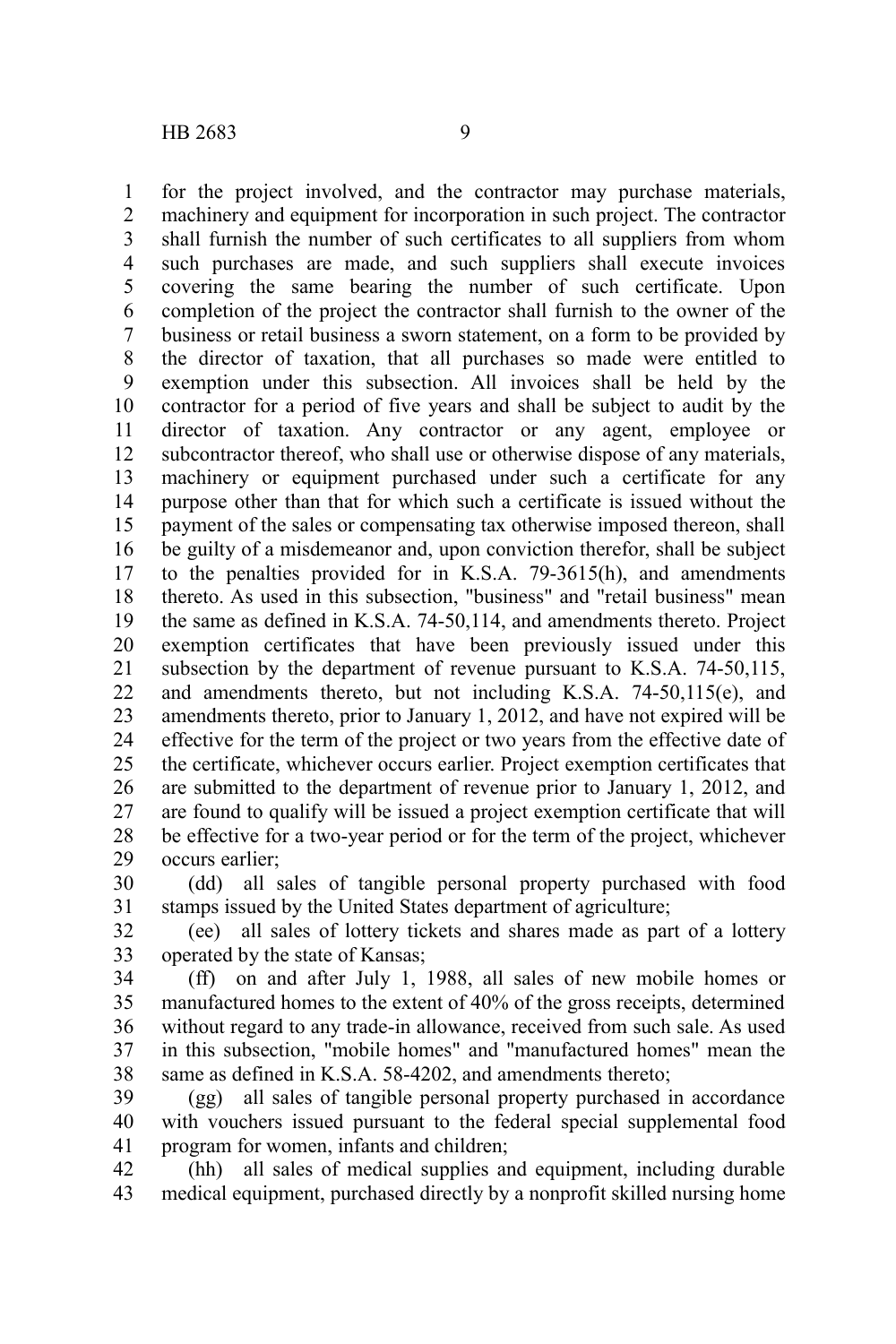for the project involved, and the contractor may purchase materials, machinery and equipment for incorporation in such project. The contractor shall furnish the number of such certificates to all suppliers from whom such purchases are made, and such suppliers shall execute invoices covering the same bearing the number of such certificate. Upon completion of the project the contractor shall furnish to the owner of the business or retail business a sworn statement, on a form to be provided by the director of taxation, that all purchases so made were entitled to exemption under this subsection. All invoices shall be held by the contractor for a period of five years and shall be subject to audit by the director of taxation. Any contractor or any agent, employee or subcontractor thereof, who shall use or otherwise dispose of any materials, machinery or equipment purchased under such a certificate for any purpose other than that for which such a certificate is issued without the payment of the sales or compensating tax otherwise imposed thereon, shall be guilty of a misdemeanor and, upon conviction therefor, shall be subject to the penalties provided for in K.S.A. 79-3615(h), and amendments thereto. As used in this subsection, "business" and "retail business" mean the same as defined in K.S.A. 74-50,114, and amendments thereto. Project exemption certificates that have been previously issued under this subsection by the department of revenue pursuant to K.S.A. 74-50,115, and amendments thereto, but not including K.S.A. 74-50,115(e), and amendments thereto, prior to January 1, 2012, and have not expired will be effective for the term of the project or two years from the effective date of the certificate, whichever occurs earlier. Project exemption certificates that are submitted to the department of revenue prior to January 1, 2012, and are found to qualify will be issued a project exemption certificate that will be effective for a two-year period or for the term of the project, whichever occurs earlier; 1 2 3 4 5 6 7 8 9 10 11 12 13 14 15 16 17 18 19 20 21 22 23 24 25 26 27 28 29

(dd) all sales of tangible personal property purchased with food stamps issued by the United States department of agriculture; 30 31

(ee) all sales of lottery tickets and shares made as part of a lottery operated by the state of Kansas; 32 33

(ff) on and after July 1, 1988, all sales of new mobile homes or manufactured homes to the extent of 40% of the gross receipts, determined without regard to any trade-in allowance, received from such sale. As used in this subsection, "mobile homes" and "manufactured homes" mean the same as defined in K.S.A. 58-4202, and amendments thereto; 34 35 36 37 38

(gg) all sales of tangible personal property purchased in accordance with vouchers issued pursuant to the federal special supplemental food program for women, infants and children; 39 40 41

(hh) all sales of medical supplies and equipment, including durable medical equipment, purchased directly by a nonprofit skilled nursing home 42 43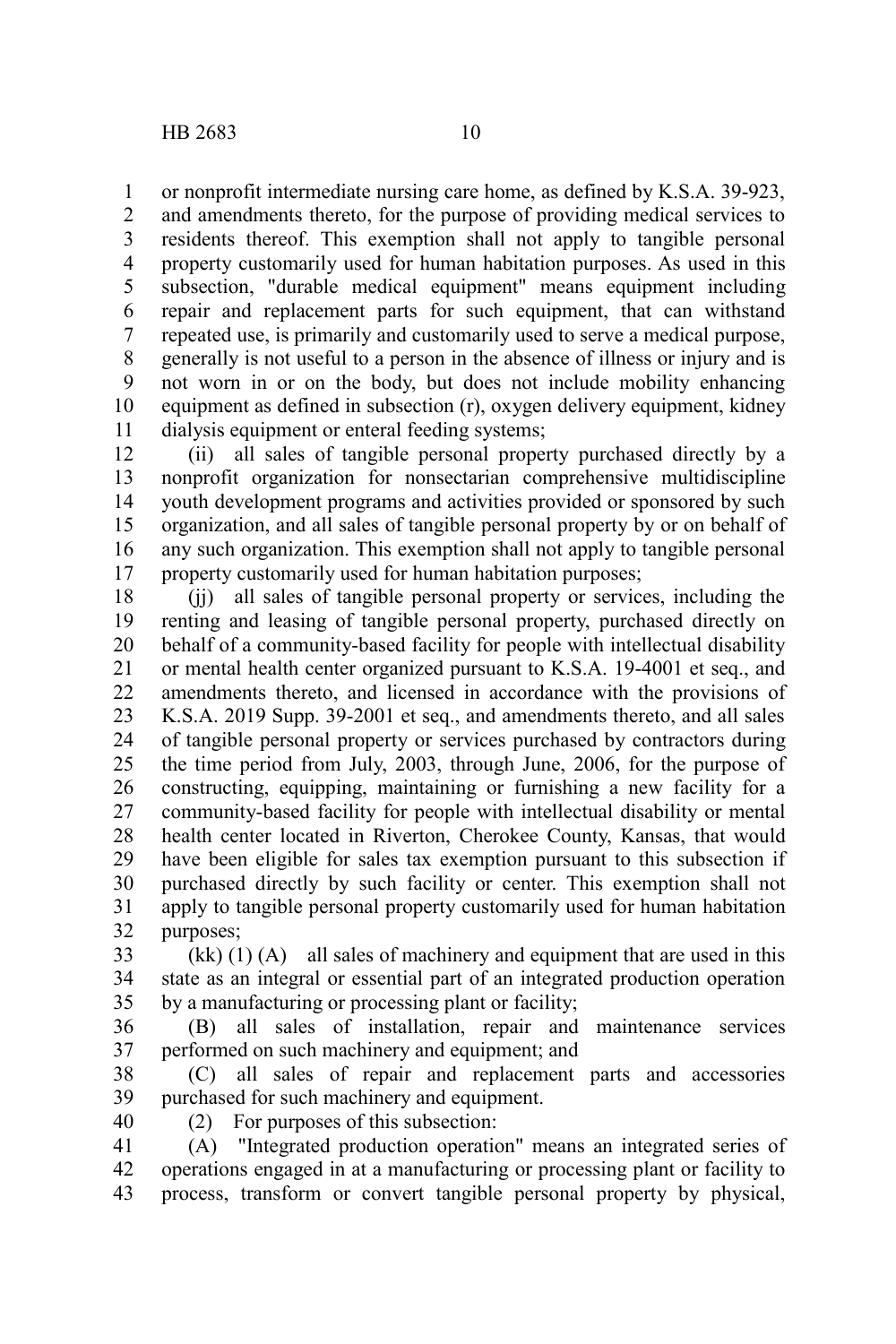or nonprofit intermediate nursing care home, as defined by K.S.A. 39-923, and amendments thereto, for the purpose of providing medical services to residents thereof. This exemption shall not apply to tangible personal property customarily used for human habitation purposes. As used in this subsection, "durable medical equipment" means equipment including repair and replacement parts for such equipment, that can withstand repeated use, is primarily and customarily used to serve a medical purpose, generally is not useful to a person in the absence of illness or injury and is not worn in or on the body, but does not include mobility enhancing equipment as defined in subsection (r), oxygen delivery equipment, kidney dialysis equipment or enteral feeding systems; 1 2 3 4 5 6 7 8 9 10 11

(ii) all sales of tangible personal property purchased directly by a nonprofit organization for nonsectarian comprehensive multidiscipline youth development programs and activities provided or sponsored by such organization, and all sales of tangible personal property by or on behalf of any such organization. This exemption shall not apply to tangible personal property customarily used for human habitation purposes; 12 13 14 15 16 17

(jj) all sales of tangible personal property or services, including the renting and leasing of tangible personal property, purchased directly on behalf of a community-based facility for people with intellectual disability or mental health center organized pursuant to K.S.A. 19-4001 et seq., and amendments thereto, and licensed in accordance with the provisions of K.S.A. 2019 Supp. 39-2001 et seq., and amendments thereto, and all sales of tangible personal property or services purchased by contractors during the time period from July, 2003, through June, 2006, for the purpose of constructing, equipping, maintaining or furnishing a new facility for a community-based facility for people with intellectual disability or mental health center located in Riverton, Cherokee County, Kansas, that would have been eligible for sales tax exemption pursuant to this subsection if purchased directly by such facility or center. This exemption shall not apply to tangible personal property customarily used for human habitation purposes; 18 19 20 21 22 23 24 25 26 27 28 29 30 31 32

 $(kk)$  (1) (A) all sales of machinery and equipment that are used in this state as an integral or essential part of an integrated production operation by a manufacturing or processing plant or facility; 33 34 35

(B) all sales of installation, repair and maintenance services performed on such machinery and equipment; and 36 37

(C) all sales of repair and replacement parts and accessories purchased for such machinery and equipment. 38 39

40

(2) For purposes of this subsection:

(A) "Integrated production operation" means an integrated series of operations engaged in at a manufacturing or processing plant or facility to process, transform or convert tangible personal property by physical, 41 42 43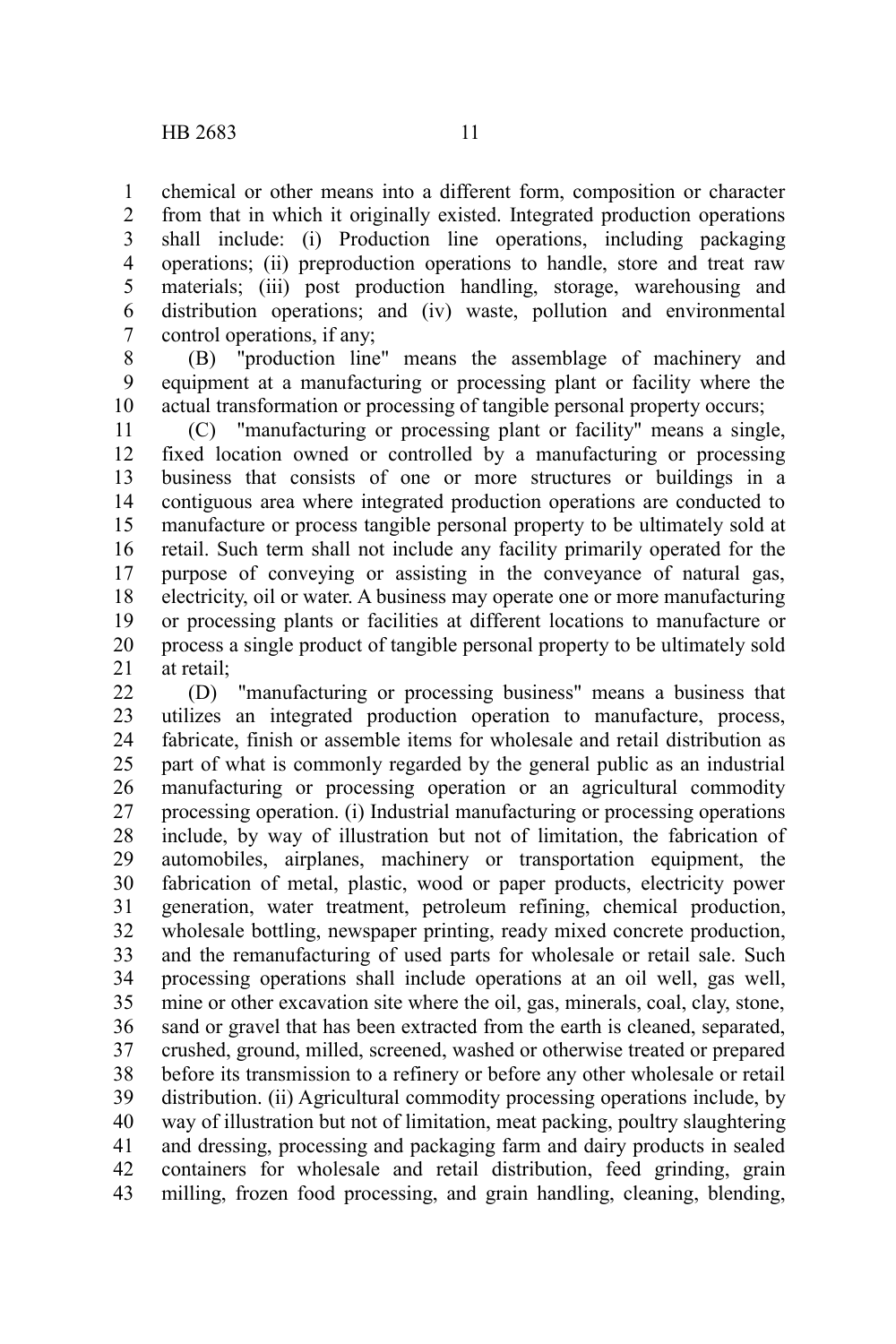chemical or other means into a different form, composition or character from that in which it originally existed. Integrated production operations shall include: (i) Production line operations, including packaging operations; (ii) preproduction operations to handle, store and treat raw materials; (iii) post production handling, storage, warehousing and distribution operations; and (iv) waste, pollution and environmental control operations, if any; 1 2 3 4 5 6 7

(B) "production line" means the assemblage of machinery and equipment at a manufacturing or processing plant or facility where the actual transformation or processing of tangible personal property occurs; 8 9 10

(C) "manufacturing or processing plant or facility" means a single, fixed location owned or controlled by a manufacturing or processing business that consists of one or more structures or buildings in a contiguous area where integrated production operations are conducted to manufacture or process tangible personal property to be ultimately sold at retail. Such term shall not include any facility primarily operated for the purpose of conveying or assisting in the conveyance of natural gas, electricity, oil or water. A business may operate one or more manufacturing or processing plants or facilities at different locations to manufacture or process a single product of tangible personal property to be ultimately sold at retail; 11 12 13 14 15 16 17 18 19 20 21

(D) "manufacturing or processing business" means a business that utilizes an integrated production operation to manufacture, process, fabricate, finish or assemble items for wholesale and retail distribution as part of what is commonly regarded by the general public as an industrial manufacturing or processing operation or an agricultural commodity processing operation. (i) Industrial manufacturing or processing operations include, by way of illustration but not of limitation, the fabrication of automobiles, airplanes, machinery or transportation equipment, the fabrication of metal, plastic, wood or paper products, electricity power generation, water treatment, petroleum refining, chemical production, wholesale bottling, newspaper printing, ready mixed concrete production, and the remanufacturing of used parts for wholesale or retail sale. Such processing operations shall include operations at an oil well, gas well, mine or other excavation site where the oil, gas, minerals, coal, clay, stone, sand or gravel that has been extracted from the earth is cleaned, separated, crushed, ground, milled, screened, washed or otherwise treated or prepared before its transmission to a refinery or before any other wholesale or retail distribution. (ii) Agricultural commodity processing operations include, by way of illustration but not of limitation, meat packing, poultry slaughtering and dressing, processing and packaging farm and dairy products in sealed containers for wholesale and retail distribution, feed grinding, grain milling, frozen food processing, and grain handling, cleaning, blending, 22 23 24 25 26 27 28 29 30 31 32 33 34 35 36 37 38 39 40 41 42 43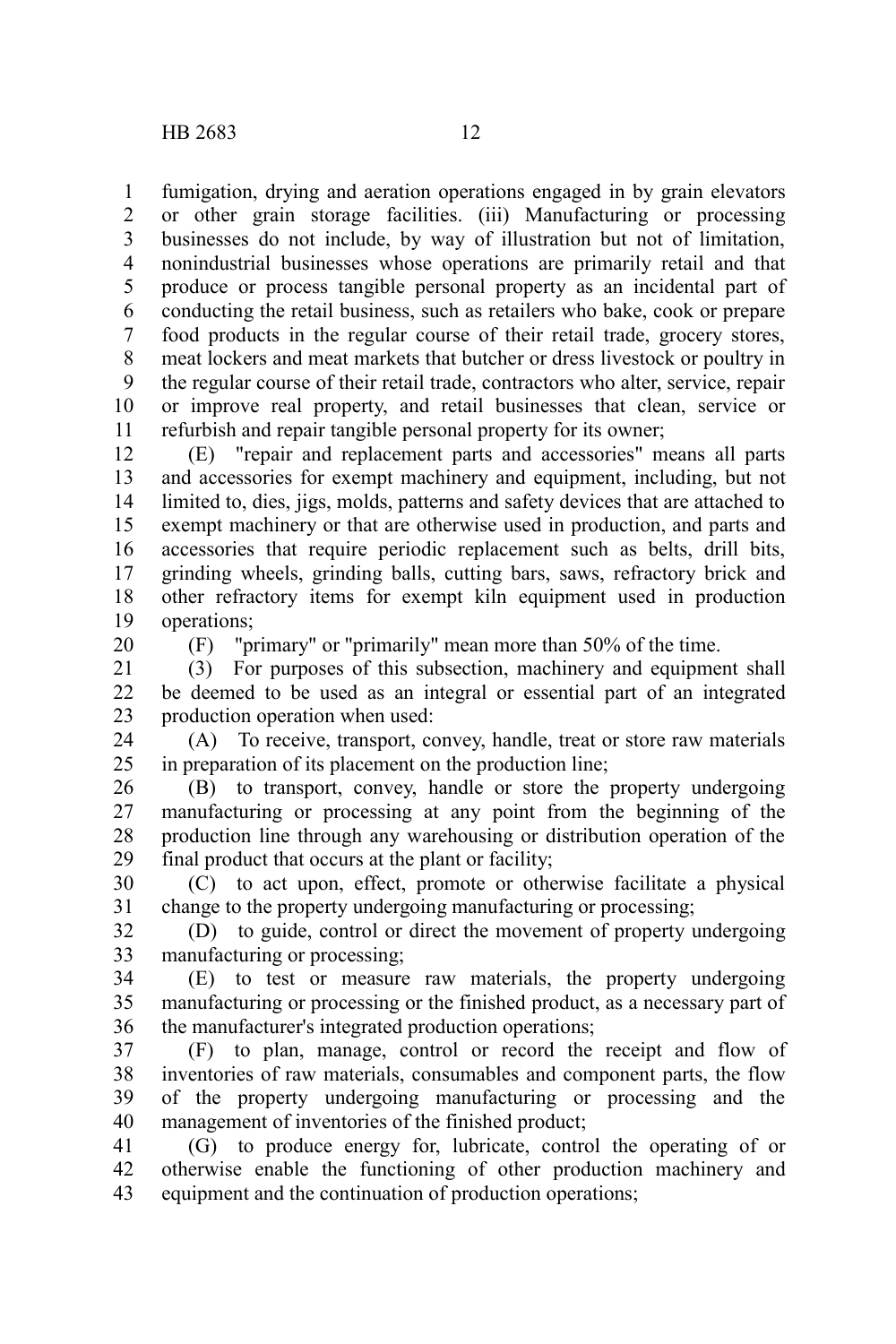fumigation, drying and aeration operations engaged in by grain elevators or other grain storage facilities. (iii) Manufacturing or processing businesses do not include, by way of illustration but not of limitation, nonindustrial businesses whose operations are primarily retail and that produce or process tangible personal property as an incidental part of conducting the retail business, such as retailers who bake, cook or prepare food products in the regular course of their retail trade, grocery stores, meat lockers and meat markets that butcher or dress livestock or poultry in the regular course of their retail trade, contractors who alter, service, repair or improve real property, and retail businesses that clean, service or refurbish and repair tangible personal property for its owner; 1 2 3 4 5 6 7 8 9 10 11

(E) "repair and replacement parts and accessories" means all parts and accessories for exempt machinery and equipment, including, but not limited to, dies, jigs, molds, patterns and safety devices that are attached to exempt machinery or that are otherwise used in production, and parts and accessories that require periodic replacement such as belts, drill bits, grinding wheels, grinding balls, cutting bars, saws, refractory brick and other refractory items for exempt kiln equipment used in production operations; 12 13 14 15 16 17 18 19

20

(F) "primary" or "primarily" mean more than 50% of the time.

(3) For purposes of this subsection, machinery and equipment shall be deemed to be used as an integral or essential part of an integrated production operation when used: 21 22 23

(A) To receive, transport, convey, handle, treat or store raw materials in preparation of its placement on the production line; 24 25

(B) to transport, convey, handle or store the property undergoing manufacturing or processing at any point from the beginning of the production line through any warehousing or distribution operation of the final product that occurs at the plant or facility; 26 27 28 29

(C) to act upon, effect, promote or otherwise facilitate a physical change to the property undergoing manufacturing or processing; 30 31

(D) to guide, control or direct the movement of property undergoing manufacturing or processing; 32 33

(E) to test or measure raw materials, the property undergoing manufacturing or processing or the finished product, as a necessary part of the manufacturer's integrated production operations; 34 35 36

(F) to plan, manage, control or record the receipt and flow of inventories of raw materials, consumables and component parts, the flow of the property undergoing manufacturing or processing and the management of inventories of the finished product; 37 38 39 40

(G) to produce energy for, lubricate, control the operating of or otherwise enable the functioning of other production machinery and equipment and the continuation of production operations; 41 42 43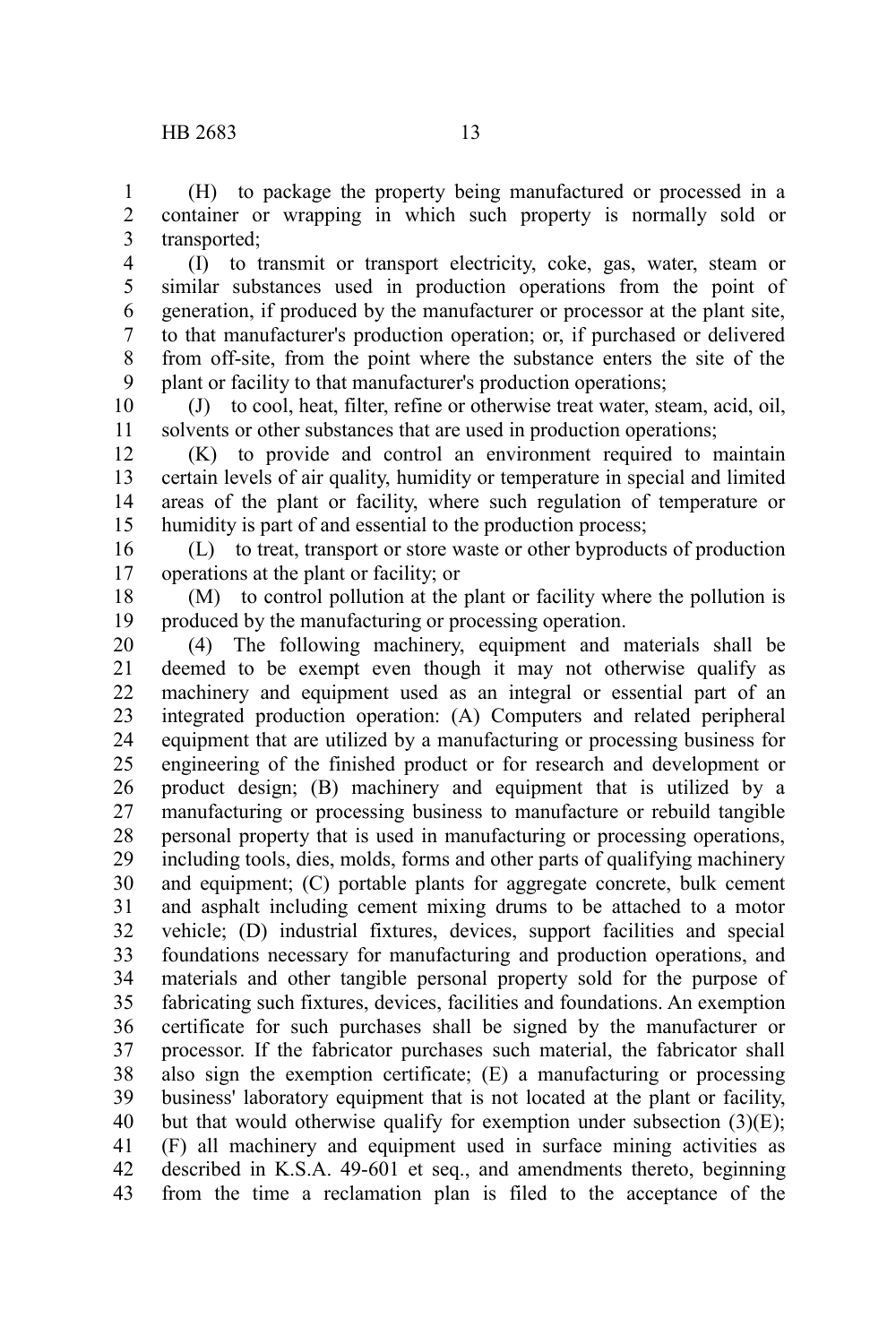(H) to package the property being manufactured or processed in a container or wrapping in which such property is normally sold or transported; 1 2 3

(I) to transmit or transport electricity, coke, gas, water, steam or similar substances used in production operations from the point of generation, if produced by the manufacturer or processor at the plant site, to that manufacturer's production operation; or, if purchased or delivered from off-site, from the point where the substance enters the site of the plant or facility to that manufacturer's production operations; 4 5 6 7 8 9

(J) to cool, heat, filter, refine or otherwise treat water, steam, acid, oil, solvents or other substances that are used in production operations; 10 11

(K) to provide and control an environment required to maintain certain levels of air quality, humidity or temperature in special and limited areas of the plant or facility, where such regulation of temperature or humidity is part of and essential to the production process; 12 13 14 15

(L) to treat, transport or store waste or other byproducts of production operations at the plant or facility; or 16 17

(M) to control pollution at the plant or facility where the pollution is produced by the manufacturing or processing operation. 18 19

(4) The following machinery, equipment and materials shall be deemed to be exempt even though it may not otherwise qualify as machinery and equipment used as an integral or essential part of an integrated production operation: (A) Computers and related peripheral equipment that are utilized by a manufacturing or processing business for engineering of the finished product or for research and development or product design; (B) machinery and equipment that is utilized by a manufacturing or processing business to manufacture or rebuild tangible personal property that is used in manufacturing or processing operations, including tools, dies, molds, forms and other parts of qualifying machinery and equipment; (C) portable plants for aggregate concrete, bulk cement and asphalt including cement mixing drums to be attached to a motor vehicle; (D) industrial fixtures, devices, support facilities and special foundations necessary for manufacturing and production operations, and materials and other tangible personal property sold for the purpose of fabricating such fixtures, devices, facilities and foundations. An exemption certificate for such purchases shall be signed by the manufacturer or processor. If the fabricator purchases such material, the fabricator shall also sign the exemption certificate; (E) a manufacturing or processing business' laboratory equipment that is not located at the plant or facility, but that would otherwise qualify for exemption under subsection  $(3)(E)$ ; (F) all machinery and equipment used in surface mining activities as described in K.S.A. 49-601 et seq., and amendments thereto, beginning from the time a reclamation plan is filed to the acceptance of the 20 21 22 23 24 25 26 27 28 29 30 31 32 33 34 35 36 37 38 39 40 41 42 43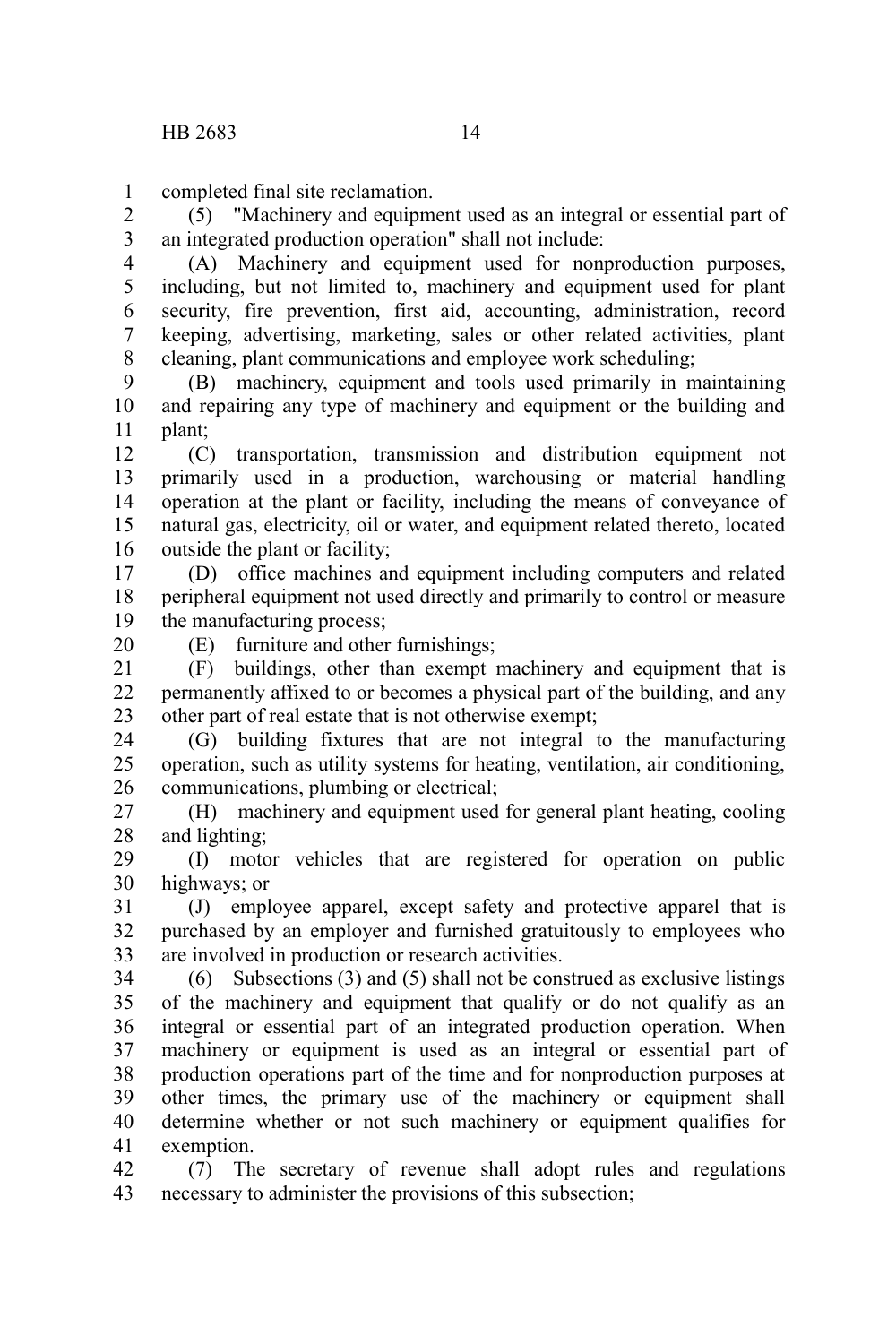completed final site reclamation. 1

(5) "Machinery and equipment used as an integral or essential part of an integrated production operation" shall not include: 2 3

(A) Machinery and equipment used for nonproduction purposes, including, but not limited to, machinery and equipment used for plant security, fire prevention, first aid, accounting, administration, record keeping, advertising, marketing, sales or other related activities, plant cleaning, plant communications and employee work scheduling; 4 5 6 7 8

(B) machinery, equipment and tools used primarily in maintaining and repairing any type of machinery and equipment or the building and plant; 9 10 11

(C) transportation, transmission and distribution equipment not primarily used in a production, warehousing or material handling operation at the plant or facility, including the means of conveyance of natural gas, electricity, oil or water, and equipment related thereto, located outside the plant or facility; 12 13 14 15 16

(D) office machines and equipment including computers and related peripheral equipment not used directly and primarily to control or measure the manufacturing process; 17 18 19

20

(E) furniture and other furnishings;

(F) buildings, other than exempt machinery and equipment that is permanently affixed to or becomes a physical part of the building, and any other part of real estate that is not otherwise exempt; 21 22 23

(G) building fixtures that are not integral to the manufacturing operation, such as utility systems for heating, ventilation, air conditioning, communications, plumbing or electrical; 24 25 26

(H) machinery and equipment used for general plant heating, cooling and lighting; 27 28

(I) motor vehicles that are registered for operation on public highways; or 29 30

(J) employee apparel, except safety and protective apparel that is purchased by an employer and furnished gratuitously to employees who are involved in production or research activities. 31 32 33

(6) Subsections (3) and (5) shall not be construed as exclusive listings of the machinery and equipment that qualify or do not qualify as an integral or essential part of an integrated production operation. When machinery or equipment is used as an integral or essential part of production operations part of the time and for nonproduction purposes at other times, the primary use of the machinery or equipment shall determine whether or not such machinery or equipment qualifies for exemption. 34 35 36 37 38 39 40 41

(7) The secretary of revenue shall adopt rules and regulations necessary to administer the provisions of this subsection; 42 43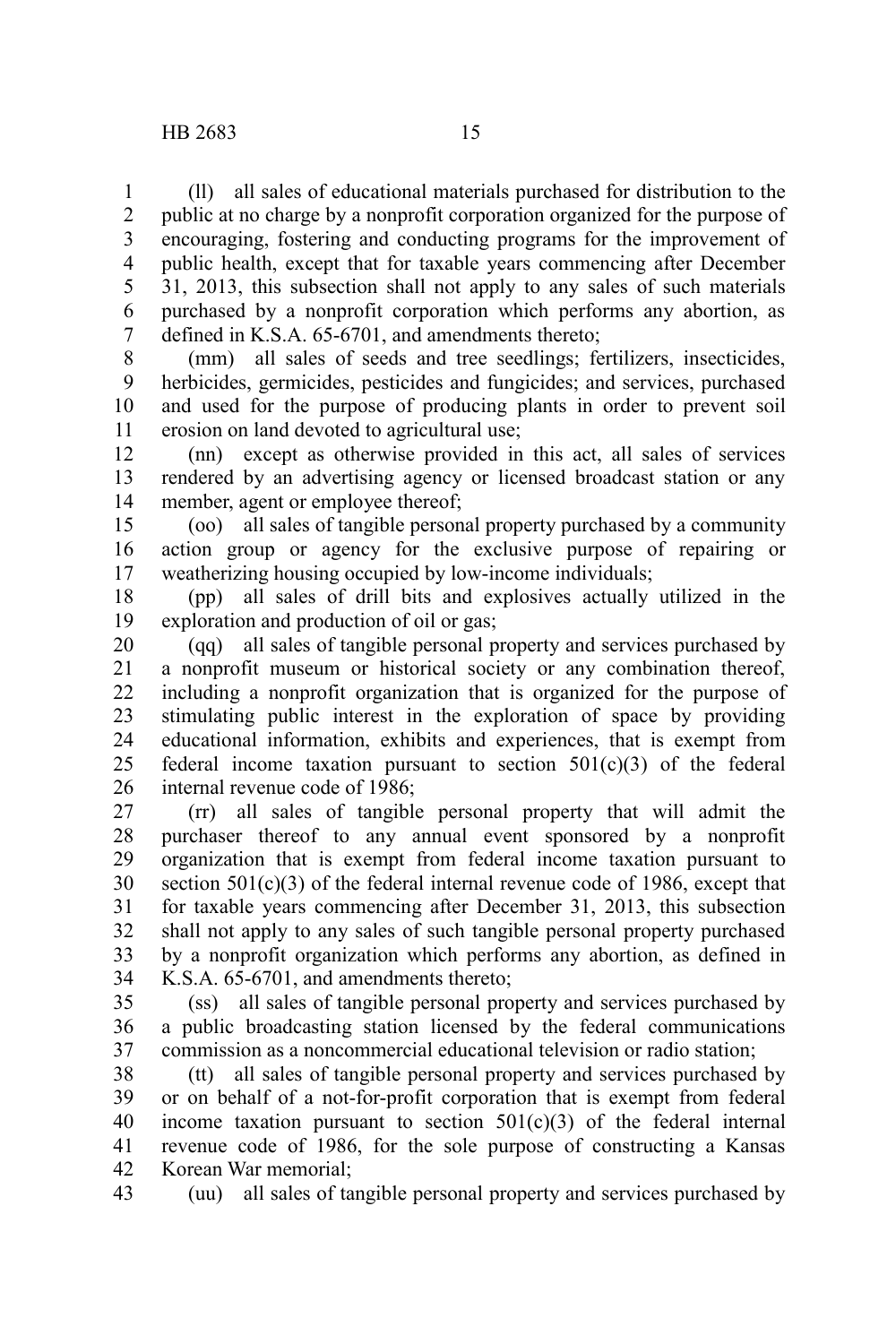(ll) all sales of educational materials purchased for distribution to the public at no charge by a nonprofit corporation organized for the purpose of encouraging, fostering and conducting programs for the improvement of public health, except that for taxable years commencing after December 31, 2013, this subsection shall not apply to any sales of such materials purchased by a nonprofit corporation which performs any abortion, as defined in K.S.A. 65-6701, and amendments thereto; 1 2 3 4 5 6 7

(mm) all sales of seeds and tree seedlings; fertilizers, insecticides, herbicides, germicides, pesticides and fungicides; and services, purchased and used for the purpose of producing plants in order to prevent soil erosion on land devoted to agricultural use; 8 9 10 11

(nn) except as otherwise provided in this act, all sales of services rendered by an advertising agency or licensed broadcast station or any member, agent or employee thereof; 12 13 14

(oo) all sales of tangible personal property purchased by a community action group or agency for the exclusive purpose of repairing or weatherizing housing occupied by low-income individuals; 15 16 17

(pp) all sales of drill bits and explosives actually utilized in the exploration and production of oil or gas; 18 19

(qq) all sales of tangible personal property and services purchased by a nonprofit museum or historical society or any combination thereof, including a nonprofit organization that is organized for the purpose of stimulating public interest in the exploration of space by providing educational information, exhibits and experiences, that is exempt from federal income taxation pursuant to section 501(c)(3) of the federal internal revenue code of 1986; 20 21 22 23 24 25 26

(rr) all sales of tangible personal property that will admit the purchaser thereof to any annual event sponsored by a nonprofit organization that is exempt from federal income taxation pursuant to section  $501(c)(3)$  of the federal internal revenue code of 1986, except that for taxable years commencing after December 31, 2013, this subsection shall not apply to any sales of such tangible personal property purchased by a nonprofit organization which performs any abortion, as defined in K.S.A. 65-6701, and amendments thereto; 27 28 29 30 31 32 33 34

(ss) all sales of tangible personal property and services purchased by a public broadcasting station licensed by the federal communications commission as a noncommercial educational television or radio station; 35 36 37

(tt) all sales of tangible personal property and services purchased by or on behalf of a not-for-profit corporation that is exempt from federal income taxation pursuant to section  $501(c)(3)$  of the federal internal revenue code of 1986, for the sole purpose of constructing a Kansas Korean War memorial; 38 39 40 41 42

(uu) all sales of tangible personal property and services purchased by 43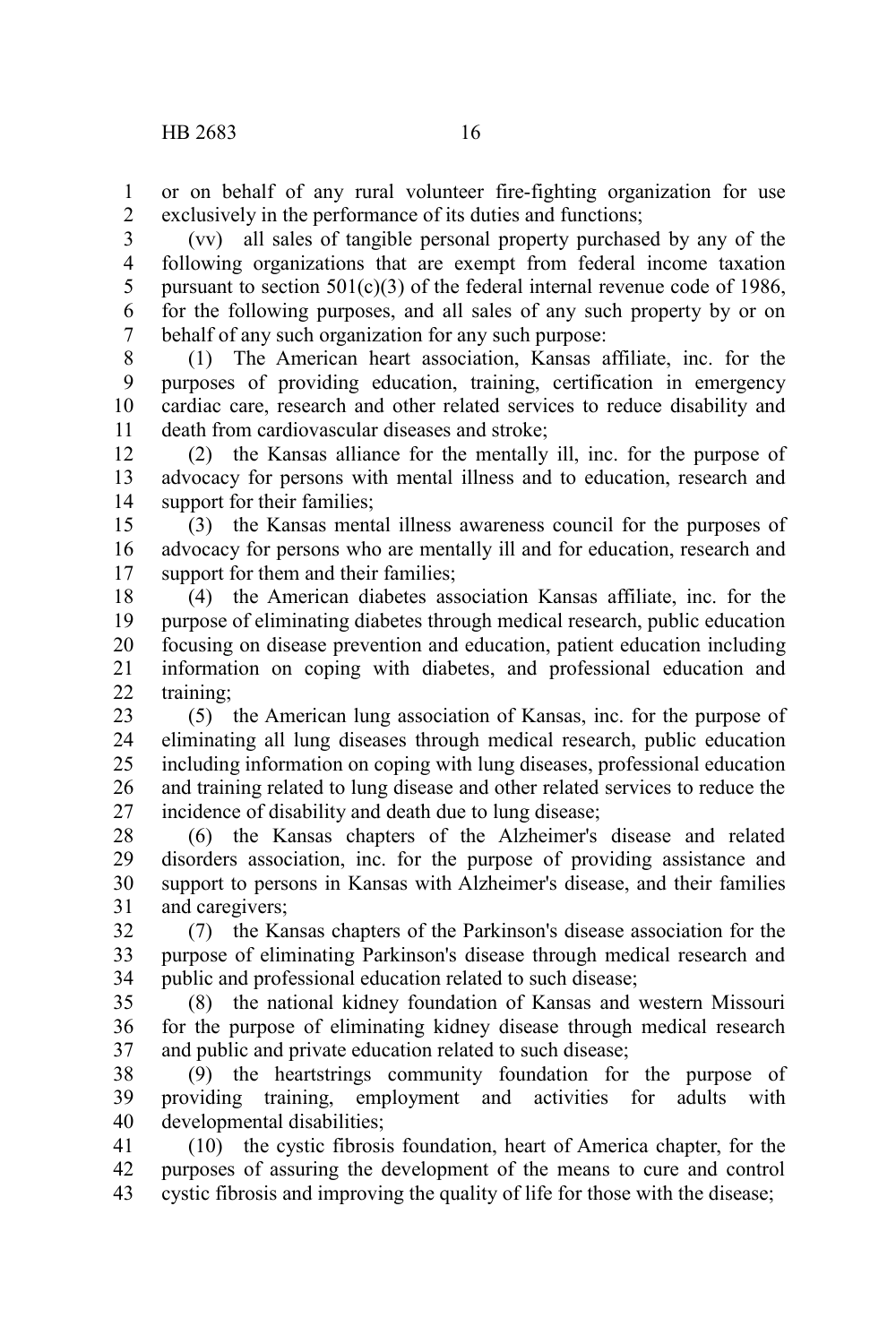or on behalf of any rural volunteer fire-fighting organization for use exclusively in the performance of its duties and functions; 1 2

(vv) all sales of tangible personal property purchased by any of the following organizations that are exempt from federal income taxation pursuant to section  $501(c)(3)$  of the federal internal revenue code of 1986, for the following purposes, and all sales of any such property by or on behalf of any such organization for any such purpose: 3 4 5 6 7

(1) The American heart association, Kansas affiliate, inc. for the purposes of providing education, training, certification in emergency cardiac care, research and other related services to reduce disability and death from cardiovascular diseases and stroke; 8 9 10 11

(2) the Kansas alliance for the mentally ill, inc. for the purpose of advocacy for persons with mental illness and to education, research and support for their families; 12 13 14

(3) the Kansas mental illness awareness council for the purposes of advocacy for persons who are mentally ill and for education, research and support for them and their families: 15 16 17

(4) the American diabetes association Kansas affiliate, inc. for the purpose of eliminating diabetes through medical research, public education focusing on disease prevention and education, patient education including information on coping with diabetes, and professional education and training; 18 19 20 21  $22$ 

(5) the American lung association of Kansas, inc. for the purpose of eliminating all lung diseases through medical research, public education including information on coping with lung diseases, professional education and training related to lung disease and other related services to reduce the incidence of disability and death due to lung disease; 23 24 25 26 27

(6) the Kansas chapters of the Alzheimer's disease and related disorders association, inc. for the purpose of providing assistance and support to persons in Kansas with Alzheimer's disease, and their families and caregivers; 28 29 30 31

(7) the Kansas chapters of the Parkinson's disease association for the purpose of eliminating Parkinson's disease through medical research and public and professional education related to such disease; 32 33 34

(8) the national kidney foundation of Kansas and western Missouri for the purpose of eliminating kidney disease through medical research and public and private education related to such disease; 35 36 37

(9) the heartstrings community foundation for the purpose of providing training, employment and activities for adults with developmental disabilities; 38 39 40

(10) the cystic fibrosis foundation, heart of America chapter, for the purposes of assuring the development of the means to cure and control cystic fibrosis and improving the quality of life for those with the disease; 41 42 43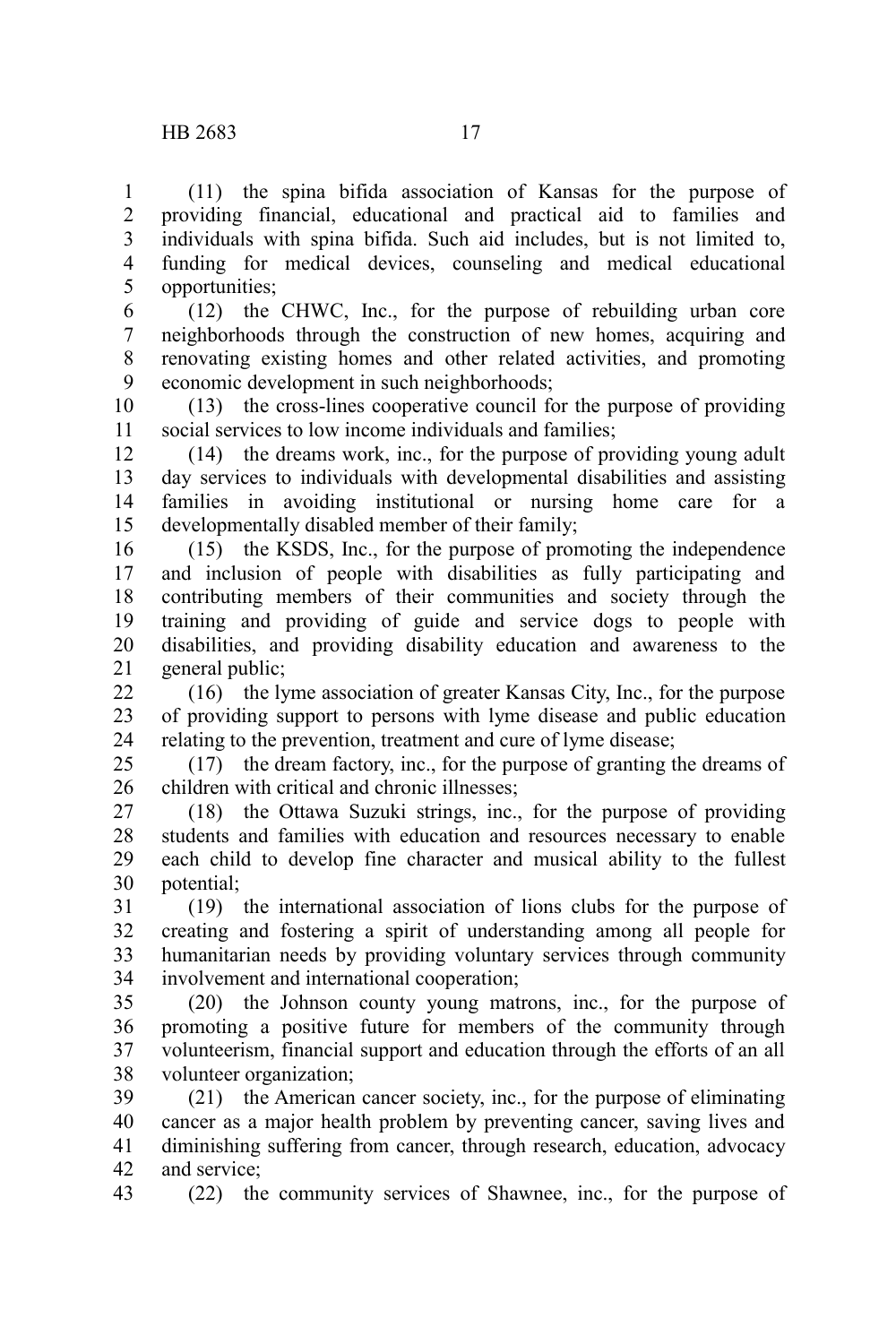(11) the spina bifida association of Kansas for the purpose of providing financial, educational and practical aid to families and individuals with spina bifida. Such aid includes, but is not limited to, funding for medical devices, counseling and medical educational opportunities; 1 2 3 4 5

6 7

(12) the CHWC, Inc., for the purpose of rebuilding urban core neighborhoods through the construction of new homes, acquiring and renovating existing homes and other related activities, and promoting economic development in such neighborhoods; 8 9

(13) the cross-lines cooperative council for the purpose of providing social services to low income individuals and families; 10 11

(14) the dreams work, inc., for the purpose of providing young adult day services to individuals with developmental disabilities and assisting families in avoiding institutional or nursing home care for a developmentally disabled member of their family; 12 13 14 15

(15) the KSDS, Inc., for the purpose of promoting the independence and inclusion of people with disabilities as fully participating and contributing members of their communities and society through the training and providing of guide and service dogs to people with disabilities, and providing disability education and awareness to the general public; 16 17 18 19 20 21

(16) the lyme association of greater Kansas City, Inc., for the purpose of providing support to persons with lyme disease and public education relating to the prevention, treatment and cure of lyme disease; 22 23 24

(17) the dream factory, inc., for the purpose of granting the dreams of children with critical and chronic illnesses; 25 26

(18) the Ottawa Suzuki strings, inc., for the purpose of providing students and families with education and resources necessary to enable each child to develop fine character and musical ability to the fullest potential; 27 28 29 30

(19) the international association of lions clubs for the purpose of creating and fostering a spirit of understanding among all people for humanitarian needs by providing voluntary services through community involvement and international cooperation; 31 32 33 34

(20) the Johnson county young matrons, inc., for the purpose of promoting a positive future for members of the community through volunteerism, financial support and education through the efforts of an all volunteer organization; 35 36 37 38

(21) the American cancer society, inc., for the purpose of eliminating cancer as a major health problem by preventing cancer, saving lives and diminishing suffering from cancer, through research, education, advocacy and service; 39 40 41 42

(22) the community services of Shawnee, inc., for the purpose of 43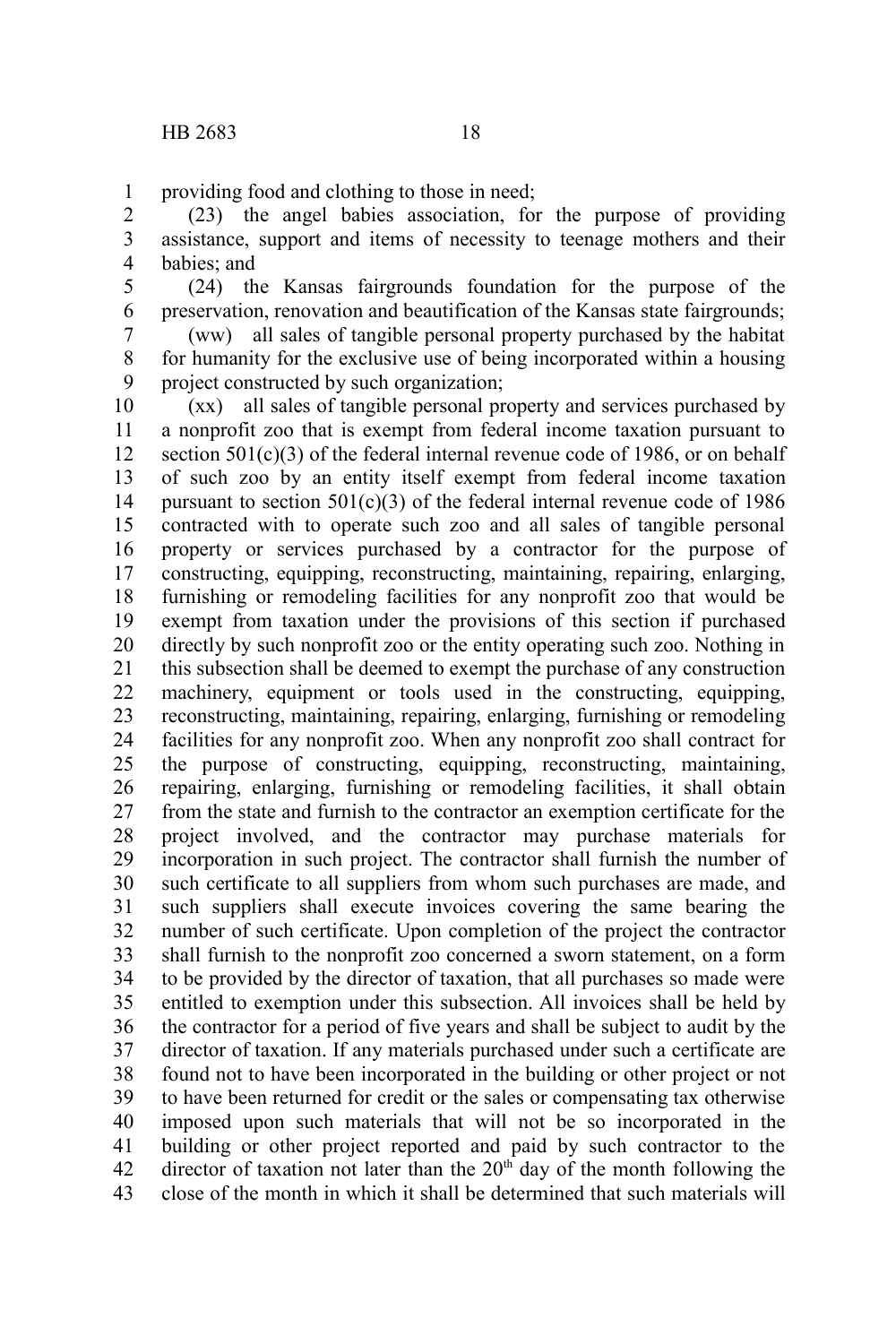providing food and clothing to those in need; 1

(23) the angel babies association, for the purpose of providing assistance, support and items of necessity to teenage mothers and their babies; and 2 3 4

(24) the Kansas fairgrounds foundation for the purpose of the preservation, renovation and beautification of the Kansas state fairgrounds; 5 6

(ww) all sales of tangible personal property purchased by the habitat for humanity for the exclusive use of being incorporated within a housing project constructed by such organization; 7 8 9

(xx) all sales of tangible personal property and services purchased by a nonprofit zoo that is exempt from federal income taxation pursuant to section  $501(c)(3)$  of the federal internal revenue code of 1986, or on behalf of such zoo by an entity itself exempt from federal income taxation pursuant to section  $501(c)(3)$  of the federal internal revenue code of 1986 contracted with to operate such zoo and all sales of tangible personal property or services purchased by a contractor for the purpose of constructing, equipping, reconstructing, maintaining, repairing, enlarging, furnishing or remodeling facilities for any nonprofit zoo that would be exempt from taxation under the provisions of this section if purchased directly by such nonprofit zoo or the entity operating such zoo. Nothing in this subsection shall be deemed to exempt the purchase of any construction machinery, equipment or tools used in the constructing, equipping, reconstructing, maintaining, repairing, enlarging, furnishing or remodeling facilities for any nonprofit zoo. When any nonprofit zoo shall contract for the purpose of constructing, equipping, reconstructing, maintaining, repairing, enlarging, furnishing or remodeling facilities, it shall obtain from the state and furnish to the contractor an exemption certificate for the project involved, and the contractor may purchase materials for incorporation in such project. The contractor shall furnish the number of such certificate to all suppliers from whom such purchases are made, and such suppliers shall execute invoices covering the same bearing the number of such certificate. Upon completion of the project the contractor shall furnish to the nonprofit zoo concerned a sworn statement, on a form to be provided by the director of taxation, that all purchases so made were entitled to exemption under this subsection. All invoices shall be held by the contractor for a period of five years and shall be subject to audit by the director of taxation. If any materials purchased under such a certificate are found not to have been incorporated in the building or other project or not to have been returned for credit or the sales or compensating tax otherwise imposed upon such materials that will not be so incorporated in the building or other project reported and paid by such contractor to the director of taxation not later than the  $20<sup>th</sup>$  day of the month following the close of the month in which it shall be determined that such materials will 10 11 12 13 14 15 16 17 18 19 20 21 22 23 24 25 26 27 28 29 30 31 32 33 34 35 36 37 38 39 40 41 42 43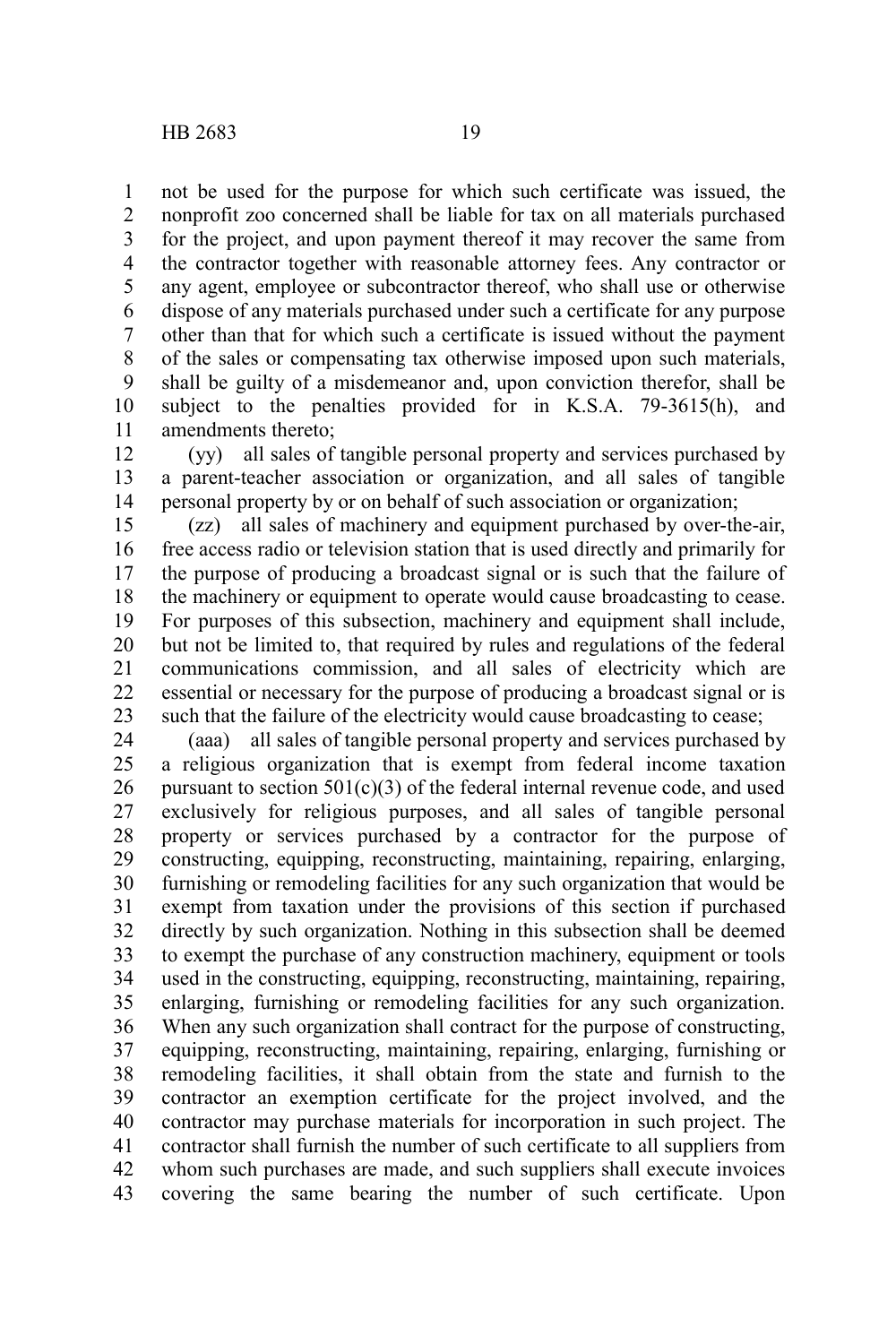not be used for the purpose for which such certificate was issued, the nonprofit zoo concerned shall be liable for tax on all materials purchased for the project, and upon payment thereof it may recover the same from the contractor together with reasonable attorney fees. Any contractor or any agent, employee or subcontractor thereof, who shall use or otherwise dispose of any materials purchased under such a certificate for any purpose other than that for which such a certificate is issued without the payment of the sales or compensating tax otherwise imposed upon such materials, shall be guilty of a misdemeanor and, upon conviction therefor, shall be subject to the penalties provided for in K.S.A. 79-3615(h), and amendments thereto; 1 2 3 4 5 6 7 8 9 10 11

(yy) all sales of tangible personal property and services purchased by a parent-teacher association or organization, and all sales of tangible personal property by or on behalf of such association or organization; 12 13 14

(zz) all sales of machinery and equipment purchased by over-the-air, free access radio or television station that is used directly and primarily for the purpose of producing a broadcast signal or is such that the failure of the machinery or equipment to operate would cause broadcasting to cease. For purposes of this subsection, machinery and equipment shall include, but not be limited to, that required by rules and regulations of the federal communications commission, and all sales of electricity which are essential or necessary for the purpose of producing a broadcast signal or is such that the failure of the electricity would cause broadcasting to cease; 15 16 17 18 19 20 21 22 23

(aaa) all sales of tangible personal property and services purchased by a religious organization that is exempt from federal income taxation pursuant to section  $501(c)(3)$  of the federal internal revenue code, and used exclusively for religious purposes, and all sales of tangible personal property or services purchased by a contractor for the purpose of constructing, equipping, reconstructing, maintaining, repairing, enlarging, furnishing or remodeling facilities for any such organization that would be exempt from taxation under the provisions of this section if purchased directly by such organization. Nothing in this subsection shall be deemed to exempt the purchase of any construction machinery, equipment or tools used in the constructing, equipping, reconstructing, maintaining, repairing, enlarging, furnishing or remodeling facilities for any such organization. When any such organization shall contract for the purpose of constructing, equipping, reconstructing, maintaining, repairing, enlarging, furnishing or remodeling facilities, it shall obtain from the state and furnish to the contractor an exemption certificate for the project involved, and the contractor may purchase materials for incorporation in such project. The contractor shall furnish the number of such certificate to all suppliers from whom such purchases are made, and such suppliers shall execute invoices covering the same bearing the number of such certificate. Upon 24 25 26 27 28 29 30 31 32 33 34 35 36 37 38 39 40 41 42 43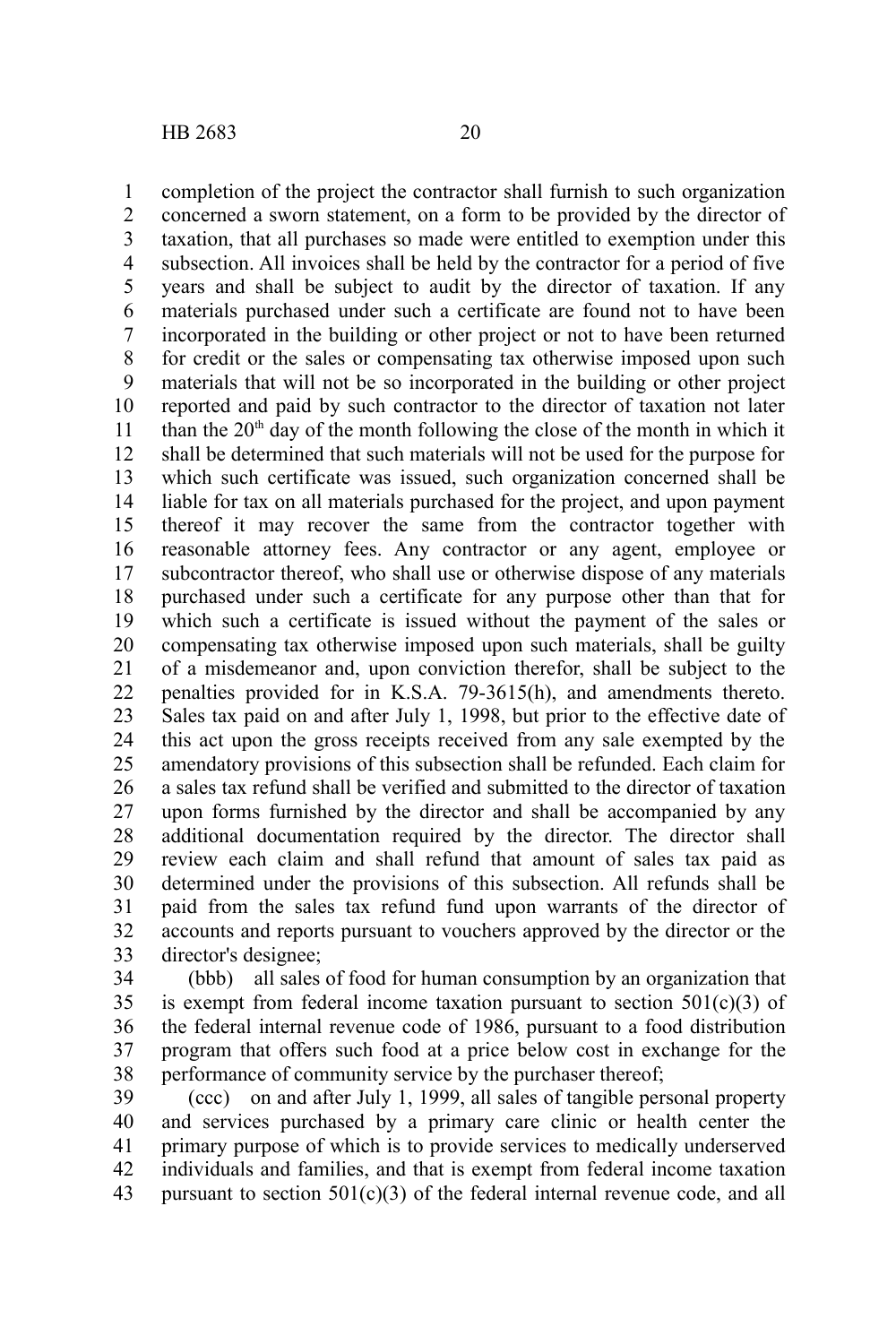completion of the project the contractor shall furnish to such organization concerned a sworn statement, on a form to be provided by the director of taxation, that all purchases so made were entitled to exemption under this subsection. All invoices shall be held by the contractor for a period of five years and shall be subject to audit by the director of taxation. If any materials purchased under such a certificate are found not to have been incorporated in the building or other project or not to have been returned for credit or the sales or compensating tax otherwise imposed upon such materials that will not be so incorporated in the building or other project reported and paid by such contractor to the director of taxation not later than the  $20<sup>th</sup>$  day of the month following the close of the month in which it shall be determined that such materials will not be used for the purpose for which such certificate was issued, such organization concerned shall be liable for tax on all materials purchased for the project, and upon payment thereof it may recover the same from the contractor together with reasonable attorney fees. Any contractor or any agent, employee or subcontractor thereof, who shall use or otherwise dispose of any materials purchased under such a certificate for any purpose other than that for which such a certificate is issued without the payment of the sales or compensating tax otherwise imposed upon such materials, shall be guilty of a misdemeanor and, upon conviction therefor, shall be subject to the penalties provided for in K.S.A. 79-3615(h), and amendments thereto. Sales tax paid on and after July 1, 1998, but prior to the effective date of this act upon the gross receipts received from any sale exempted by the amendatory provisions of this subsection shall be refunded. Each claim for a sales tax refund shall be verified and submitted to the director of taxation upon forms furnished by the director and shall be accompanied by any additional documentation required by the director. The director shall review each claim and shall refund that amount of sales tax paid as determined under the provisions of this subsection. All refunds shall be paid from the sales tax refund fund upon warrants of the director of accounts and reports pursuant to vouchers approved by the director or the director's designee; 1 2 3 4 5 6 7 8 9 10 11 12 13 14 15 16 17 18 19 20 21 22 23 24 25 26 27 28 29 30 31 32 33

(bbb) all sales of food for human consumption by an organization that is exempt from federal income taxation pursuant to section  $501(c)(3)$  of the federal internal revenue code of 1986, pursuant to a food distribution program that offers such food at a price below cost in exchange for the performance of community service by the purchaser thereof; 34 35 36 37 38

(ccc) on and after July 1, 1999, all sales of tangible personal property and services purchased by a primary care clinic or health center the primary purpose of which is to provide services to medically underserved individuals and families, and that is exempt from federal income taxation pursuant to section  $501(c)(3)$  of the federal internal revenue code, and all 39 40 41 42 43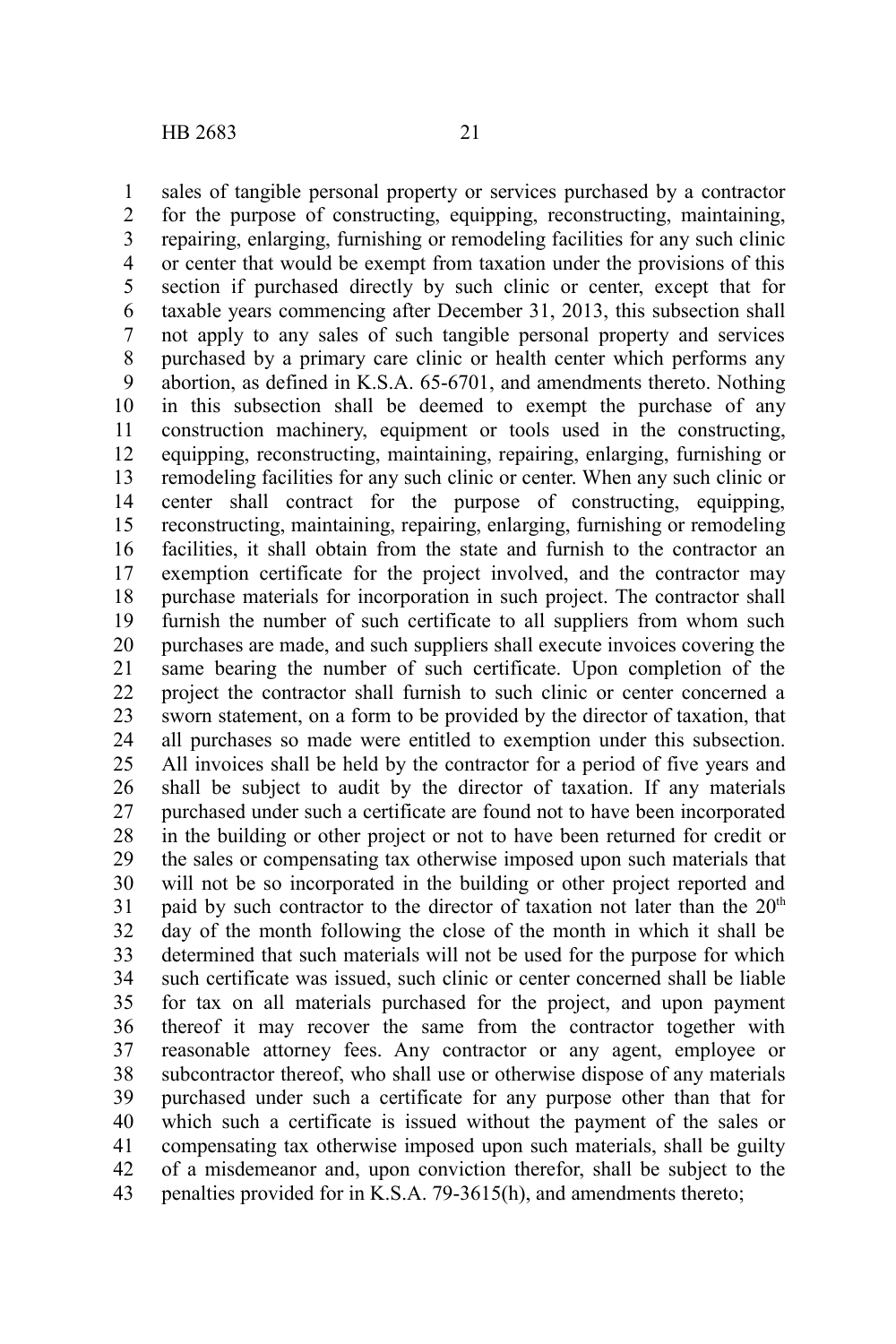sales of tangible personal property or services purchased by a contractor for the purpose of constructing, equipping, reconstructing, maintaining, repairing, enlarging, furnishing or remodeling facilities for any such clinic or center that would be exempt from taxation under the provisions of this section if purchased directly by such clinic or center, except that for taxable years commencing after December 31, 2013, this subsection shall not apply to any sales of such tangible personal property and services purchased by a primary care clinic or health center which performs any abortion, as defined in K.S.A. 65-6701, and amendments thereto. Nothing in this subsection shall be deemed to exempt the purchase of any construction machinery, equipment or tools used in the constructing, equipping, reconstructing, maintaining, repairing, enlarging, furnishing or remodeling facilities for any such clinic or center. When any such clinic or center shall contract for the purpose of constructing, equipping, reconstructing, maintaining, repairing, enlarging, furnishing or remodeling facilities, it shall obtain from the state and furnish to the contractor an exemption certificate for the project involved, and the contractor may purchase materials for incorporation in such project. The contractor shall furnish the number of such certificate to all suppliers from whom such purchases are made, and such suppliers shall execute invoices covering the same bearing the number of such certificate. Upon completion of the project the contractor shall furnish to such clinic or center concerned a sworn statement, on a form to be provided by the director of taxation, that all purchases so made were entitled to exemption under this subsection. All invoices shall be held by the contractor for a period of five years and shall be subject to audit by the director of taxation. If any materials purchased under such a certificate are found not to have been incorporated in the building or other project or not to have been returned for credit or the sales or compensating tax otherwise imposed upon such materials that will not be so incorporated in the building or other project reported and paid by such contractor to the director of taxation not later than the  $20<sup>th</sup>$ day of the month following the close of the month in which it shall be determined that such materials will not be used for the purpose for which such certificate was issued, such clinic or center concerned shall be liable for tax on all materials purchased for the project, and upon payment thereof it may recover the same from the contractor together with reasonable attorney fees. Any contractor or any agent, employee or subcontractor thereof, who shall use or otherwise dispose of any materials purchased under such a certificate for any purpose other than that for which such a certificate is issued without the payment of the sales or compensating tax otherwise imposed upon such materials, shall be guilty of a misdemeanor and, upon conviction therefor, shall be subject to the penalties provided for in K.S.A. 79-3615(h), and amendments thereto; 1 2 3 4 5 6 7 8 9 10 11 12 13 14 15 16 17 18 19 20 21 22 23 24 25 26 27 28 29 30 31 32 33 34 35 36 37 38 39 40 41 42 43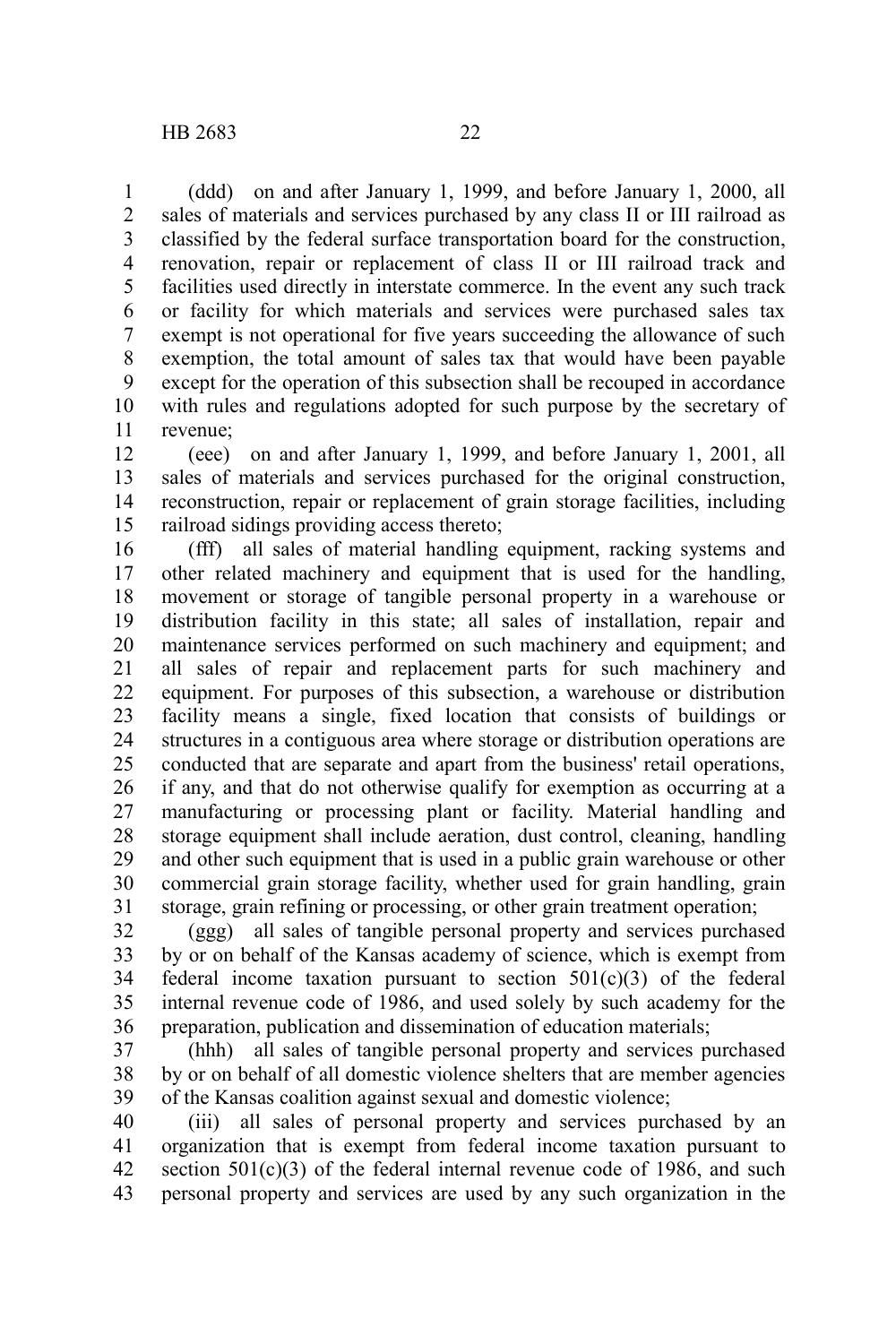(ddd) on and after January 1, 1999, and before January 1, 2000, all sales of materials and services purchased by any class II or III railroad as classified by the federal surface transportation board for the construction, renovation, repair or replacement of class II or III railroad track and facilities used directly in interstate commerce. In the event any such track or facility for which materials and services were purchased sales tax exempt is not operational for five years succeeding the allowance of such exemption, the total amount of sales tax that would have been payable except for the operation of this subsection shall be recouped in accordance with rules and regulations adopted for such purpose by the secretary of revenue; 1 2 3 4 5 6 7 8 9 10 11

(eee) on and after January 1, 1999, and before January 1, 2001, all sales of materials and services purchased for the original construction, reconstruction, repair or replacement of grain storage facilities, including railroad sidings providing access thereto; 12 13 14 15

(fff) all sales of material handling equipment, racking systems and other related machinery and equipment that is used for the handling, movement or storage of tangible personal property in a warehouse or distribution facility in this state; all sales of installation, repair and maintenance services performed on such machinery and equipment; and all sales of repair and replacement parts for such machinery and equipment. For purposes of this subsection, a warehouse or distribution facility means a single, fixed location that consists of buildings or structures in a contiguous area where storage or distribution operations are conducted that are separate and apart from the business' retail operations, if any, and that do not otherwise qualify for exemption as occurring at a manufacturing or processing plant or facility. Material handling and storage equipment shall include aeration, dust control, cleaning, handling and other such equipment that is used in a public grain warehouse or other commercial grain storage facility, whether used for grain handling, grain storage, grain refining or processing, or other grain treatment operation; 16 17 18 19 20 21 22 23 24 25 26 27 28 29 30 31

(ggg) all sales of tangible personal property and services purchased by or on behalf of the Kansas academy of science, which is exempt from federal income taxation pursuant to section  $501(c)(3)$  of the federal internal revenue code of 1986, and used solely by such academy for the preparation, publication and dissemination of education materials; 32 33 34 35 36

(hhh) all sales of tangible personal property and services purchased by or on behalf of all domestic violence shelters that are member agencies of the Kansas coalition against sexual and domestic violence; 37 38 39

(iii) all sales of personal property and services purchased by an organization that is exempt from federal income taxation pursuant to section  $501(c)(3)$  of the federal internal revenue code of 1986, and such personal property and services are used by any such organization in the 40 41 42 43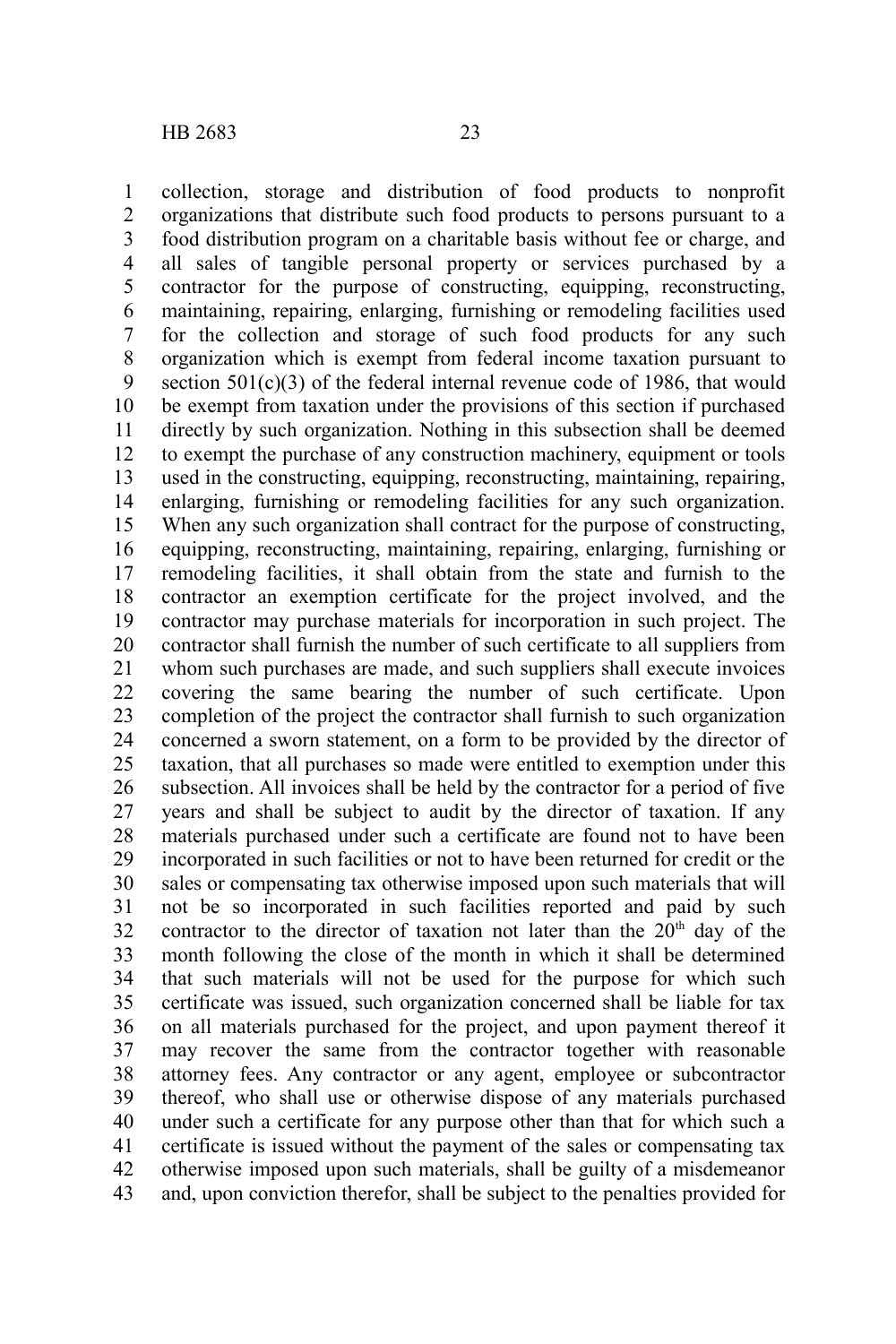collection, storage and distribution of food products to nonprofit organizations that distribute such food products to persons pursuant to a food distribution program on a charitable basis without fee or charge, and all sales of tangible personal property or services purchased by a contractor for the purpose of constructing, equipping, reconstructing, maintaining, repairing, enlarging, furnishing or remodeling facilities used for the collection and storage of such food products for any such organization which is exempt from federal income taxation pursuant to section  $501(c)(3)$  of the federal internal revenue code of 1986, that would be exempt from taxation under the provisions of this section if purchased directly by such organization. Nothing in this subsection shall be deemed to exempt the purchase of any construction machinery, equipment or tools used in the constructing, equipping, reconstructing, maintaining, repairing, enlarging, furnishing or remodeling facilities for any such organization. When any such organization shall contract for the purpose of constructing, equipping, reconstructing, maintaining, repairing, enlarging, furnishing or remodeling facilities, it shall obtain from the state and furnish to the contractor an exemption certificate for the project involved, and the contractor may purchase materials for incorporation in such project. The contractor shall furnish the number of such certificate to all suppliers from whom such purchases are made, and such suppliers shall execute invoices covering the same bearing the number of such certificate. Upon completion of the project the contractor shall furnish to such organization concerned a sworn statement, on a form to be provided by the director of taxation, that all purchases so made were entitled to exemption under this subsection. All invoices shall be held by the contractor for a period of five years and shall be subject to audit by the director of taxation. If any materials purchased under such a certificate are found not to have been incorporated in such facilities or not to have been returned for credit or the sales or compensating tax otherwise imposed upon such materials that will not be so incorporated in such facilities reported and paid by such contractor to the director of taxation not later than the  $20<sup>th</sup>$  day of the month following the close of the month in which it shall be determined that such materials will not be used for the purpose for which such certificate was issued, such organization concerned shall be liable for tax on all materials purchased for the project, and upon payment thereof it may recover the same from the contractor together with reasonable attorney fees. Any contractor or any agent, employee or subcontractor thereof, who shall use or otherwise dispose of any materials purchased under such a certificate for any purpose other than that for which such a certificate is issued without the payment of the sales or compensating tax otherwise imposed upon such materials, shall be guilty of a misdemeanor and, upon conviction therefor, shall be subject to the penalties provided for 1 2 3 4 5 6 7 8 9 10 11 12 13 14 15 16 17 18 19 20 21 22 23 24 25 26 27 28 29 30 31 32 33 34 35 36 37 38 39 40 41 42 43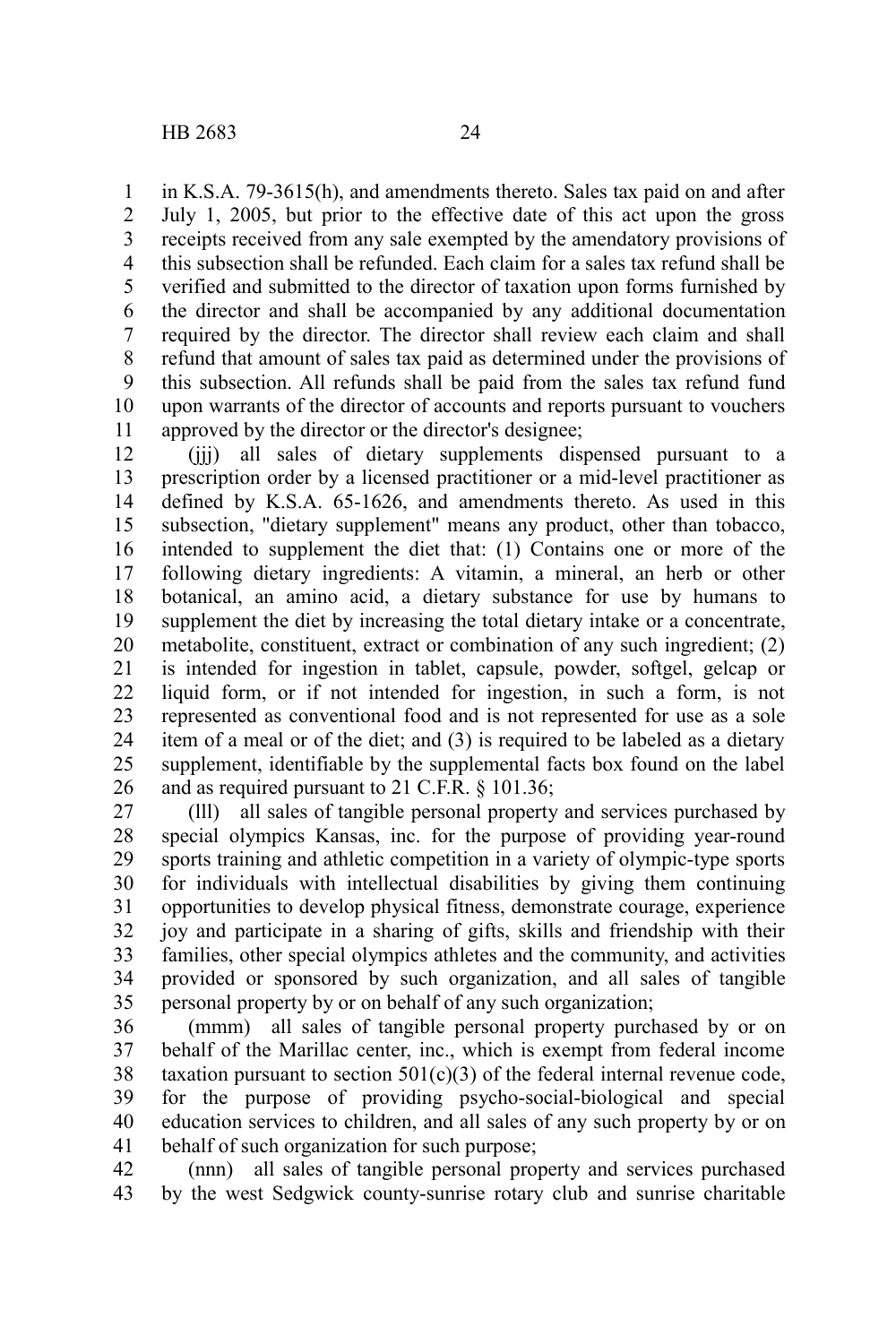in K.S.A. 79-3615(h), and amendments thereto. Sales tax paid on and after July 1, 2005, but prior to the effective date of this act upon the gross receipts received from any sale exempted by the amendatory provisions of this subsection shall be refunded. Each claim for a sales tax refund shall be verified and submitted to the director of taxation upon forms furnished by the director and shall be accompanied by any additional documentation required by the director. The director shall review each claim and shall refund that amount of sales tax paid as determined under the provisions of this subsection. All refunds shall be paid from the sales tax refund fund upon warrants of the director of accounts and reports pursuant to vouchers approved by the director or the director's designee; 1 2 3 4 5 6 7 8 9 10 11

(jjj) all sales of dietary supplements dispensed pursuant to a prescription order by a licensed practitioner or a mid-level practitioner as defined by K.S.A. 65-1626, and amendments thereto. As used in this subsection, "dietary supplement" means any product, other than tobacco, intended to supplement the diet that: (1) Contains one or more of the following dietary ingredients: A vitamin, a mineral, an herb or other botanical, an amino acid, a dietary substance for use by humans to supplement the diet by increasing the total dietary intake or a concentrate, metabolite, constituent, extract or combination of any such ingredient; (2) is intended for ingestion in tablet, capsule, powder, softgel, gelcap or liquid form, or if not intended for ingestion, in such a form, is not represented as conventional food and is not represented for use as a sole item of a meal or of the diet; and (3) is required to be labeled as a dietary supplement, identifiable by the supplemental facts box found on the label and as required pursuant to 21 C.F.R. § 101.36; 12 13 14 15 16 17 18 19 20 21 22 23 24 25 26

(lll) all sales of tangible personal property and services purchased by special olympics Kansas, inc. for the purpose of providing year-round sports training and athletic competition in a variety of olympic-type sports for individuals with intellectual disabilities by giving them continuing opportunities to develop physical fitness, demonstrate courage, experience joy and participate in a sharing of gifts, skills and friendship with their families, other special olympics athletes and the community, and activities provided or sponsored by such organization, and all sales of tangible personal property by or on behalf of any such organization; 27 28 29 30 31 32 33 34 35

(mmm) all sales of tangible personal property purchased by or on behalf of the Marillac center, inc., which is exempt from federal income taxation pursuant to section  $501(c)(3)$  of the federal internal revenue code, for the purpose of providing psycho-social-biological and special education services to children, and all sales of any such property by or on behalf of such organization for such purpose; 36 37 38 39 40 41

(nnn) all sales of tangible personal property and services purchased by the west Sedgwick county-sunrise rotary club and sunrise charitable 42 43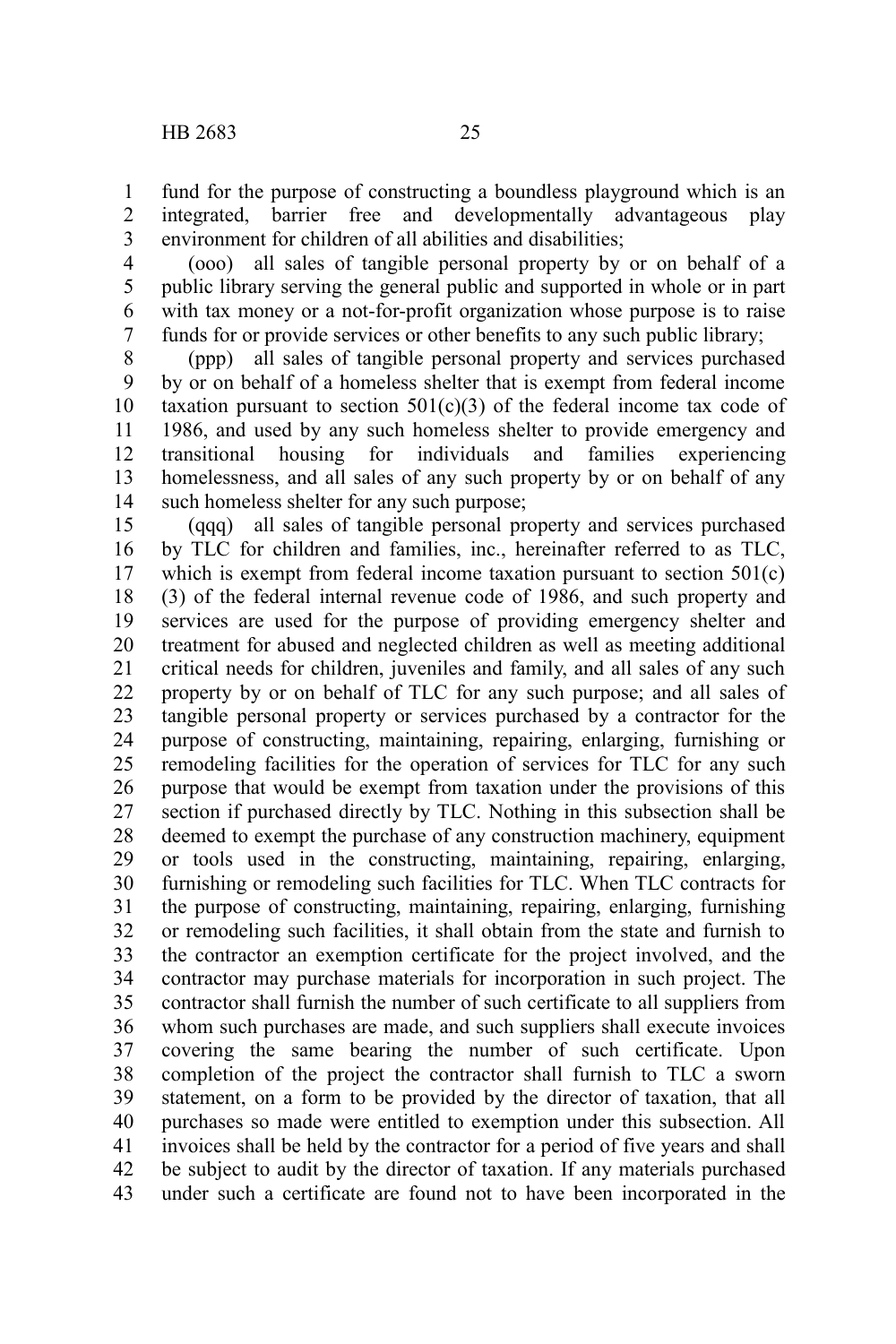fund for the purpose of constructing a boundless playground which is an integrated, barrier free and developmentally advantageous play environment for children of all abilities and disabilities; 1 2 3

(ooo) all sales of tangible personal property by or on behalf of a public library serving the general public and supported in whole or in part with tax money or a not-for-profit organization whose purpose is to raise funds for or provide services or other benefits to any such public library; 4 5 6 7

(ppp) all sales of tangible personal property and services purchased by or on behalf of a homeless shelter that is exempt from federal income taxation pursuant to section  $501(c)(3)$  of the federal income tax code of 1986, and used by any such homeless shelter to provide emergency and transitional housing for individuals and families experiencing homelessness, and all sales of any such property by or on behalf of any such homeless shelter for any such purpose; 8 9 10 11 12 13 14

(qqq) all sales of tangible personal property and services purchased by TLC for children and families, inc., hereinafter referred to as TLC, which is exempt from federal income taxation pursuant to section  $501(c)$ (3) of the federal internal revenue code of 1986, and such property and services are used for the purpose of providing emergency shelter and treatment for abused and neglected children as well as meeting additional critical needs for children, juveniles and family, and all sales of any such property by or on behalf of TLC for any such purpose; and all sales of tangible personal property or services purchased by a contractor for the purpose of constructing, maintaining, repairing, enlarging, furnishing or remodeling facilities for the operation of services for TLC for any such purpose that would be exempt from taxation under the provisions of this section if purchased directly by TLC. Nothing in this subsection shall be deemed to exempt the purchase of any construction machinery, equipment or tools used in the constructing, maintaining, repairing, enlarging, furnishing or remodeling such facilities for TLC. When TLC contracts for the purpose of constructing, maintaining, repairing, enlarging, furnishing or remodeling such facilities, it shall obtain from the state and furnish to the contractor an exemption certificate for the project involved, and the contractor may purchase materials for incorporation in such project. The contractor shall furnish the number of such certificate to all suppliers from whom such purchases are made, and such suppliers shall execute invoices covering the same bearing the number of such certificate. Upon completion of the project the contractor shall furnish to TLC a sworn statement, on a form to be provided by the director of taxation, that all purchases so made were entitled to exemption under this subsection. All invoices shall be held by the contractor for a period of five years and shall be subject to audit by the director of taxation. If any materials purchased under such a certificate are found not to have been incorporated in the 15 16 17 18 19 20 21 22 23 24 25 26 27 28 29 30 31 32 33 34 35 36 37 38 39 40 41 42 43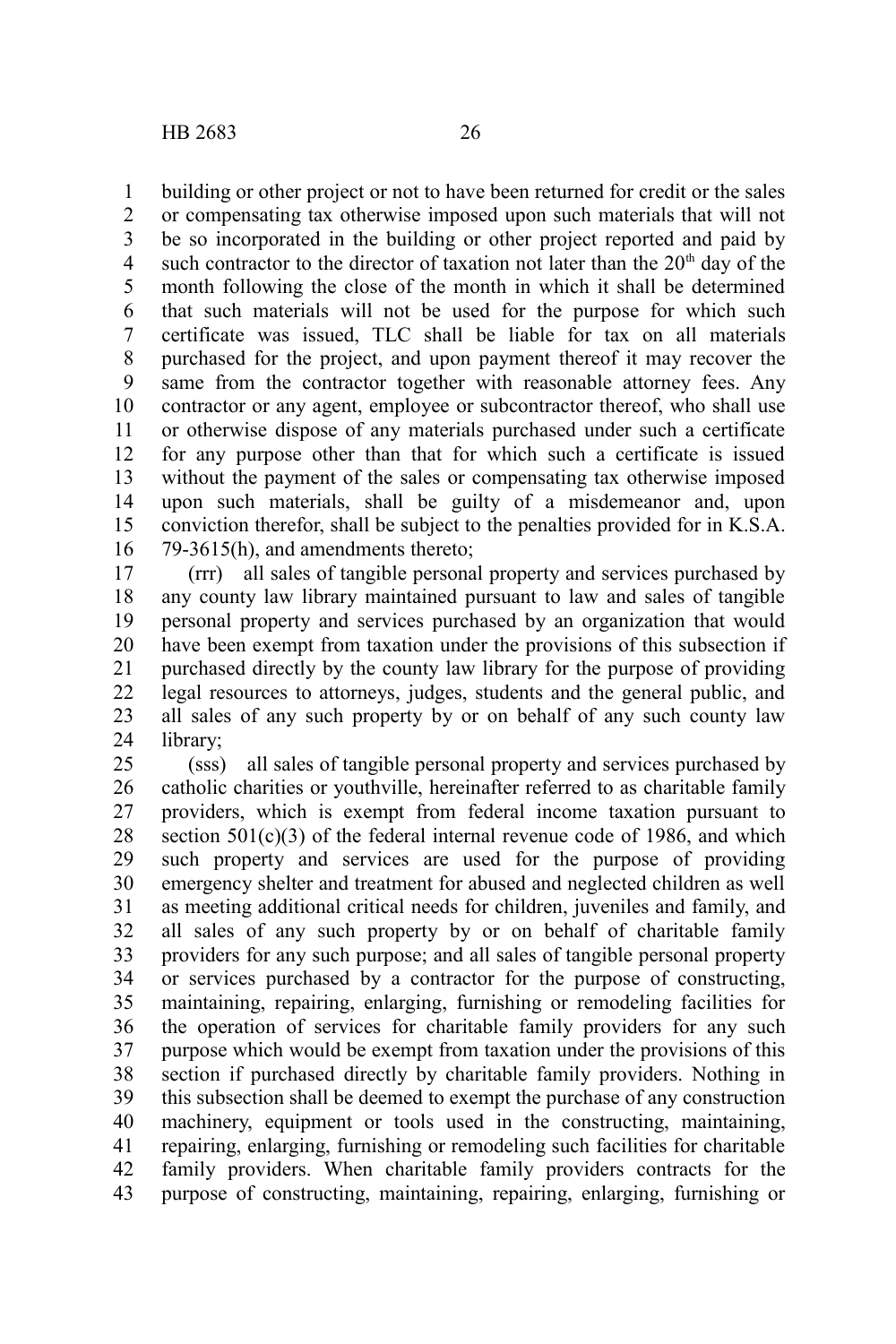building or other project or not to have been returned for credit or the sales 1

or compensating tax otherwise imposed upon such materials that will not be so incorporated in the building or other project reported and paid by such contractor to the director of taxation not later than the  $20<sup>th</sup>$  day of the month following the close of the month in which it shall be determined that such materials will not be used for the purpose for which such certificate was issued, TLC shall be liable for tax on all materials purchased for the project, and upon payment thereof it may recover the same from the contractor together with reasonable attorney fees. Any contractor or any agent, employee or subcontractor thereof, who shall use or otherwise dispose of any materials purchased under such a certificate for any purpose other than that for which such a certificate is issued without the payment of the sales or compensating tax otherwise imposed upon such materials, shall be guilty of a misdemeanor and, upon conviction therefor, shall be subject to the penalties provided for in K.S.A. 79-3615(h), and amendments thereto; 2 3 4 5 6 7 8 9 10 11 12 13 14 15 16

(rrr) all sales of tangible personal property and services purchased by any county law library maintained pursuant to law and sales of tangible personal property and services purchased by an organization that would have been exempt from taxation under the provisions of this subsection if purchased directly by the county law library for the purpose of providing legal resources to attorneys, judges, students and the general public, and all sales of any such property by or on behalf of any such county law library; 17 18 19 20 21 22 23 24

(sss) all sales of tangible personal property and services purchased by catholic charities or youthville, hereinafter referred to as charitable family providers, which is exempt from federal income taxation pursuant to section 501(c)(3) of the federal internal revenue code of 1986, and which such property and services are used for the purpose of providing emergency shelter and treatment for abused and neglected children as well as meeting additional critical needs for children, juveniles and family, and all sales of any such property by or on behalf of charitable family providers for any such purpose; and all sales of tangible personal property or services purchased by a contractor for the purpose of constructing, maintaining, repairing, enlarging, furnishing or remodeling facilities for the operation of services for charitable family providers for any such purpose which would be exempt from taxation under the provisions of this section if purchased directly by charitable family providers. Nothing in this subsection shall be deemed to exempt the purchase of any construction machinery, equipment or tools used in the constructing, maintaining, repairing, enlarging, furnishing or remodeling such facilities for charitable family providers. When charitable family providers contracts for the purpose of constructing, maintaining, repairing, enlarging, furnishing or 25 26 27 28 29 30 31 32 33 34 35 36 37 38 39 40 41 42 43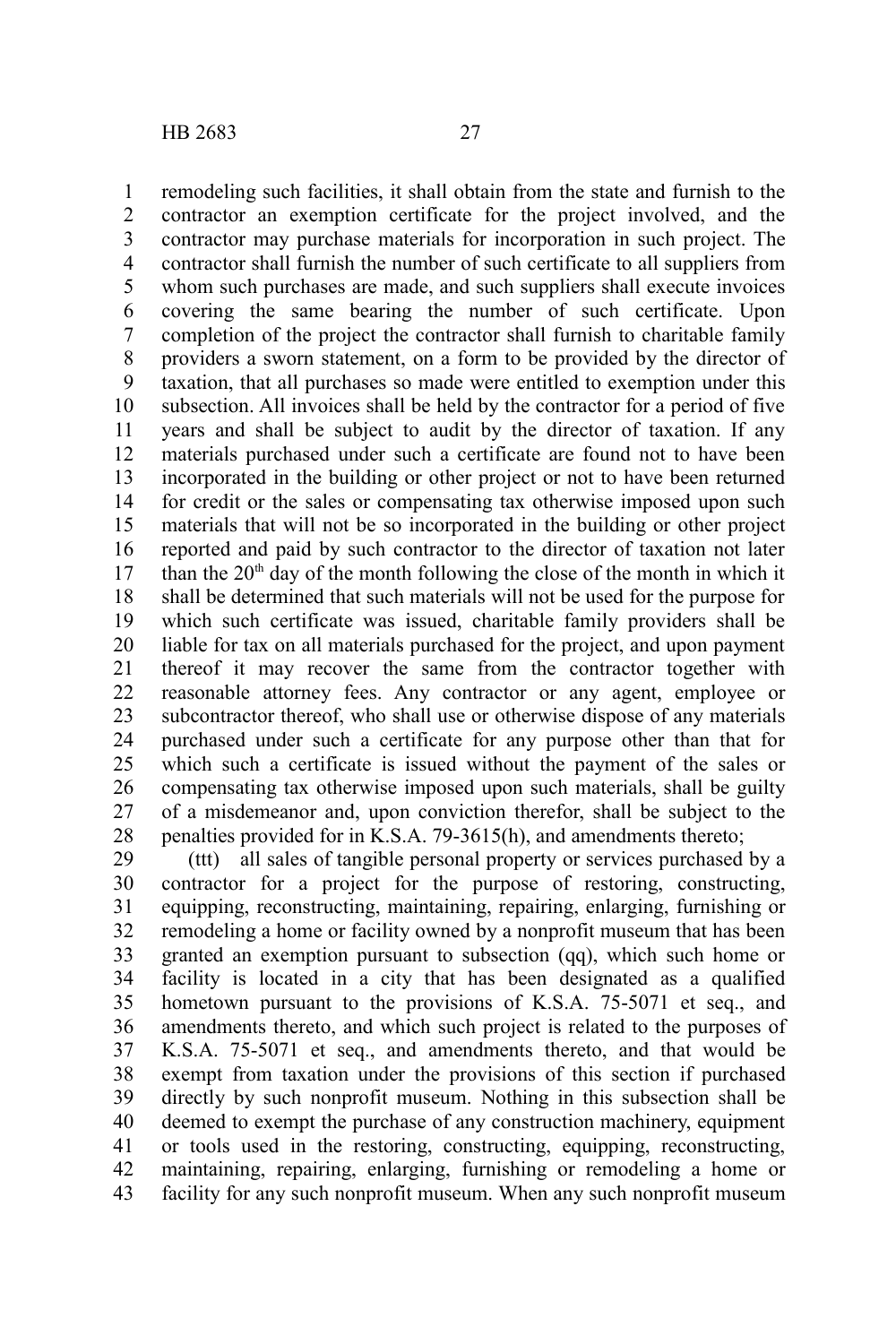remodeling such facilities, it shall obtain from the state and furnish to the contractor an exemption certificate for the project involved, and the contractor may purchase materials for incorporation in such project. The contractor shall furnish the number of such certificate to all suppliers from whom such purchases are made, and such suppliers shall execute invoices covering the same bearing the number of such certificate. Upon completion of the project the contractor shall furnish to charitable family providers a sworn statement, on a form to be provided by the director of taxation, that all purchases so made were entitled to exemption under this subsection. All invoices shall be held by the contractor for a period of five years and shall be subject to audit by the director of taxation. If any materials purchased under such a certificate are found not to have been incorporated in the building or other project or not to have been returned for credit or the sales or compensating tax otherwise imposed upon such materials that will not be so incorporated in the building or other project reported and paid by such contractor to the director of taxation not later than the  $20<sup>th</sup>$  day of the month following the close of the month in which it shall be determined that such materials will not be used for the purpose for which such certificate was issued, charitable family providers shall be liable for tax on all materials purchased for the project, and upon payment thereof it may recover the same from the contractor together with reasonable attorney fees. Any contractor or any agent, employee or subcontractor thereof, who shall use or otherwise dispose of any materials purchased under such a certificate for any purpose other than that for which such a certificate is issued without the payment of the sales or compensating tax otherwise imposed upon such materials, shall be guilty of a misdemeanor and, upon conviction therefor, shall be subject to the penalties provided for in K.S.A. 79-3615(h), and amendments thereto; 1 2 3 4 5 6 7 8 9 10 11 12 13 14 15 16 17 18 19 20 21 22 23 24 25 26 27 28

(ttt) all sales of tangible personal property or services purchased by a contractor for a project for the purpose of restoring, constructing, equipping, reconstructing, maintaining, repairing, enlarging, furnishing or remodeling a home or facility owned by a nonprofit museum that has been granted an exemption pursuant to subsection (qq), which such home or facility is located in a city that has been designated as a qualified hometown pursuant to the provisions of K.S.A. 75-5071 et seq., and amendments thereto, and which such project is related to the purposes of K.S.A. 75-5071 et seq., and amendments thereto, and that would be exempt from taxation under the provisions of this section if purchased directly by such nonprofit museum. Nothing in this subsection shall be deemed to exempt the purchase of any construction machinery, equipment or tools used in the restoring, constructing, equipping, reconstructing, maintaining, repairing, enlarging, furnishing or remodeling a home or facility for any such nonprofit museum. When any such nonprofit museum 29 30 31 32 33 34 35 36 37 38 39 40 41 42 43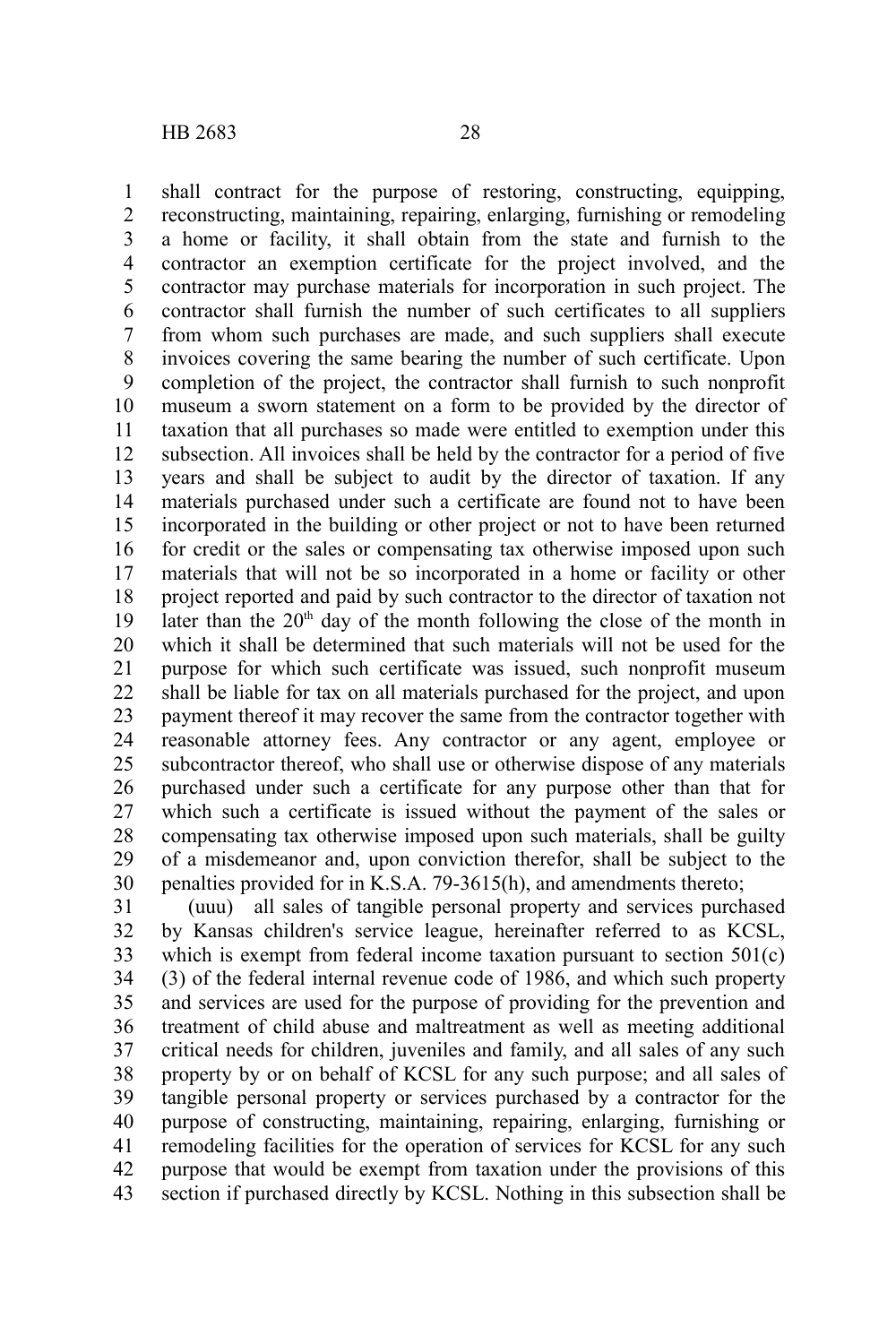shall contract for the purpose of restoring, constructing, equipping, reconstructing, maintaining, repairing, enlarging, furnishing or remodeling a home or facility, it shall obtain from the state and furnish to the contractor an exemption certificate for the project involved, and the contractor may purchase materials for incorporation in such project. The contractor shall furnish the number of such certificates to all suppliers from whom such purchases are made, and such suppliers shall execute invoices covering the same bearing the number of such certificate. Upon completion of the project, the contractor shall furnish to such nonprofit museum a sworn statement on a form to be provided by the director of taxation that all purchases so made were entitled to exemption under this subsection. All invoices shall be held by the contractor for a period of five years and shall be subject to audit by the director of taxation. If any

materials purchased under such a certificate are found not to have been incorporated in the building or other project or not to have been returned for credit or the sales or compensating tax otherwise imposed upon such materials that will not be so incorporated in a home or facility or other project reported and paid by such contractor to the director of taxation not later than the  $20<sup>th</sup>$  day of the month following the close of the month in which it shall be determined that such materials will not be used for the purpose for which such certificate was issued, such nonprofit museum shall be liable for tax on all materials purchased for the project, and upon payment thereof it may recover the same from the contractor together with reasonable attorney fees. Any contractor or any agent, employee or subcontractor thereof, who shall use or otherwise dispose of any materials purchased under such a certificate for any purpose other than that for which such a certificate is issued without the payment of the sales or compensating tax otherwise imposed upon such materials, shall be guilty of a misdemeanor and, upon conviction therefor, shall be subject to the penalties provided for in K.S.A. 79-3615(h), and amendments thereto; 13 14 15 16 17 18 19 20 21 22 23 24 25 26 27 28 29 30

(uuu) all sales of tangible personal property and services purchased by Kansas children's service league, hereinafter referred to as KCSL, which is exempt from federal income taxation pursuant to section 501(c) (3) of the federal internal revenue code of 1986, and which such property and services are used for the purpose of providing for the prevention and treatment of child abuse and maltreatment as well as meeting additional critical needs for children, juveniles and family, and all sales of any such property by or on behalf of KCSL for any such purpose; and all sales of tangible personal property or services purchased by a contractor for the purpose of constructing, maintaining, repairing, enlarging, furnishing or remodeling facilities for the operation of services for KCSL for any such purpose that would be exempt from taxation under the provisions of this section if purchased directly by KCSL. Nothing in this subsection shall be 31 32 33 34 35 36 37 38 39 40 41 42 43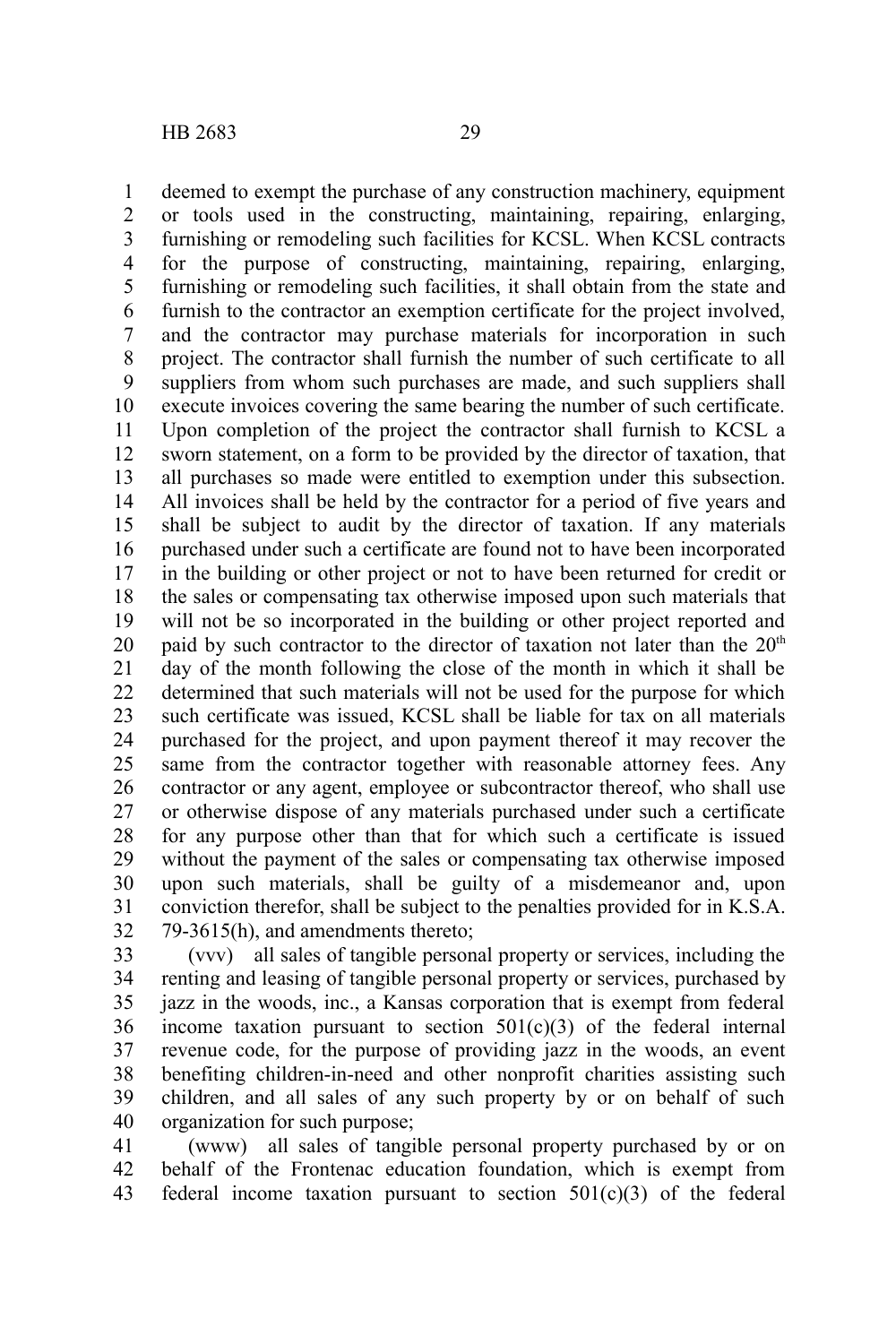deemed to exempt the purchase of any construction machinery, equipment or tools used in the constructing, maintaining, repairing, enlarging, furnishing or remodeling such facilities for KCSL. When KCSL contracts for the purpose of constructing, maintaining, repairing, enlarging, furnishing or remodeling such facilities, it shall obtain from the state and furnish to the contractor an exemption certificate for the project involved, and the contractor may purchase materials for incorporation in such project. The contractor shall furnish the number of such certificate to all suppliers from whom such purchases are made, and such suppliers shall execute invoices covering the same bearing the number of such certificate. Upon completion of the project the contractor shall furnish to KCSL a sworn statement, on a form to be provided by the director of taxation, that all purchases so made were entitled to exemption under this subsection. All invoices shall be held by the contractor for a period of five years and shall be subject to audit by the director of taxation. If any materials purchased under such a certificate are found not to have been incorporated in the building or other project or not to have been returned for credit or the sales or compensating tax otherwise imposed upon such materials that will not be so incorporated in the building or other project reported and paid by such contractor to the director of taxation not later than the  $20<sup>th</sup>$ day of the month following the close of the month in which it shall be determined that such materials will not be used for the purpose for which such certificate was issued, KCSL shall be liable for tax on all materials purchased for the project, and upon payment thereof it may recover the same from the contractor together with reasonable attorney fees. Any contractor or any agent, employee or subcontractor thereof, who shall use or otherwise dispose of any materials purchased under such a certificate for any purpose other than that for which such a certificate is issued without the payment of the sales or compensating tax otherwise imposed upon such materials, shall be guilty of a misdemeanor and, upon conviction therefor, shall be subject to the penalties provided for in K.S.A. 79-3615(h), and amendments thereto; 1 2 3 4 5 6 7 8 9 10 11 12 13 14 15 16 17 18 19 20 21 22 23 24 25 26 27 28 29 30 31 32

(vvv) all sales of tangible personal property or services, including the renting and leasing of tangible personal property or services, purchased by jazz in the woods, inc., a Kansas corporation that is exempt from federal income taxation pursuant to section  $501(c)(3)$  of the federal internal revenue code, for the purpose of providing jazz in the woods, an event benefiting children-in-need and other nonprofit charities assisting such children, and all sales of any such property by or on behalf of such organization for such purpose; 33 34 35 36 37 38 39 40

(www) all sales of tangible personal property purchased by or on behalf of the Frontenac education foundation, which is exempt from federal income taxation pursuant to section 501(c)(3) of the federal 41 42 43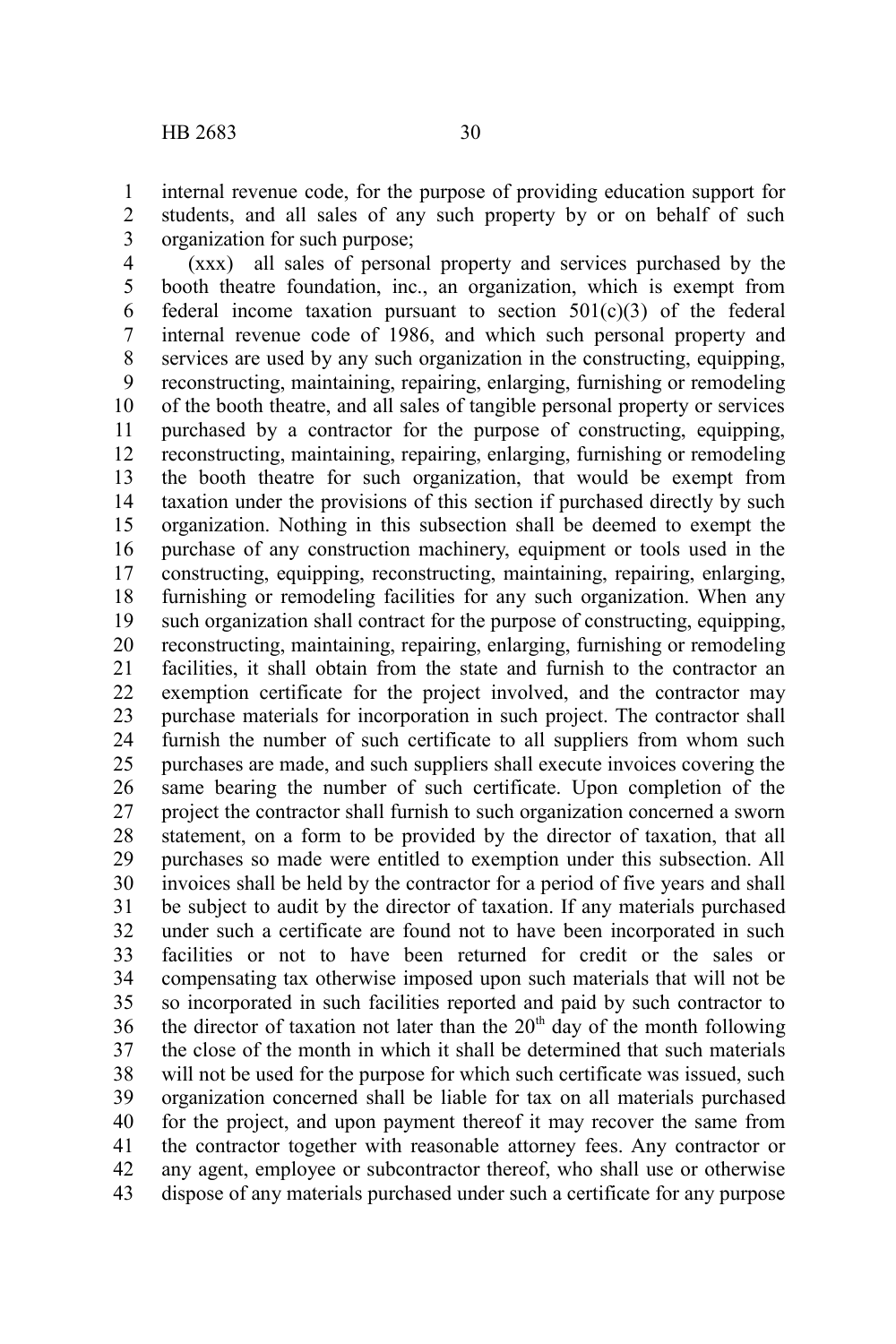internal revenue code, for the purpose of providing education support for students, and all sales of any such property by or on behalf of such organization for such purpose; 1 2 3

(xxx) all sales of personal property and services purchased by the booth theatre foundation, inc., an organization, which is exempt from federal income taxation pursuant to section  $501(c)(3)$  of the federal internal revenue code of 1986, and which such personal property and services are used by any such organization in the constructing, equipping, reconstructing, maintaining, repairing, enlarging, furnishing or remodeling of the booth theatre, and all sales of tangible personal property or services purchased by a contractor for the purpose of constructing, equipping, reconstructing, maintaining, repairing, enlarging, furnishing or remodeling the booth theatre for such organization, that would be exempt from taxation under the provisions of this section if purchased directly by such organization. Nothing in this subsection shall be deemed to exempt the purchase of any construction machinery, equipment or tools used in the constructing, equipping, reconstructing, maintaining, repairing, enlarging, furnishing or remodeling facilities for any such organization. When any such organization shall contract for the purpose of constructing, equipping, reconstructing, maintaining, repairing, enlarging, furnishing or remodeling facilities, it shall obtain from the state and furnish to the contractor an exemption certificate for the project involved, and the contractor may purchase materials for incorporation in such project. The contractor shall furnish the number of such certificate to all suppliers from whom such purchases are made, and such suppliers shall execute invoices covering the same bearing the number of such certificate. Upon completion of the project the contractor shall furnish to such organization concerned a sworn statement, on a form to be provided by the director of taxation, that all purchases so made were entitled to exemption under this subsection. All invoices shall be held by the contractor for a period of five years and shall be subject to audit by the director of taxation. If any materials purchased under such a certificate are found not to have been incorporated in such facilities or not to have been returned for credit or the sales or compensating tax otherwise imposed upon such materials that will not be so incorporated in such facilities reported and paid by such contractor to the director of taxation not later than the  $20<sup>th</sup>$  day of the month following the close of the month in which it shall be determined that such materials will not be used for the purpose for which such certificate was issued, such organization concerned shall be liable for tax on all materials purchased for the project, and upon payment thereof it may recover the same from the contractor together with reasonable attorney fees. Any contractor or any agent, employee or subcontractor thereof, who shall use or otherwise dispose of any materials purchased under such a certificate for any purpose 4 5 6 7 8 9 10 11 12 13 14 15 16 17 18 19 20 21 22 23 24 25 26 27 28 29 30 31 32 33 34 35 36 37 38 39 40 41 42 43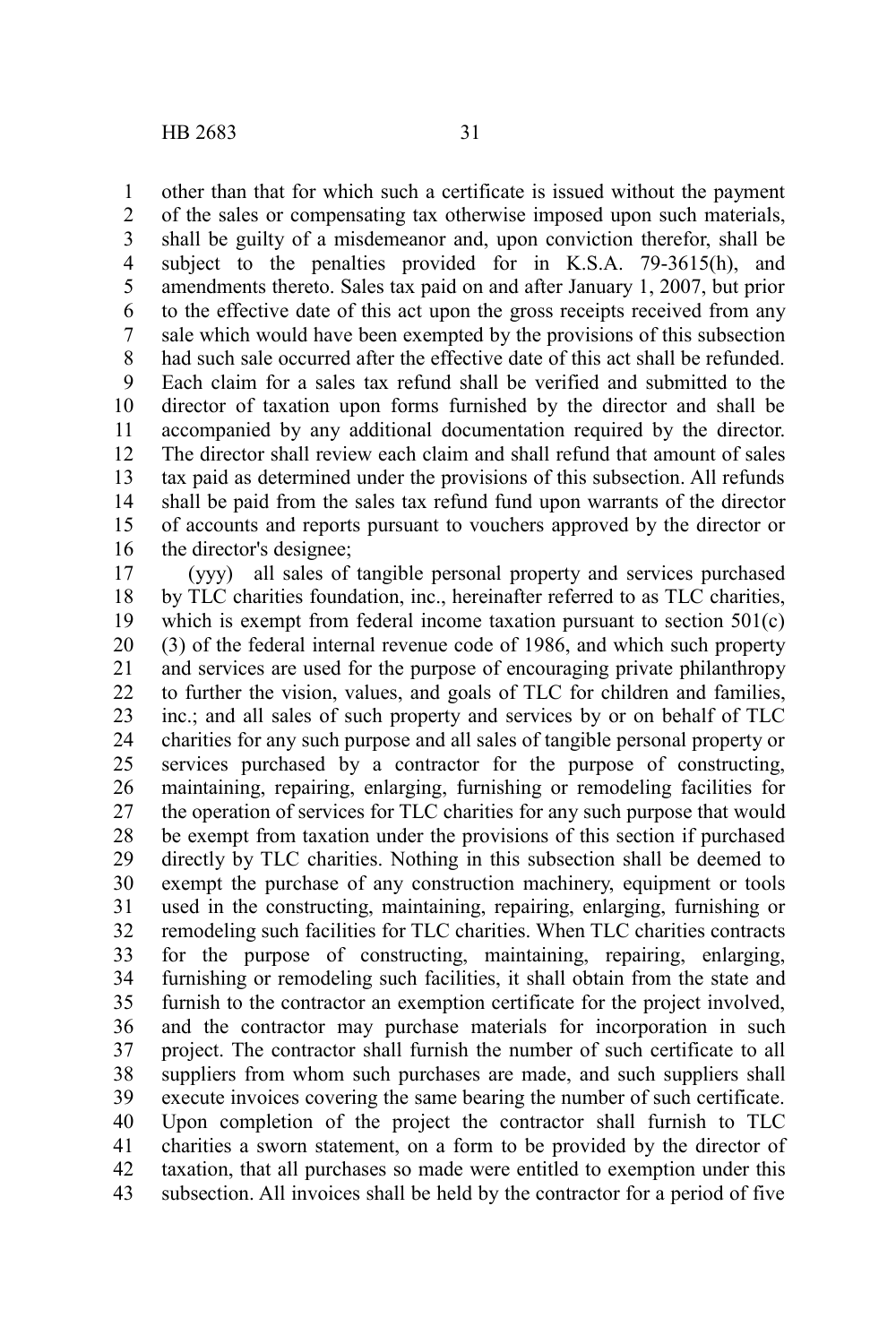other than that for which such a certificate is issued without the payment of the sales or compensating tax otherwise imposed upon such materials, shall be guilty of a misdemeanor and, upon conviction therefor, shall be subject to the penalties provided for in K.S.A. 79-3615(h), and amendments thereto. Sales tax paid on and after January 1, 2007, but prior to the effective date of this act upon the gross receipts received from any sale which would have been exempted by the provisions of this subsection had such sale occurred after the effective date of this act shall be refunded. Each claim for a sales tax refund shall be verified and submitted to the director of taxation upon forms furnished by the director and shall be accompanied by any additional documentation required by the director. The director shall review each claim and shall refund that amount of sales tax paid as determined under the provisions of this subsection. All refunds shall be paid from the sales tax refund fund upon warrants of the director of accounts and reports pursuant to vouchers approved by the director or the director's designee; 1 2 3 4 5 6 7 8 9 10 11 12 13 14 15 16

(yyy) all sales of tangible personal property and services purchased by TLC charities foundation, inc., hereinafter referred to as TLC charities, which is exempt from federal income taxation pursuant to section  $501(c)$ (3) of the federal internal revenue code of 1986, and which such property and services are used for the purpose of encouraging private philanthropy to further the vision, values, and goals of TLC for children and families, inc.; and all sales of such property and services by or on behalf of TLC charities for any such purpose and all sales of tangible personal property or services purchased by a contractor for the purpose of constructing, maintaining, repairing, enlarging, furnishing or remodeling facilities for the operation of services for TLC charities for any such purpose that would be exempt from taxation under the provisions of this section if purchased directly by TLC charities. Nothing in this subsection shall be deemed to exempt the purchase of any construction machinery, equipment or tools used in the constructing, maintaining, repairing, enlarging, furnishing or remodeling such facilities for TLC charities. When TLC charities contracts for the purpose of constructing, maintaining, repairing, enlarging, furnishing or remodeling such facilities, it shall obtain from the state and furnish to the contractor an exemption certificate for the project involved, and the contractor may purchase materials for incorporation in such project. The contractor shall furnish the number of such certificate to all suppliers from whom such purchases are made, and such suppliers shall execute invoices covering the same bearing the number of such certificate. Upon completion of the project the contractor shall furnish to TLC charities a sworn statement, on a form to be provided by the director of taxation, that all purchases so made were entitled to exemption under this subsection. All invoices shall be held by the contractor for a period of five 17 18 19 20 21 22 23 24 25 26 27 28 29 30 31 32 33 34 35 36 37 38 39 40 41 42 43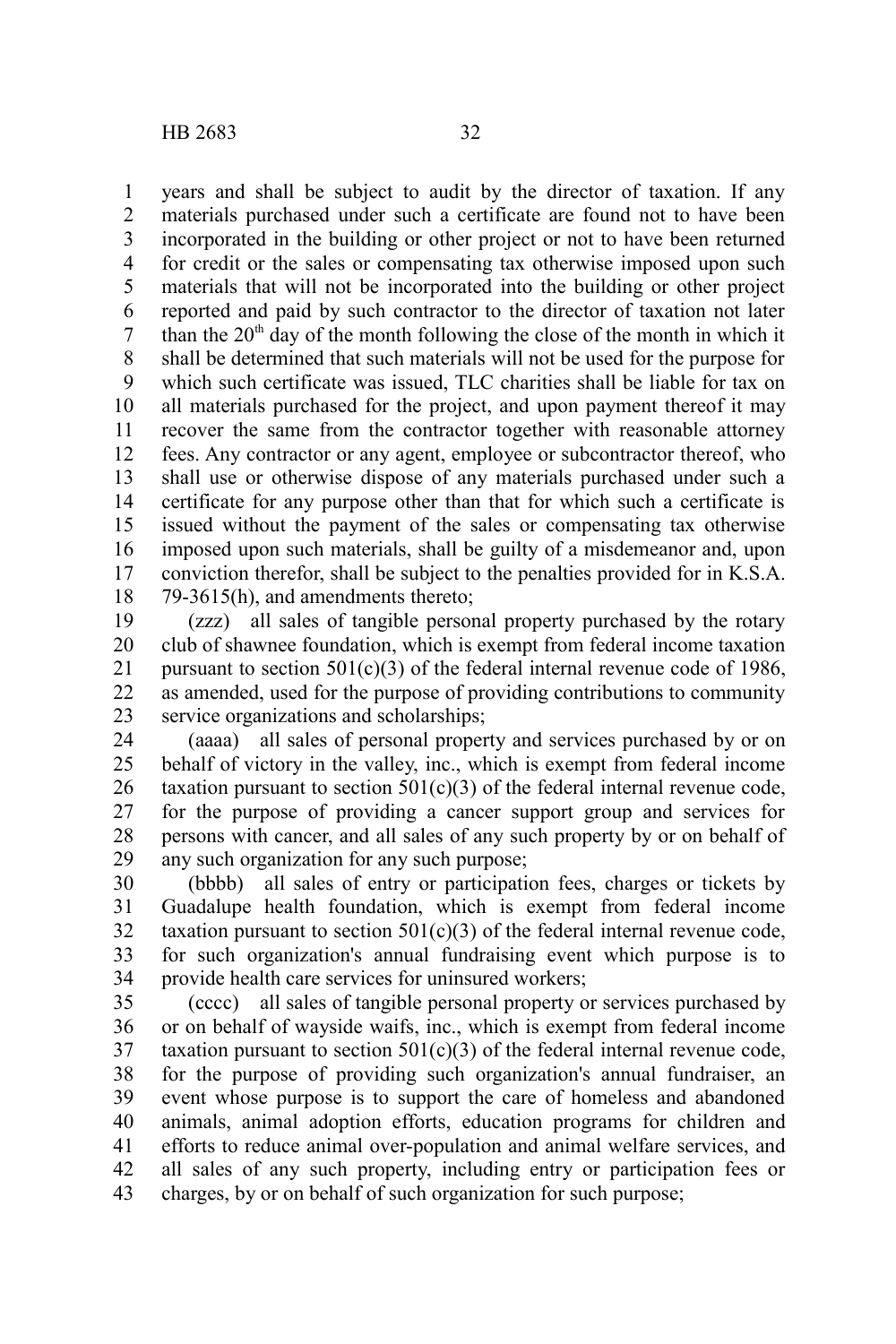years and shall be subject to audit by the director of taxation. If any materials purchased under such a certificate are found not to have been incorporated in the building or other project or not to have been returned for credit or the sales or compensating tax otherwise imposed upon such materials that will not be incorporated into the building or other project reported and paid by such contractor to the director of taxation not later than the  $20<sup>th</sup>$  day of the month following the close of the month in which it shall be determined that such materials will not be used for the purpose for which such certificate was issued, TLC charities shall be liable for tax on all materials purchased for the project, and upon payment thereof it may recover the same from the contractor together with reasonable attorney fees. Any contractor or any agent, employee or subcontractor thereof, who shall use or otherwise dispose of any materials purchased under such a certificate for any purpose other than that for which such a certificate is issued without the payment of the sales or compensating tax otherwise imposed upon such materials, shall be guilty of a misdemeanor and, upon conviction therefor, shall be subject to the penalties provided for in K.S.A. 79-3615(h), and amendments thereto; 1 2 3 4 5 6 7 8 9 10 11 12 13 14 15 16 17 18

(zzz) all sales of tangible personal property purchased by the rotary club of shawnee foundation, which is exempt from federal income taxation pursuant to section  $501(c)(3)$  of the federal internal revenue code of 1986, as amended, used for the purpose of providing contributions to community service organizations and scholarships; 19 20 21 22 23

(aaaa) all sales of personal property and services purchased by or on behalf of victory in the valley, inc., which is exempt from federal income taxation pursuant to section  $501(c)(3)$  of the federal internal revenue code, for the purpose of providing a cancer support group and services for persons with cancer, and all sales of any such property by or on behalf of any such organization for any such purpose; 24 25 26 27 28 29

(bbbb) all sales of entry or participation fees, charges or tickets by Guadalupe health foundation, which is exempt from federal income taxation pursuant to section  $501(c)(3)$  of the federal internal revenue code, for such organization's annual fundraising event which purpose is to provide health care services for uninsured workers; 30 31 32 33 34

(cccc) all sales of tangible personal property or services purchased by or on behalf of wayside waifs, inc., which is exempt from federal income taxation pursuant to section  $501(c)(3)$  of the federal internal revenue code, for the purpose of providing such organization's annual fundraiser, an event whose purpose is to support the care of homeless and abandoned animals, animal adoption efforts, education programs for children and efforts to reduce animal over-population and animal welfare services, and all sales of any such property, including entry or participation fees or charges, by or on behalf of such organization for such purpose; 35 36 37 38 39 40 41 42 43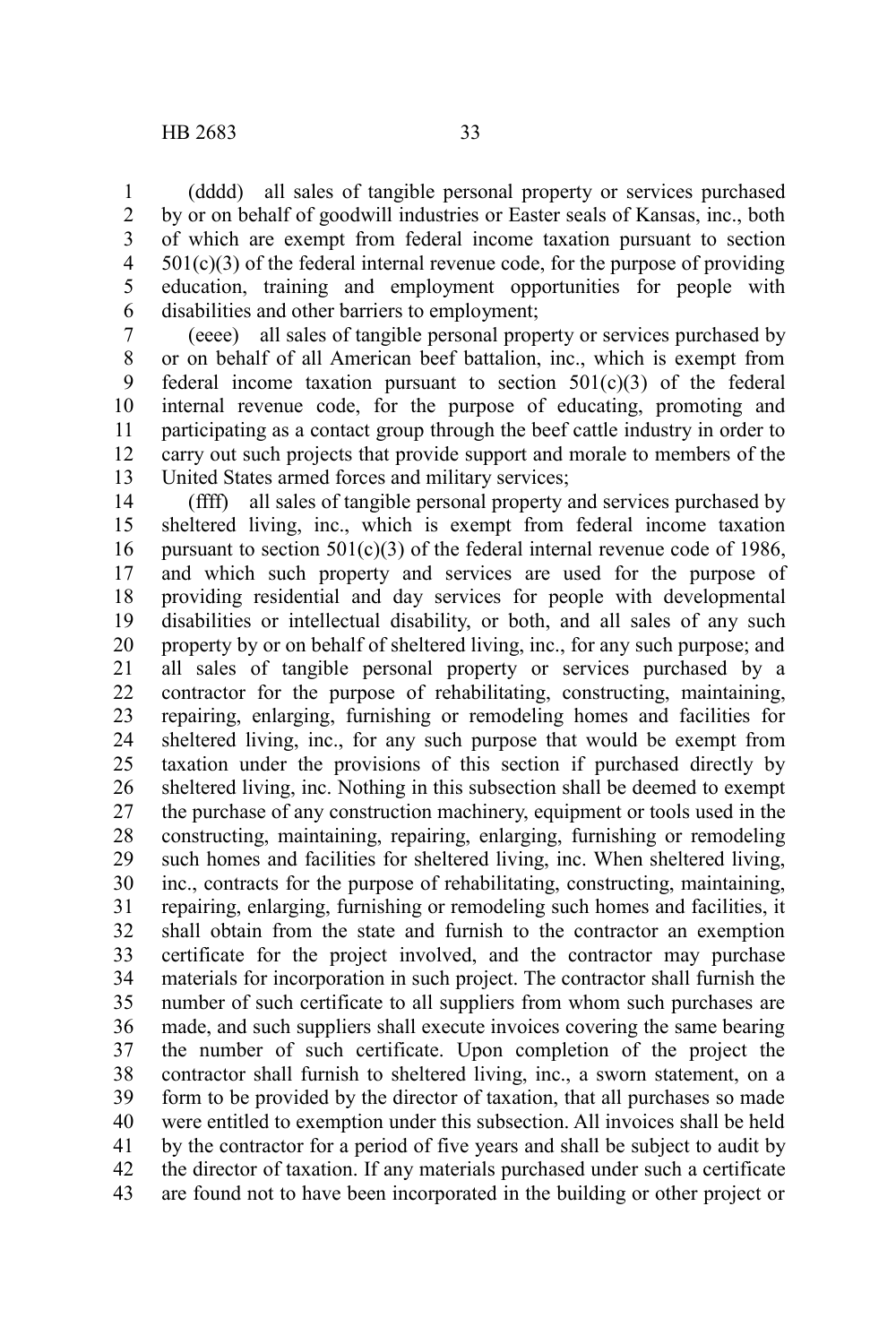(dddd) all sales of tangible personal property or services purchased by or on behalf of goodwill industries or Easter seals of Kansas, inc., both of which are exempt from federal income taxation pursuant to section  $501(c)(3)$  of the federal internal revenue code, for the purpose of providing education, training and employment opportunities for people with disabilities and other barriers to employment; 1 2 3 4 5 6

(eeee) all sales of tangible personal property or services purchased by or on behalf of all American beef battalion, inc., which is exempt from federal income taxation pursuant to section  $501(c)(3)$  of the federal internal revenue code, for the purpose of educating, promoting and participating as a contact group through the beef cattle industry in order to carry out such projects that provide support and morale to members of the United States armed forces and military services; 7 8 9 10 11 12 13

(ffff) all sales of tangible personal property and services purchased by sheltered living, inc., which is exempt from federal income taxation pursuant to section  $501(c)(3)$  of the federal internal revenue code of 1986, and which such property and services are used for the purpose of providing residential and day services for people with developmental disabilities or intellectual disability, or both, and all sales of any such property by or on behalf of sheltered living, inc., for any such purpose; and all sales of tangible personal property or services purchased by a contractor for the purpose of rehabilitating, constructing, maintaining, repairing, enlarging, furnishing or remodeling homes and facilities for sheltered living, inc., for any such purpose that would be exempt from taxation under the provisions of this section if purchased directly by sheltered living, inc. Nothing in this subsection shall be deemed to exempt the purchase of any construction machinery, equipment or tools used in the constructing, maintaining, repairing, enlarging, furnishing or remodeling such homes and facilities for sheltered living, inc. When sheltered living, inc., contracts for the purpose of rehabilitating, constructing, maintaining, repairing, enlarging, furnishing or remodeling such homes and facilities, it shall obtain from the state and furnish to the contractor an exemption certificate for the project involved, and the contractor may purchase materials for incorporation in such project. The contractor shall furnish the number of such certificate to all suppliers from whom such purchases are made, and such suppliers shall execute invoices covering the same bearing the number of such certificate. Upon completion of the project the contractor shall furnish to sheltered living, inc., a sworn statement, on a form to be provided by the director of taxation, that all purchases so made were entitled to exemption under this subsection. All invoices shall be held by the contractor for a period of five years and shall be subject to audit by the director of taxation. If any materials purchased under such a certificate are found not to have been incorporated in the building or other project or 14 15 16 17 18 19 20 21 22 23 24 25 26 27 28 29 30 31 32 33 34 35 36 37 38 39 40 41 42 43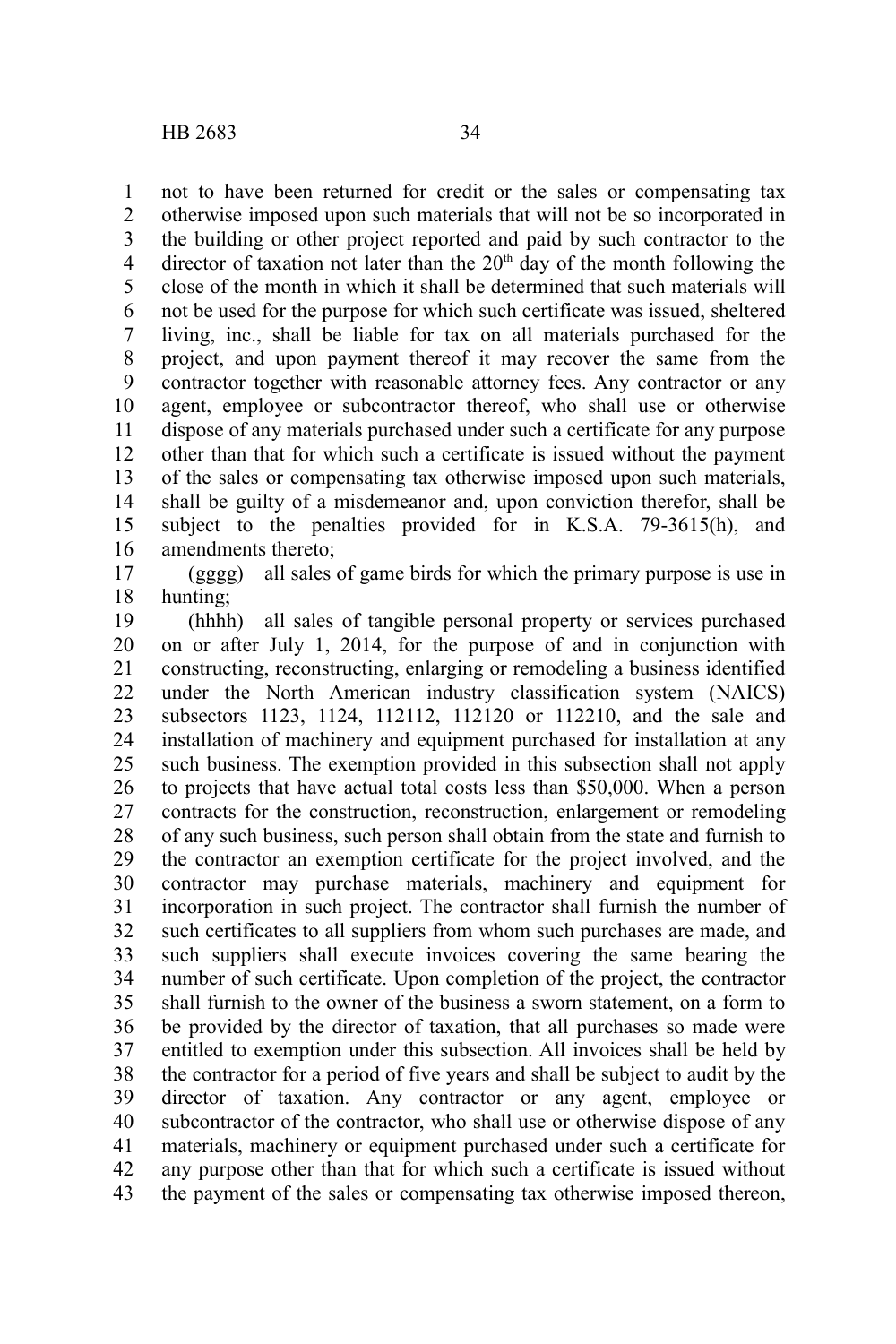not to have been returned for credit or the sales or compensating tax otherwise imposed upon such materials that will not be so incorporated in the building or other project reported and paid by such contractor to the director of taxation not later than the  $20<sup>th</sup>$  day of the month following the close of the month in which it shall be determined that such materials will not be used for the purpose for which such certificate was issued, sheltered living, inc., shall be liable for tax on all materials purchased for the project, and upon payment thereof it may recover the same from the contractor together with reasonable attorney fees. Any contractor or any agent, employee or subcontractor thereof, who shall use or otherwise dispose of any materials purchased under such a certificate for any purpose other than that for which such a certificate is issued without the payment of the sales or compensating tax otherwise imposed upon such materials, shall be guilty of a misdemeanor and, upon conviction therefor, shall be subject to the penalties provided for in K.S.A. 79-3615(h), and amendments thereto; 1 2 3 4 5 6 7 8 9 10 11 12 13 14 15 16

(gggg) all sales of game birds for which the primary purpose is use in hunting; 17 18

(hhhh) all sales of tangible personal property or services purchased on or after July 1, 2014, for the purpose of and in conjunction with constructing, reconstructing, enlarging or remodeling a business identified under the North American industry classification system (NAICS) subsectors 1123, 1124, 112112, 112120 or 112210, and the sale and installation of machinery and equipment purchased for installation at any such business. The exemption provided in this subsection shall not apply to projects that have actual total costs less than \$50,000. When a person contracts for the construction, reconstruction, enlargement or remodeling of any such business, such person shall obtain from the state and furnish to the contractor an exemption certificate for the project involved, and the contractor may purchase materials, machinery and equipment for incorporation in such project. The contractor shall furnish the number of such certificates to all suppliers from whom such purchases are made, and such suppliers shall execute invoices covering the same bearing the number of such certificate. Upon completion of the project, the contractor shall furnish to the owner of the business a sworn statement, on a form to be provided by the director of taxation, that all purchases so made were entitled to exemption under this subsection. All invoices shall be held by the contractor for a period of five years and shall be subject to audit by the director of taxation. Any contractor or any agent, employee or subcontractor of the contractor, who shall use or otherwise dispose of any materials, machinery or equipment purchased under such a certificate for any purpose other than that for which such a certificate is issued without the payment of the sales or compensating tax otherwise imposed thereon, 19 20 21 22 23 24 25 26 27 28 29 30 31 32 33 34 35 36 37 38 39 40 41 42 43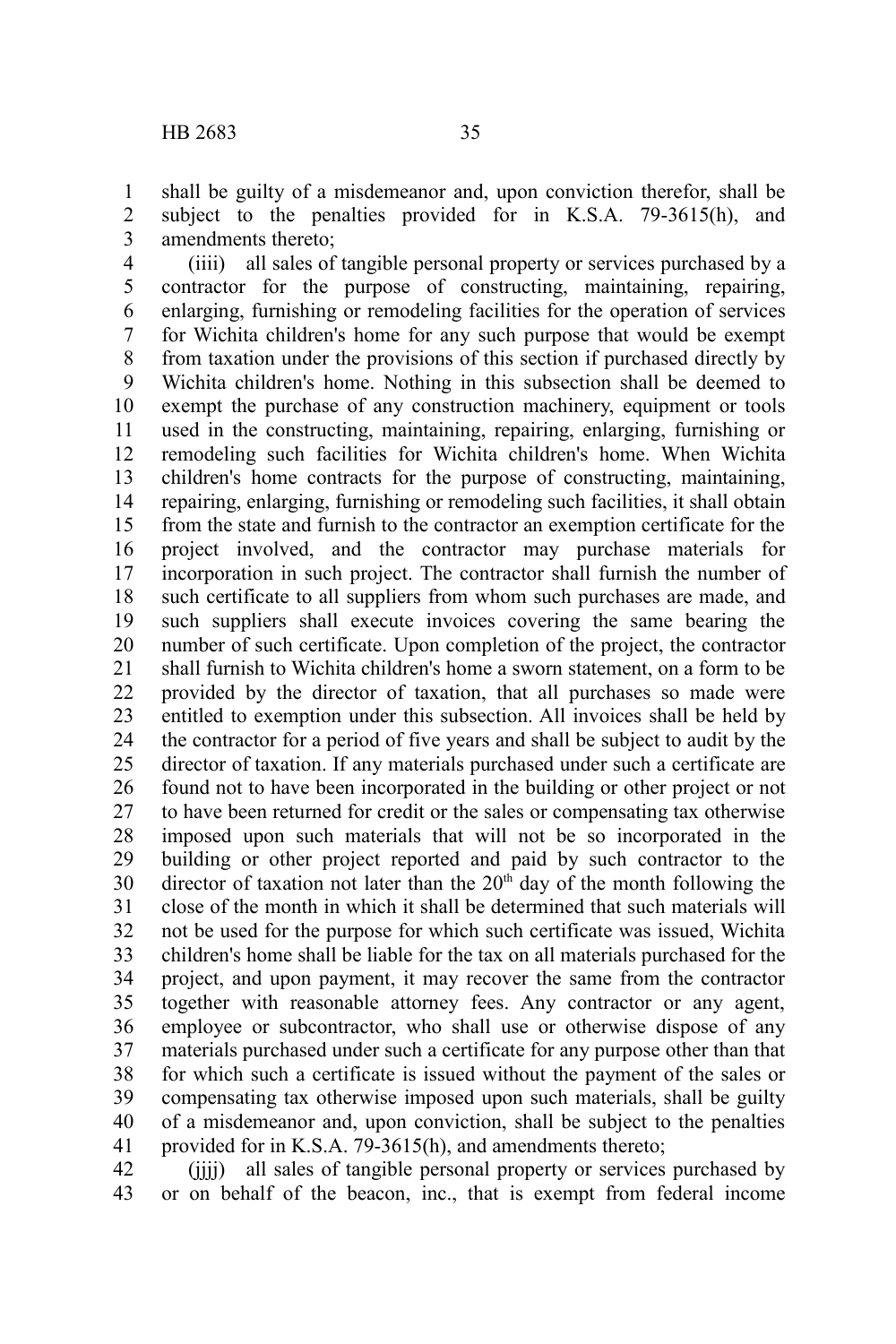shall be guilty of a misdemeanor and, upon conviction therefor, shall be subject to the penalties provided for in K.S.A. 79-3615(h), and amendments thereto; 1 2 3

(iiii) all sales of tangible personal property or services purchased by a contractor for the purpose of constructing, maintaining, repairing, enlarging, furnishing or remodeling facilities for the operation of services for Wichita children's home for any such purpose that would be exempt from taxation under the provisions of this section if purchased directly by Wichita children's home. Nothing in this subsection shall be deemed to exempt the purchase of any construction machinery, equipment or tools used in the constructing, maintaining, repairing, enlarging, furnishing or remodeling such facilities for Wichita children's home. When Wichita children's home contracts for the purpose of constructing, maintaining, repairing, enlarging, furnishing or remodeling such facilities, it shall obtain from the state and furnish to the contractor an exemption certificate for the project involved, and the contractor may purchase materials for incorporation in such project. The contractor shall furnish the number of such certificate to all suppliers from whom such purchases are made, and such suppliers shall execute invoices covering the same bearing the number of such certificate. Upon completion of the project, the contractor shall furnish to Wichita children's home a sworn statement, on a form to be provided by the director of taxation, that all purchases so made were entitled to exemption under this subsection. All invoices shall be held by the contractor for a period of five years and shall be subject to audit by the director of taxation. If any materials purchased under such a certificate are found not to have been incorporated in the building or other project or not to have been returned for credit or the sales or compensating tax otherwise imposed upon such materials that will not be so incorporated in the building or other project reported and paid by such contractor to the director of taxation not later than the  $20<sup>th</sup>$  day of the month following the close of the month in which it shall be determined that such materials will not be used for the purpose for which such certificate was issued, Wichita children's home shall be liable for the tax on all materials purchased for the project, and upon payment, it may recover the same from the contractor together with reasonable attorney fees. Any contractor or any agent, employee or subcontractor, who shall use or otherwise dispose of any materials purchased under such a certificate for any purpose other than that for which such a certificate is issued without the payment of the sales or compensating tax otherwise imposed upon such materials, shall be guilty of a misdemeanor and, upon conviction, shall be subject to the penalties provided for in K.S.A. 79-3615(h), and amendments thereto; 4 5 6 7 8 9 10 11 12 13 14 15 16 17 18 19 20 21 22 23 24 25 26 27 28 29 30 31 32 33 34 35 36 37 38 39 40 41

(jjjj) all sales of tangible personal property or services purchased by or on behalf of the beacon, inc., that is exempt from federal income 42 43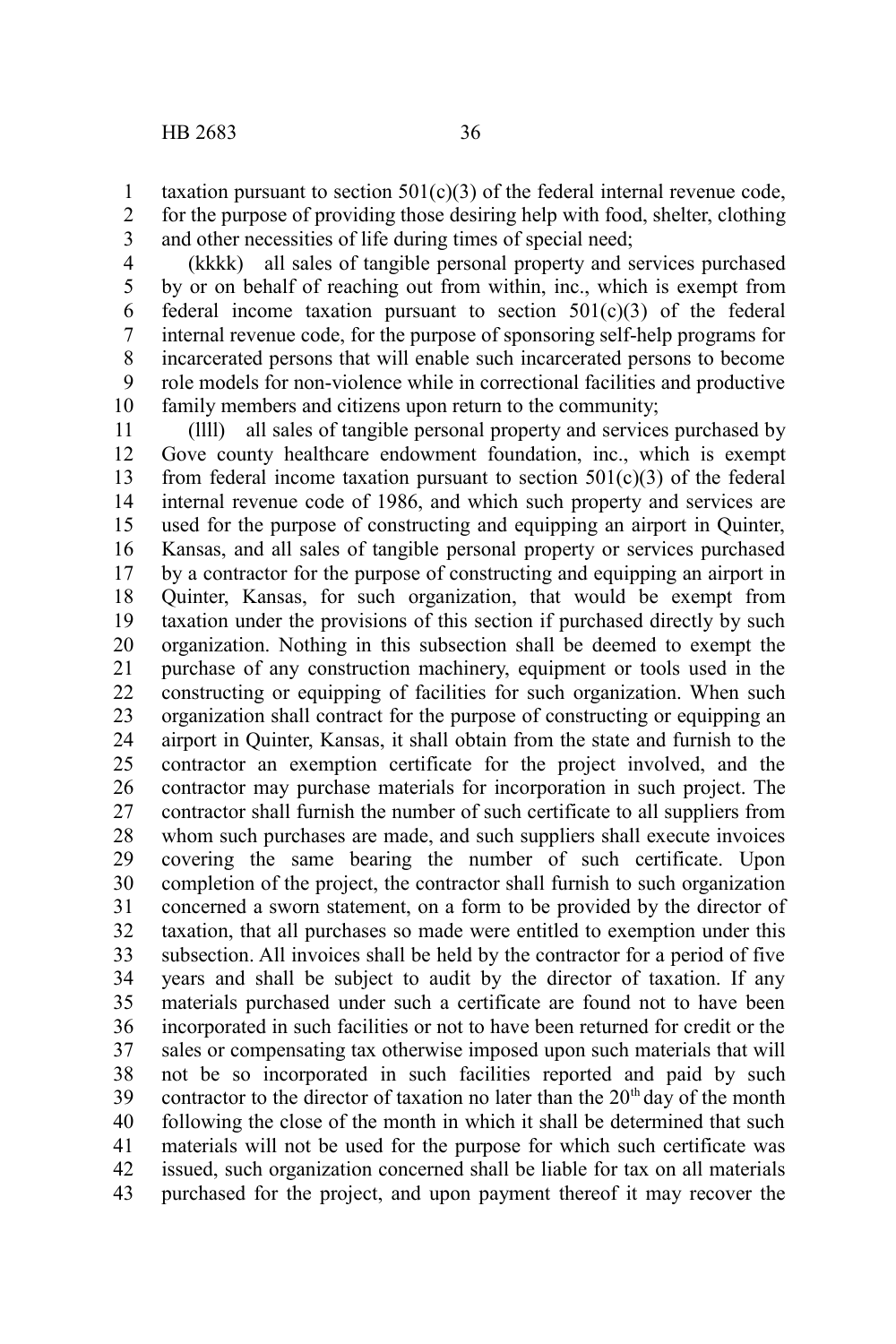taxation pursuant to section  $501(c)(3)$  of the federal internal revenue code, for the purpose of providing those desiring help with food, shelter, clothing and other necessities of life during times of special need; 1 2 3

(kkkk) all sales of tangible personal property and services purchased by or on behalf of reaching out from within, inc., which is exempt from federal income taxation pursuant to section  $501(c)(3)$  of the federal internal revenue code, for the purpose of sponsoring self-help programs for incarcerated persons that will enable such incarcerated persons to become role models for non-violence while in correctional facilities and productive family members and citizens upon return to the community; 4 5 6 7 8 9 10

(llll) all sales of tangible personal property and services purchased by Gove county healthcare endowment foundation, inc., which is exempt from federal income taxation pursuant to section  $501(c)(3)$  of the federal internal revenue code of 1986, and which such property and services are used for the purpose of constructing and equipping an airport in Quinter, Kansas, and all sales of tangible personal property or services purchased by a contractor for the purpose of constructing and equipping an airport in Quinter, Kansas, for such organization, that would be exempt from taxation under the provisions of this section if purchased directly by such organization. Nothing in this subsection shall be deemed to exempt the purchase of any construction machinery, equipment or tools used in the constructing or equipping of facilities for such organization. When such organization shall contract for the purpose of constructing or equipping an airport in Quinter, Kansas, it shall obtain from the state and furnish to the contractor an exemption certificate for the project involved, and the contractor may purchase materials for incorporation in such project. The contractor shall furnish the number of such certificate to all suppliers from whom such purchases are made, and such suppliers shall execute invoices covering the same bearing the number of such certificate. Upon completion of the project, the contractor shall furnish to such organization concerned a sworn statement, on a form to be provided by the director of taxation, that all purchases so made were entitled to exemption under this subsection. All invoices shall be held by the contractor for a period of five years and shall be subject to audit by the director of taxation. If any materials purchased under such a certificate are found not to have been incorporated in such facilities or not to have been returned for credit or the sales or compensating tax otherwise imposed upon such materials that will not be so incorporated in such facilities reported and paid by such contractor to the director of taxation no later than the  $20<sup>th</sup>$  day of the month following the close of the month in which it shall be determined that such materials will not be used for the purpose for which such certificate was issued, such organization concerned shall be liable for tax on all materials purchased for the project, and upon payment thereof it may recover the 11 12 13 14 15 16 17 18 19 20 21 22 23 24 25 26 27 28 29 30 31 32 33 34 35 36 37 38 39 40 41 42 43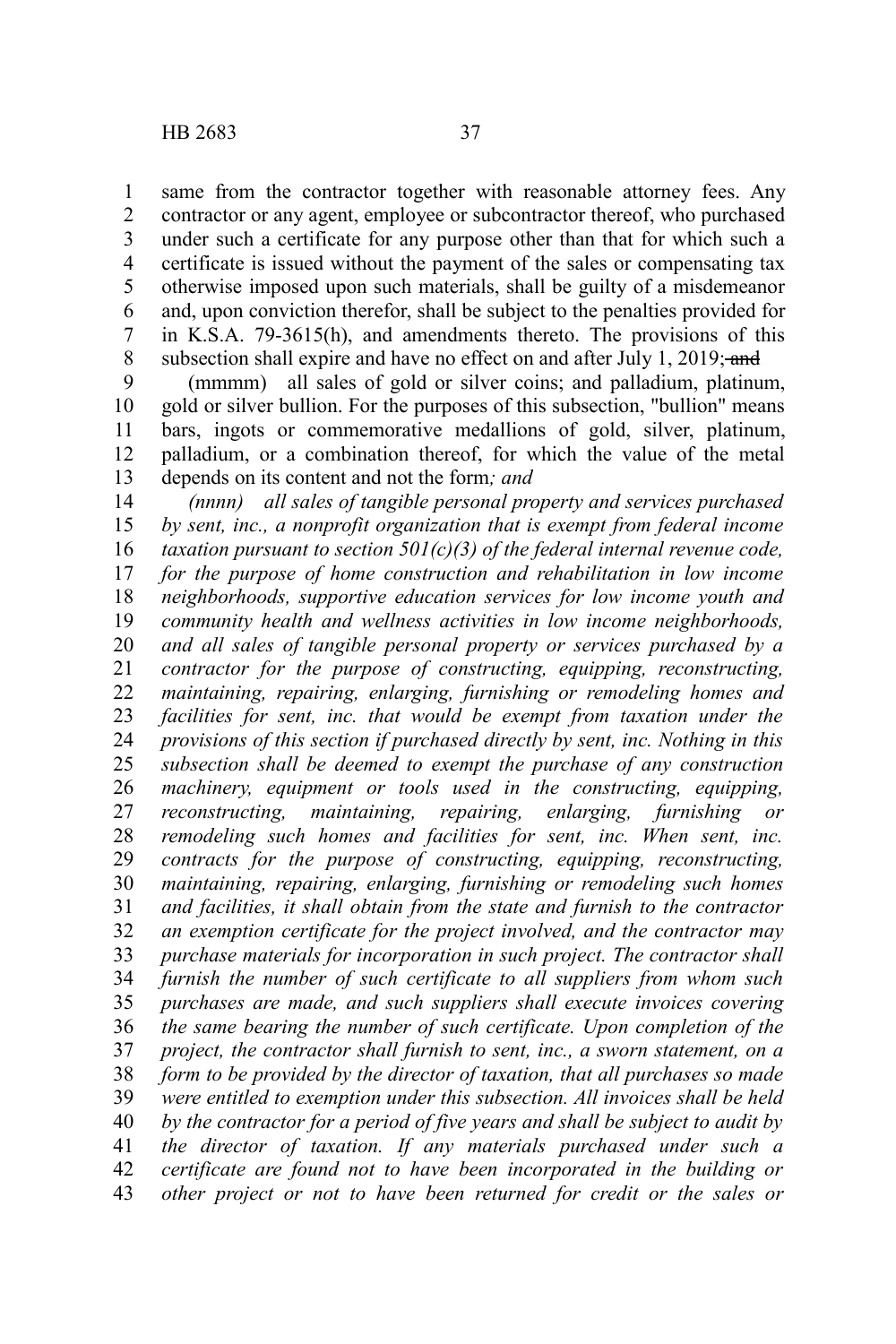same from the contractor together with reasonable attorney fees. Any contractor or any agent, employee or subcontractor thereof, who purchased under such a certificate for any purpose other than that for which such a certificate is issued without the payment of the sales or compensating tax otherwise imposed upon such materials, shall be guilty of a misdemeanor and, upon conviction therefor, shall be subject to the penalties provided for in K.S.A. 79-3615(h), and amendments thereto. The provisions of this subsection shall expire and have no effect on and after July 1, 2019; and 1 2 3 4 5 6 7 8

(mmmm) all sales of gold or silver coins; and palladium, platinum, gold or silver bullion. For the purposes of this subsection, "bullion" means bars, ingots or commemorative medallions of gold, silver, platinum, palladium, or a combination thereof, for which the value of the metal depends on its content and not the form*; and* 9 10 11 12 13

*(nnnn) all sales of tangible personal property and services purchased by sent, inc., a nonprofit organization that is exempt from federal income taxation pursuant to section 501(c)(3) of the federal internal revenue code, for the purpose of home construction and rehabilitation in low income neighborhoods, supportive education services for low income youth and community health and wellness activities in low income neighborhoods, and all sales of tangible personal property or services purchased by a contractor for the purpose of constructing, equipping, reconstructing, maintaining, repairing, enlarging, furnishing or remodeling homes and facilities for sent, inc. that would be exempt from taxation under the provisions of this section if purchased directly by sent, inc. Nothing in this subsection shall be deemed to exempt the purchase of any construction machinery, equipment or tools used in the constructing, equipping, reconstructing, maintaining, repairing, enlarging, furnishing or remodeling such homes and facilities for sent, inc. When sent, inc. contracts for the purpose of constructing, equipping, reconstructing, maintaining, repairing, enlarging, furnishing or remodeling such homes and facilities, it shall obtain from the state and furnish to the contractor an exemption certificate for the project involved, and the contractor may purchase materials for incorporation in such project. The contractor shall furnish the number of such certificate to all suppliers from whom such purchases are made, and such suppliers shall execute invoices covering the same bearing the number of such certificate. Upon completion of the project, the contractor shall furnish to sent, inc., a sworn statement, on a form to be provided by the director of taxation, that all purchases so made were entitled to exemption under this subsection. All invoices shall be held by the contractor for a period of five years and shall be subject to audit by the director of taxation. If any materials purchased under such a certificate are found not to have been incorporated in the building or other project or not to have been returned for credit or the sales or* 14 15 16 17 18 19 20 21 22 23 24 25 26 27 28 29 30 31 32 33 34 35 36 37 38 39 40 41 42 43